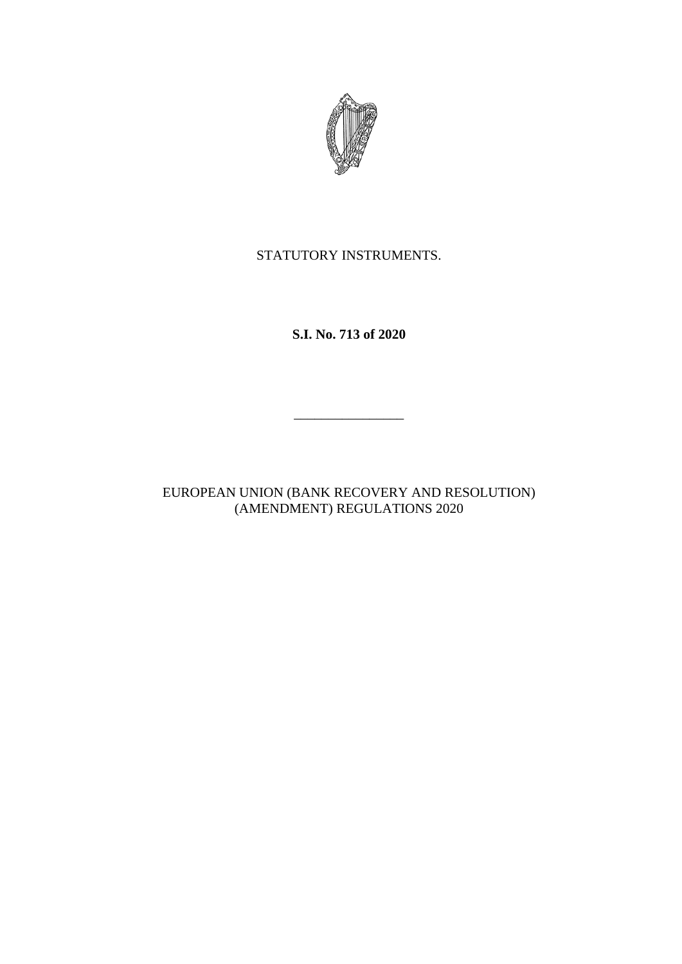

STATUTORY INSTRUMENTS.

**S.I. No. 713 of 2020**

\_\_\_\_\_\_\_\_\_\_\_\_\_\_\_\_

EUROPEAN UNION (BANK RECOVERY AND RESOLUTION) (AMENDMENT) REGULATIONS 2020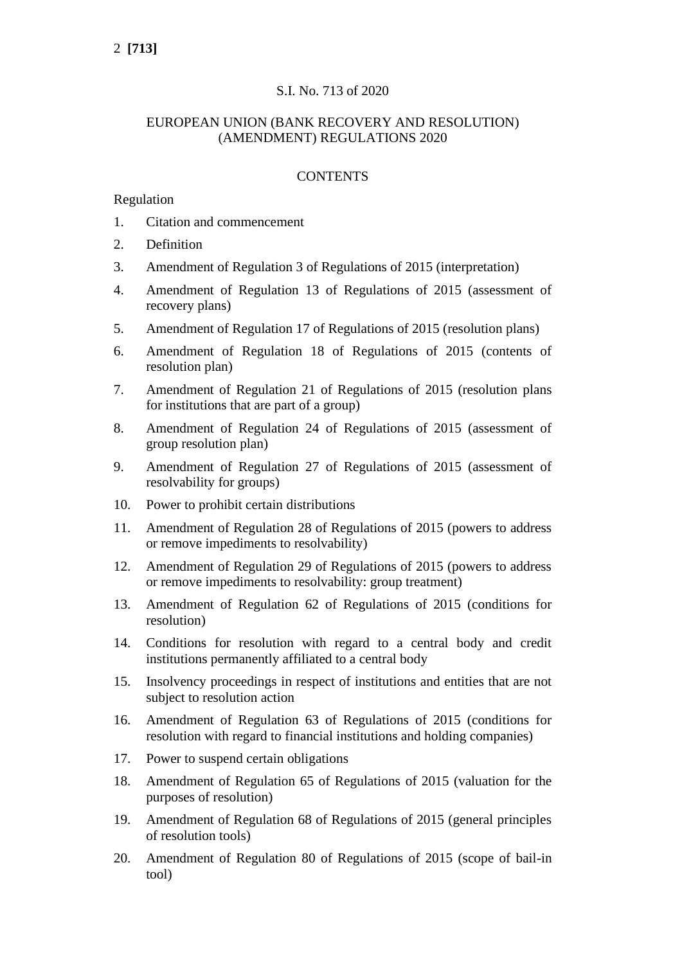# S.I. No. 713 of 2020

# EUROPEAN UNION (BANK RECOVERY AND RESOLUTION) (AMENDMENT) REGULATIONS 2020

### **CONTENTS**

### Regulation

- 1. Citation and commencement
- 2. Definition
- 3. Amendment of Regulation 3 of Regulations of 2015 (interpretation)
- 4. Amendment of Regulation 13 of Regulations of 2015 (assessment of recovery plans)
- 5. Amendment of Regulation 17 of Regulations of 2015 (resolution plans)
- 6. Amendment of Regulation 18 of Regulations of 2015 (contents of resolution plan)
- 7. Amendment of Regulation 21 of Regulations of 2015 (resolution plans for institutions that are part of a group)
- 8. Amendment of Regulation 24 of Regulations of 2015 (assessment of group resolution plan)
- 9. Amendment of Regulation 27 of Regulations of 2015 (assessment of resolvability for groups)
- 10. Power to prohibit certain distributions
- 11. Amendment of Regulation 28 of Regulations of 2015 (powers to address or remove impediments to resolvability)
- 12. Amendment of Regulation 29 of Regulations of 2015 (powers to address or remove impediments to resolvability: group treatment)
- 13. Amendment of Regulation 62 of Regulations of 2015 (conditions for resolution)
- 14. Conditions for resolution with regard to a central body and credit institutions permanently affiliated to a central body
- 15. Insolvency proceedings in respect of institutions and entities that are not subject to resolution action
- 16. Amendment of Regulation 63 of Regulations of 2015 (conditions for resolution with regard to financial institutions and holding companies)
- 17. Power to suspend certain obligations
- 18. Amendment of Regulation 65 of Regulations of 2015 (valuation for the purposes of resolution)
- 19. Amendment of Regulation 68 of Regulations of 2015 (general principles of resolution tools)
- 20. Amendment of Regulation 80 of Regulations of 2015 (scope of bail-in tool)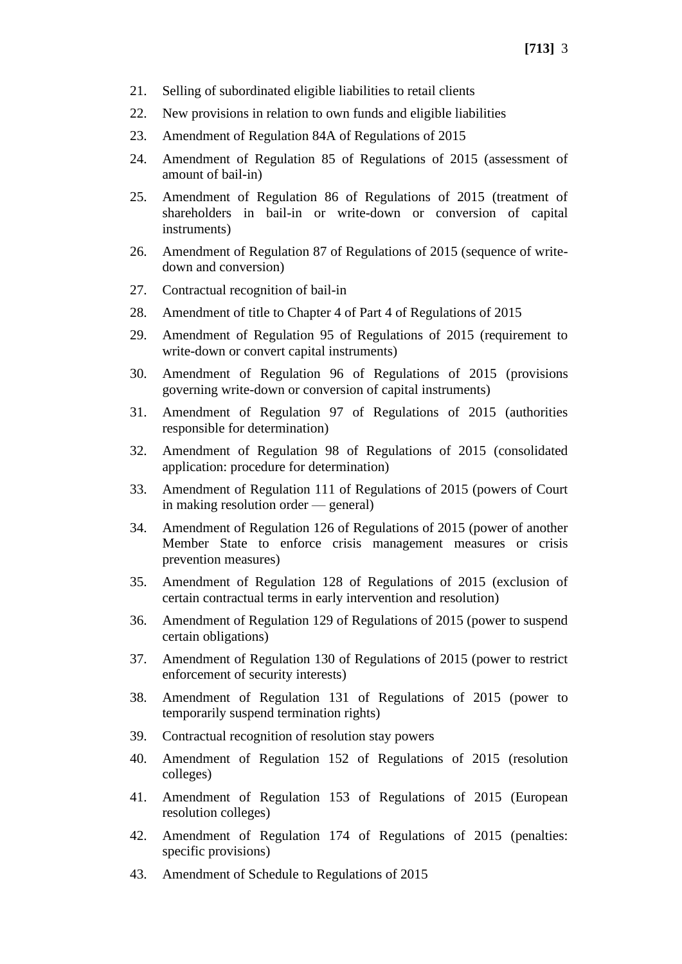- 21. Selling of subordinated eligible liabilities to retail clients
- 22. New provisions in relation to own funds and eligible liabilities
- 23. Amendment of Regulation 84A of Regulations of 2015
- 24. Amendment of Regulation 85 of Regulations of 2015 (assessment of amount of bail-in)
- 25. Amendment of Regulation 86 of Regulations of 2015 (treatment of shareholders in bail-in or write-down or conversion of capital instruments)
- 26. Amendment of Regulation 87 of Regulations of 2015 (sequence of writedown and conversion)
- 27. Contractual recognition of bail-in
- 28. Amendment of title to Chapter 4 of Part 4 of Regulations of 2015
- 29. Amendment of Regulation 95 of Regulations of 2015 (requirement to write-down or convert capital instruments)
- 30. Amendment of Regulation 96 of Regulations of 2015 (provisions governing write-down or conversion of capital instruments)
- 31. Amendment of Regulation 97 of Regulations of 2015 (authorities responsible for determination)
- 32. Amendment of Regulation 98 of Regulations of 2015 (consolidated application: procedure for determination)
- 33. Amendment of Regulation 111 of Regulations of 2015 (powers of Court in making resolution order — general)
- 34. Amendment of Regulation 126 of Regulations of 2015 (power of another Member State to enforce crisis management measures or crisis prevention measures)
- 35. Amendment of Regulation 128 of Regulations of 2015 (exclusion of certain contractual terms in early intervention and resolution)
- 36. Amendment of Regulation 129 of Regulations of 2015 (power to suspend certain obligations)
- 37. Amendment of Regulation 130 of Regulations of 2015 (power to restrict enforcement of security interests)
- 38. Amendment of Regulation 131 of Regulations of 2015 (power to temporarily suspend termination rights)
- 39. Contractual recognition of resolution stay powers
- 40. Amendment of Regulation 152 of Regulations of 2015 (resolution colleges)
- 41. Amendment of Regulation 153 of Regulations of 2015 (European resolution colleges)
- 42. Amendment of Regulation 174 of Regulations of 2015 (penalties: specific provisions)
- 43. Amendment of Schedule to Regulations of 2015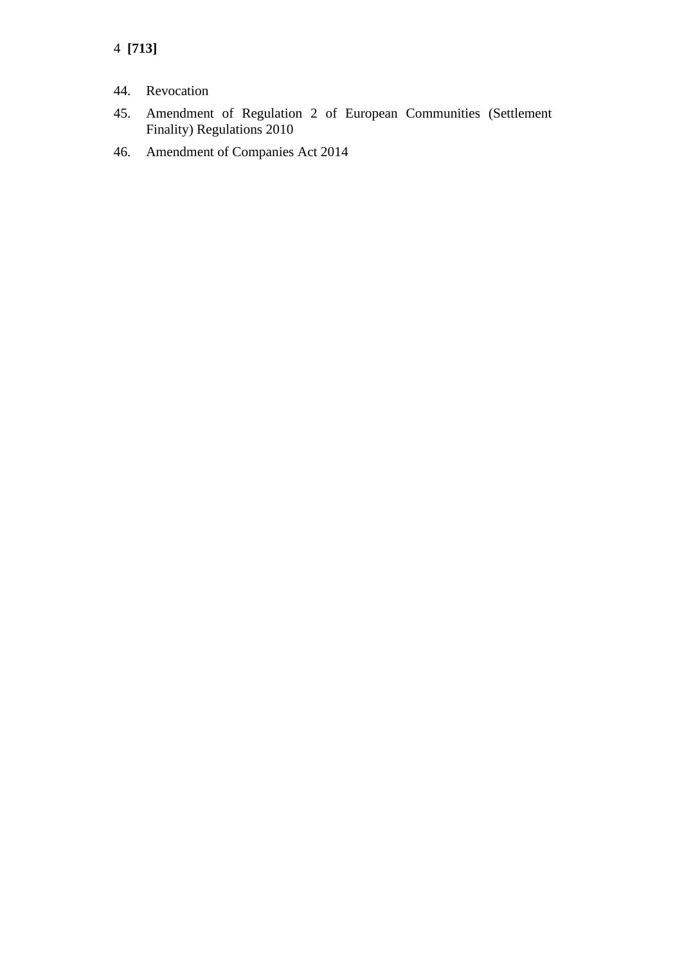4 **[713]**

- 44. Revocation
- 45. Amendment of Regulation 2 of European Communities (Settlement Finality) Regulations 2010
- 46. Amendment of Companies Act 2014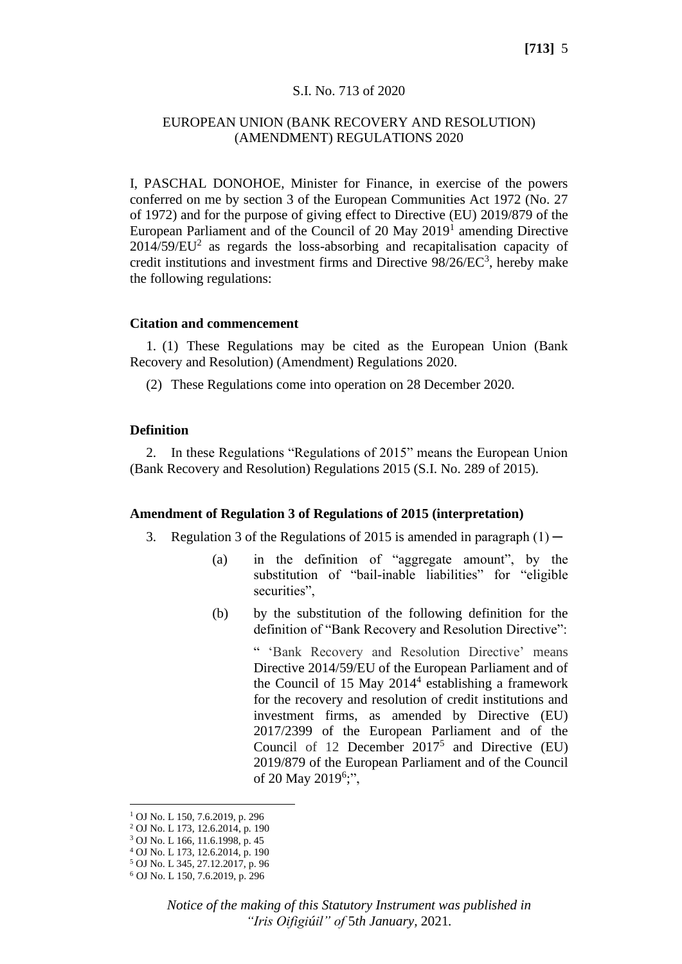### S.I. No. 713 of 2020

### EUROPEAN UNION (BANK RECOVERY AND RESOLUTION) (AMENDMENT) REGULATIONS 2020

I, PASCHAL DONOHOE, Minister for Finance, in exercise of the powers conferred on me by section 3 of the European Communities Act 1972 (No. 27 of 1972) and for the purpose of giving effect to Directive (EU) 2019/879 of the European Parliament and of the Council of 20 May 2019<sup>1</sup> amending Directive  $2014/59/EU<sup>2</sup>$  as regards the loss-absorbing and recapitalisation capacity of credit institutions and investment firms and Directive  $98/26/EC^3$ , hereby make the following regulations:

#### **Citation and commencement**

1. (1) These Regulations may be cited as the European Union (Bank Recovery and Resolution) (Amendment) Regulations 2020.

(2) These Regulations come into operation on 28 December 2020.

### **Definition**

2. In these Regulations "Regulations of 2015" means the European Union (Bank Recovery and Resolution) Regulations 2015 (S.I. No. 289 of 2015).

#### **Amendment of Regulation 3 of Regulations of 2015 (interpretation)**

- 3. Regulation 3 of the Regulations of 2015 is amended in paragraph  $(1)$ 
	- (a) in the definition of "aggregate amount", by the substitution of "bail-inable liabilities" for "eligible securities".
	- (b) by the substitution of the following definition for the definition of "Bank Recovery and Resolution Directive":

" 'Bank Recovery and Resolution Directive' means Directive 2014/59/EU of the European Parliament and of the Council of 15 May 2014<sup>4</sup> establishing a framework for the recovery and resolution of credit institutions and investment firms, as amended by Directive (EU) 2017/2399 of the European Parliament and of the Council of 12 December  $2017^5$  and Directive (EU) 2019/879 of the European Parliament and of the Council of 20 May 2019<sup>6</sup>;",

<sup>1</sup> OJ No. L 150, 7.6.2019, p. 296

<sup>2</sup> OJ No. L 173, 12.6.2014, p*.* 190

<sup>3</sup> OJ No. L 166, 11.6.1998, p. 45

<sup>4</sup> OJ No. L 173, 12.6.2014, p. 190

<sup>5</sup> OJ No. L 345, 27.12.2017, p. 96

<sup>6</sup> OJ No. L 150, 7.6.2019, p. 296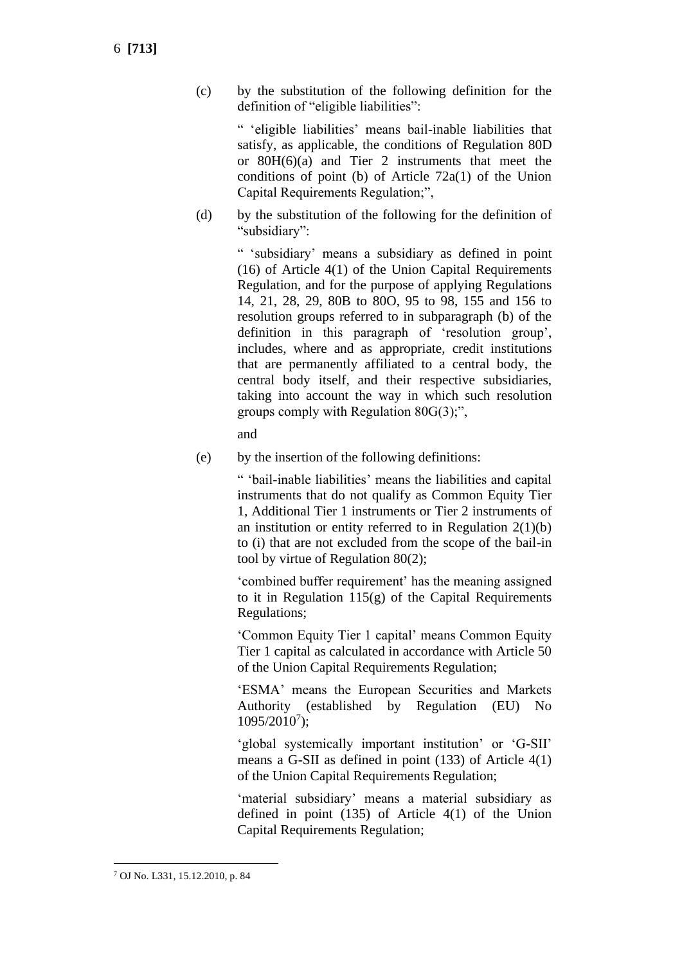(c) by the substitution of the following definition for the definition of "eligible liabilities":

> " 'eligible liabilities' means bail-inable liabilities that satisfy, as applicable, the conditions of Regulation 80D or 80H(6)(a) and Tier 2 instruments that meet the conditions of point (b) of Article 72a(1) of the Union Capital Requirements Regulation;",

(d) by the substitution of the following for the definition of "subsidiary":

> " 'subsidiary' means a subsidiary as defined in point (16) of Article 4(1) of the Union Capital Requirements Regulation, and for the purpose of applying Regulations 14, 21, 28, 29, 80B to 80O, 95 to 98, 155 and 156 to resolution groups referred to in subparagraph (b) of the definition in this paragraph of 'resolution group', includes, where and as appropriate, credit institutions that are permanently affiliated to a central body, the central body itself, and their respective subsidiaries, taking into account the way in which such resolution groups comply with Regulation 80G(3);",

and

(e) by the insertion of the following definitions:

" 'bail-inable liabilities' means the liabilities and capital instruments that do not qualify as Common Equity Tier 1, Additional Tier 1 instruments or Tier 2 instruments of an institution or entity referred to in Regulation  $2(1)(b)$ to (i) that are not excluded from the scope of the bail-in tool by virtue of Regulation 80(2);

'combined buffer requirement' has the meaning assigned to it in Regulation  $115(g)$  of the Capital Requirements Regulations;

'Common Equity Tier 1 capital' means Common Equity Tier 1 capital as calculated in accordance with Article 50 of the Union Capital Requirements Regulation;

'ESMA' means the European Securities and Markets Authority (established by Regulation (EU) No 1095/2010<sup>7</sup> );

'global systemically important institution' or 'G-SII' means a G-SII as defined in point (133) of Article 4(1) of the Union Capital Requirements Regulation;

'material subsidiary' means a material subsidiary as defined in point (135) of Article 4(1) of the Union Capital Requirements Regulation;

<sup>7</sup> OJ No. L331, 15.12.2010, p. 84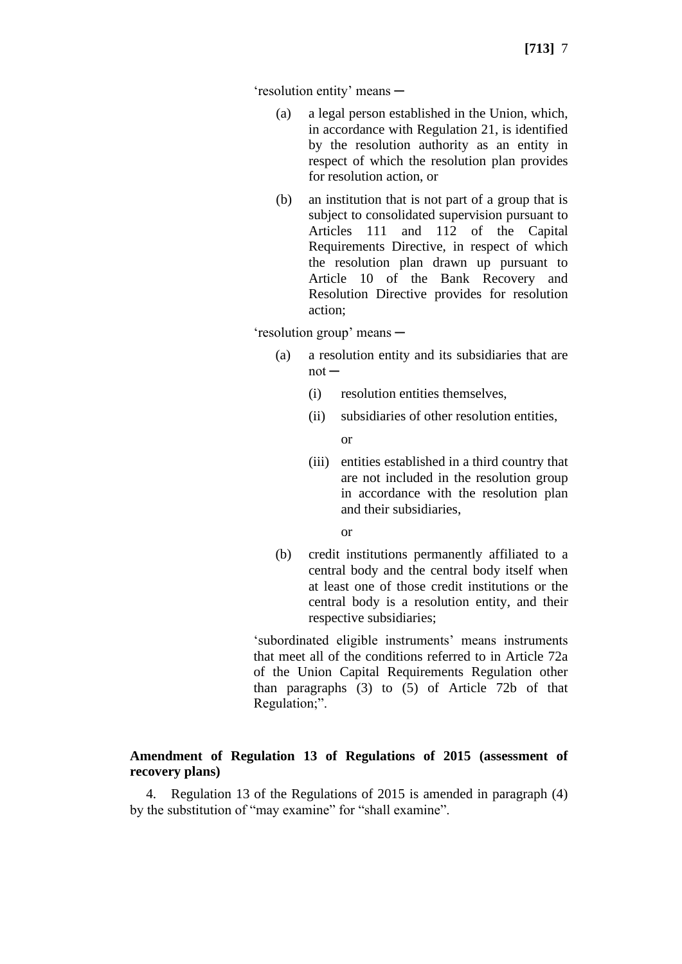'resolution entity' means ─

- (a) a legal person established in the Union, which, in accordance with Regulation 21, is identified by the resolution authority as an entity in respect of which the resolution plan provides for resolution action, or
- (b) an institution that is not part of a group that is subject to consolidated supervision pursuant to Articles 111 and 112 of the Capital Requirements Directive, in respect of which the resolution plan drawn up pursuant to Article 10 of the Bank Recovery and Resolution Directive provides for resolution action;

'resolution group' means ─

- (a) a resolution entity and its subsidiaries that are  $not -$ 
	- (i) resolution entities themselves,
	- (ii) subsidiaries of other resolution entities,

or

(iii) entities established in a third country that are not included in the resolution group in accordance with the resolution plan and their subsidiaries,

or

(b) credit institutions permanently affiliated to a central body and the central body itself when at least one of those credit institutions or the central body is a resolution entity, and their respective subsidiaries;

'subordinated eligible instruments' means instruments that meet all of the conditions referred to in Article 72a of the Union Capital Requirements Regulation other than paragraphs (3) to (5) of Article 72b of that Regulation;".

# **Amendment of Regulation 13 of Regulations of 2015 (assessment of recovery plans)**

4. Regulation 13 of the Regulations of 2015 is amended in paragraph (4) by the substitution of "may examine" for "shall examine".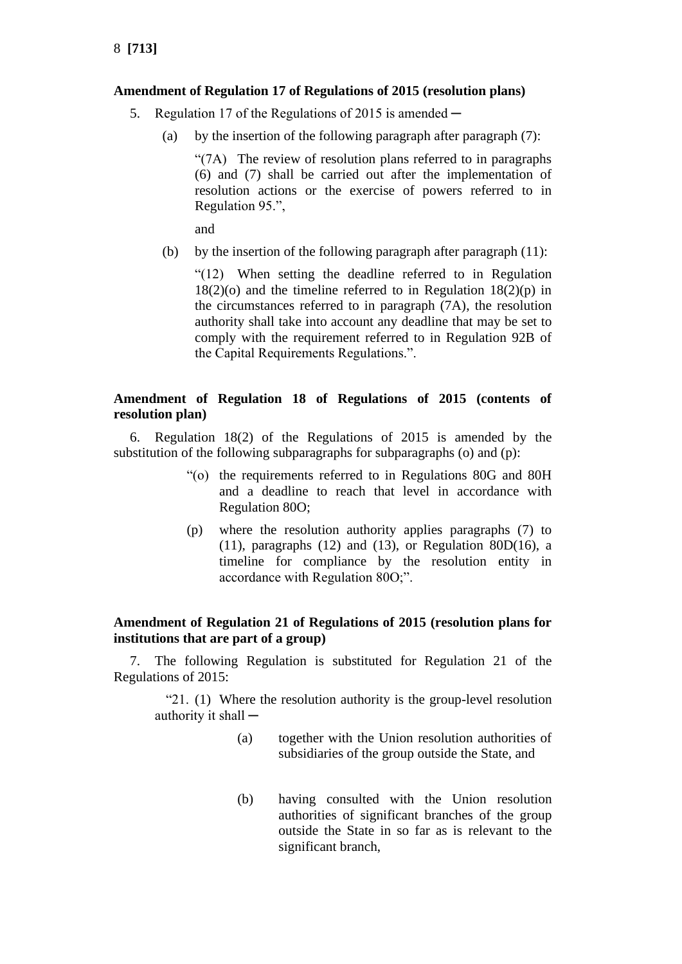### **Amendment of Regulation 17 of Regulations of 2015 (resolution plans)**

- 5. Regulation 17 of the Regulations of 2015 is amended  $-$ 
	- (a) by the insertion of the following paragraph after paragraph (7):

"(7A) The review of resolution plans referred to in paragraphs (6) and (7) shall be carried out after the implementation of resolution actions or the exercise of powers referred to in Regulation 95.",

and

(b) by the insertion of the following paragraph after paragraph  $(11)$ :

"(12) When setting the deadline referred to in Regulation  $18(2)(o)$  and the timeline referred to in Regulation  $18(2)(p)$  in the circumstances referred to in paragraph (7A), the resolution authority shall take into account any deadline that may be set to comply with the requirement referred to in Regulation 92B of the Capital Requirements Regulations.".

# **Amendment of Regulation 18 of Regulations of 2015 (contents of resolution plan)**

6. Regulation 18(2) of the Regulations of 2015 is amended by the substitution of the following subparagraphs for subparagraphs (o) and (p):

- "(o) the requirements referred to in Regulations 80G and 80H and a deadline to reach that level in accordance with Regulation 80O;
- (p) where the resolution authority applies paragraphs (7) to (11), paragraphs (12) and (13), or Regulation 80 $D(16)$ , a timeline for compliance by the resolution entity in accordance with Regulation 80O;".

# **Amendment of Regulation 21 of Regulations of 2015 (resolution plans for institutions that are part of a group)**

7. The following Regulation is substituted for Regulation 21 of the Regulations of 2015:

"21. (1) Where the resolution authority is the group-level resolution authority it shall  $-$ 

- (a) together with the Union resolution authorities of subsidiaries of the group outside the State, and
- (b) having consulted with the Union resolution authorities of significant branches of the group outside the State in so far as is relevant to the significant branch.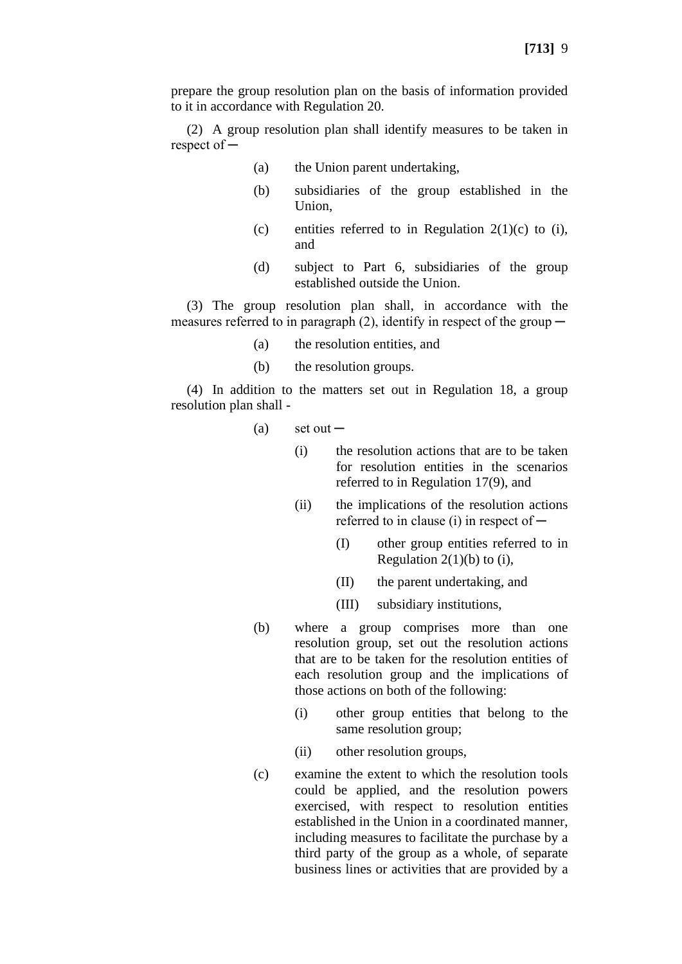prepare the group resolution plan on the basis of information provided to it in accordance with Regulation 20.

(2) A group resolution plan shall identify measures to be taken in respect of ─

- (a) the Union parent undertaking,
- (b) subsidiaries of the group established in the Union,
- (c) entities referred to in Regulation  $2(1)(c)$  to (i), and
- (d) subject to Part 6, subsidiaries of the group established outside the Union.

(3) The group resolution plan shall, in accordance with the measures referred to in paragraph (2), identify in respect of the group  $-$ 

- (a) the resolution entities, and
- (b) the resolution groups.

(4) In addition to the matters set out in Regulation 18, a group resolution plan shall -

- $(a)$  set out
	- (i) the resolution actions that are to be taken for resolution entities in the scenarios referred to in Regulation 17(9), and
	- (ii) the implications of the resolution actions referred to in clause (i) in respect of  $-$ 
		- (I) other group entities referred to in Regulation  $2(1)(b)$  to (i),
		- (II) the parent undertaking, and
		- (III) subsidiary institutions,
- (b) where a group comprises more than one resolution group, set out the resolution actions that are to be taken for the resolution entities of each resolution group and the implications of those actions on both of the following:
	- (i) other group entities that belong to the same resolution group;
	- (ii) other resolution groups,
- (c) examine the extent to which the resolution tools could be applied, and the resolution powers exercised, with respect to resolution entities established in the Union in a coordinated manner, including measures to facilitate the purchase by a third party of the group as a whole, of separate business lines or activities that are provided by a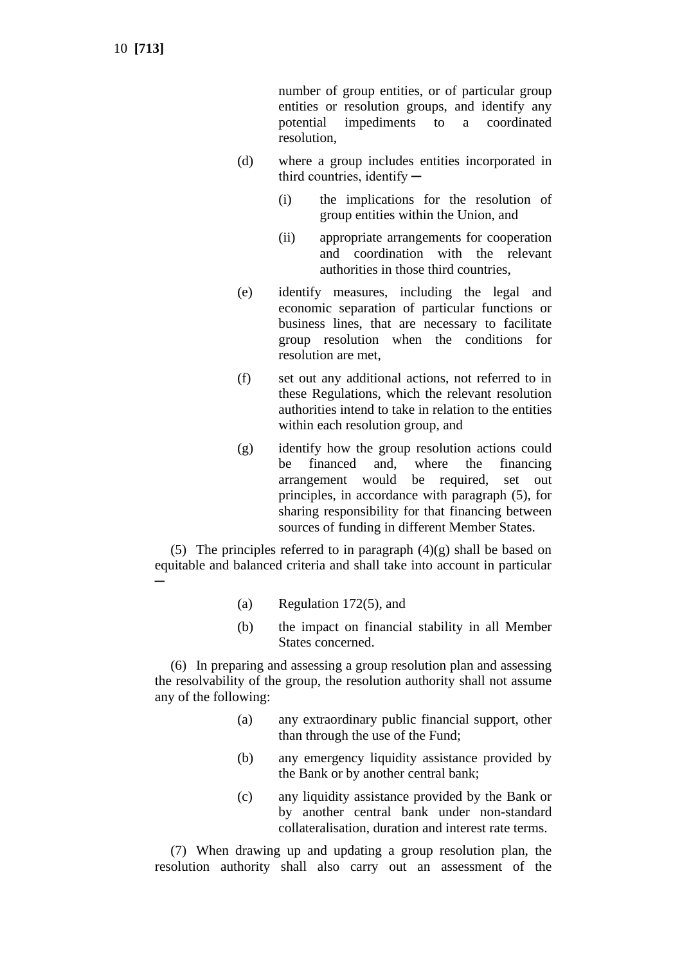10 **[713]**

number of group entities, or of particular group entities or resolution groups, and identify any potential impediments to a coordinated resolution,

- (d) where a group includes entities incorporated in third countries, identify  $-$ 
	- (i) the implications for the resolution of group entities within the Union, and
	- (ii) appropriate arrangements for cooperation and coordination with the relevant authorities in those third countries,
- (e) identify measures, including the legal and economic separation of particular functions or business lines, that are necessary to facilitate group resolution when the conditions for resolution are met,
- (f) set out any additional actions, not referred to in these Regulations, which the relevant resolution authorities intend to take in relation to the entities within each resolution group, and
- (g) identify how the group resolution actions could be financed and, where the financing arrangement would be required, set out principles, in accordance with paragraph (5), for sharing responsibility for that financing between sources of funding in different Member States.

(5) The principles referred to in paragraph  $(4)(g)$  shall be based on equitable and balanced criteria and shall take into account in particular ─

- (a) Regulation 172(5), and
- (b) the impact on financial stability in all Member States concerned.

(6) In preparing and assessing a group resolution plan and assessing the resolvability of the group, the resolution authority shall not assume any of the following:

- (a) any extraordinary public financial support, other than through the use of the Fund;
- (b) any emergency liquidity assistance provided by the Bank or by another central bank;
- (c) any liquidity assistance provided by the Bank or by another central bank under non-standard collateralisation, duration and interest rate terms.

(7) When drawing up and updating a group resolution plan, the resolution authority shall also carry out an assessment of the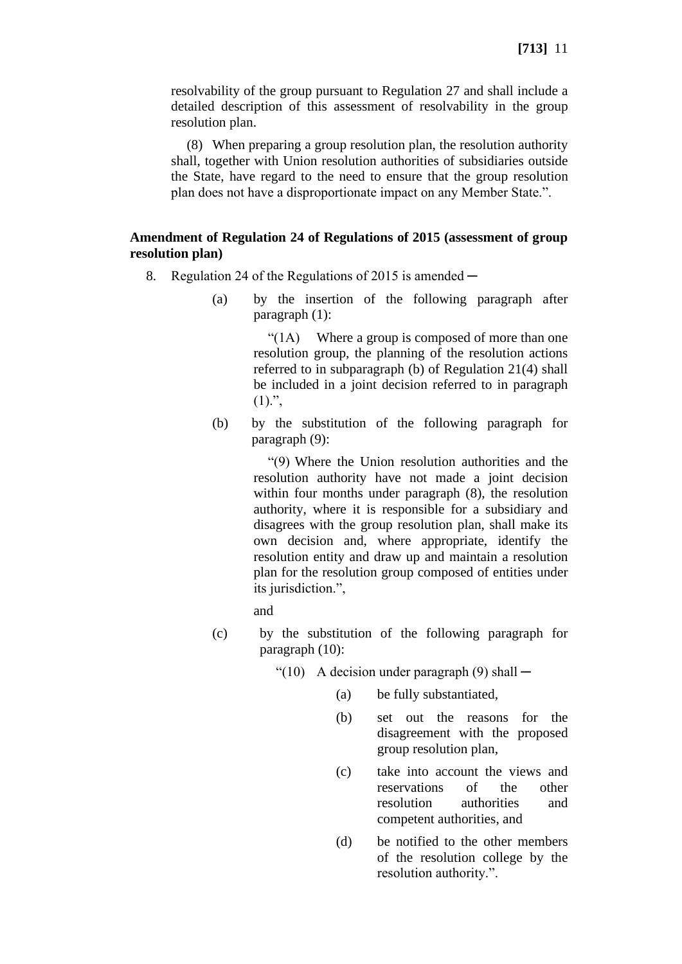resolvability of the group pursuant to Regulation 27 and shall include a detailed description of this assessment of resolvability in the group resolution plan.

(8) When preparing a group resolution plan, the resolution authority shall, together with Union resolution authorities of subsidiaries outside the State, have regard to the need to ensure that the group resolution plan does not have a disproportionate impact on any Member State.".

# **Amendment of Regulation 24 of Regulations of 2015 (assessment of group resolution plan)**

- 8. Regulation 24 of the Regulations of 2015 is amended
	- (a) by the insertion of the following paragraph after paragraph (1):

"(1A) Where a group is composed of more than one resolution group, the planning of the resolution actions referred to in subparagraph (b) of Regulation 21(4) shall be included in a joint decision referred to in paragraph  $(1).$ ",

(b) by the substitution of the following paragraph for paragraph (9):

> "(9) Where the Union resolution authorities and the resolution authority have not made a joint decision within four months under paragraph (8), the resolution authority, where it is responsible for a subsidiary and disagrees with the group resolution plan, shall make its own decision and, where appropriate, identify the resolution entity and draw up and maintain a resolution plan for the resolution group composed of entities under its jurisdiction.",

and

- (c) by the substitution of the following paragraph for paragraph (10):
	- "(10) A decision under paragraph  $(9)$  shall  $-$ 
		- (a) be fully substantiated,
		- (b) set out the reasons for the disagreement with the proposed group resolution plan,
		- (c) take into account the views and reservations of the other resolution authorities and competent authorities, and
		- (d) be notified to the other members of the resolution college by the resolution authority.".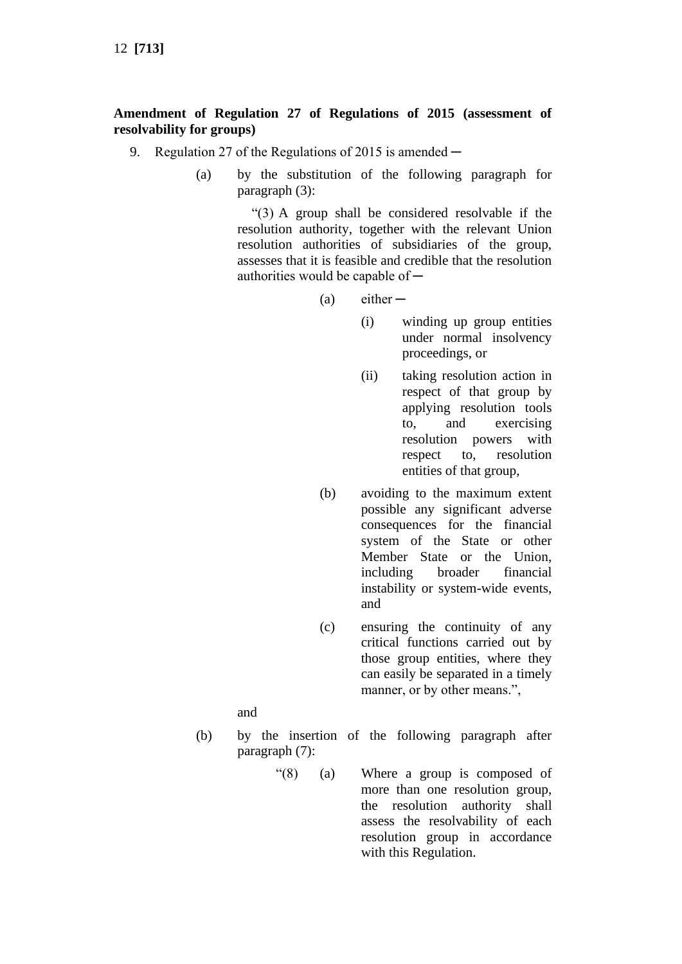# **Amendment of Regulation 27 of Regulations of 2015 (assessment of resolvability for groups)**

- 9. Regulation 27 of the Regulations of 2015 is amended  $-$ 
	- (a) by the substitution of the following paragraph for paragraph (3):

"(3) A group shall be considered resolvable if the resolution authority, together with the relevant Union resolution authorities of subsidiaries of the group, assesses that it is feasible and credible that the resolution authorities would be capable of  $-$ 

 $(a)$  either  $-$ 

- (i) winding up group entities under normal insolvency proceedings, or
- (ii) taking resolution action in respect of that group by applying resolution tools to, and exercising resolution powers with respect to, resolution entities of that group,
- (b) avoiding to the maximum extent possible any significant adverse consequences for the financial system of the State or other Member State or the Union, including broader financial instability or system-wide events, and
- (c) ensuring the continuity of any critical functions carried out by those group entities, where they can easily be separated in a timely manner, or by other means.",

and

- (b) by the insertion of the following paragraph after paragraph (7):
	- "(8) (a) Where a group is composed of more than one resolution group, the resolution authority shall assess the resolvability of each resolution group in accordance with this Regulation.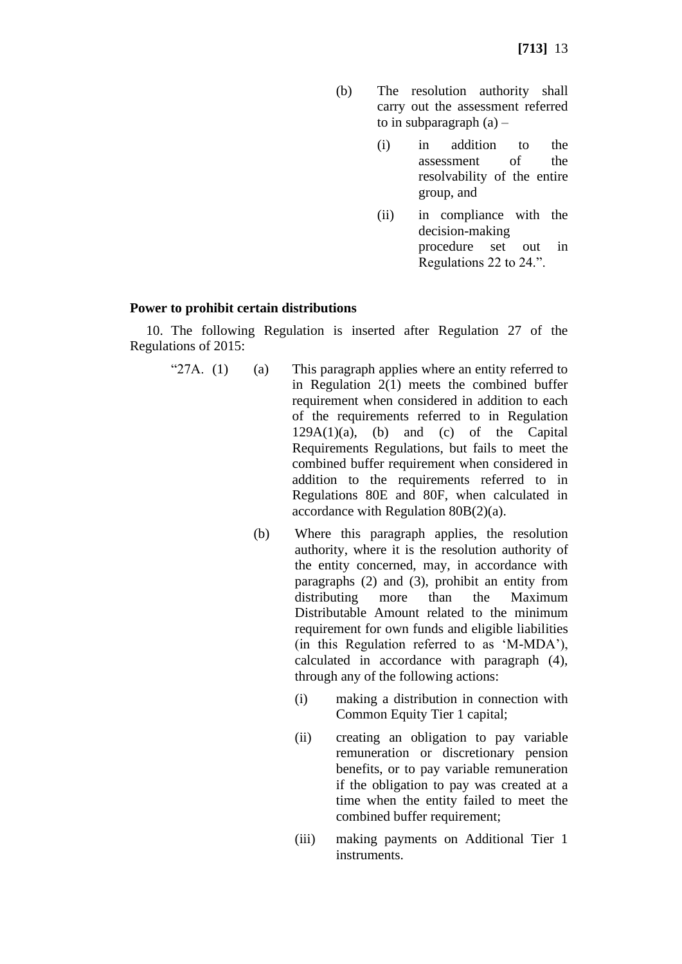- (b) The resolution authority shall carry out the assessment referred to in subparagraph  $(a)$  –
	- (i) in addition to the assessment of the resolvability of the entire group, and
	- (ii) in compliance with the decision-making procedure set out in Regulations 22 to 24.".

### **Power to prohibit certain distributions**

10. The following Regulation is inserted after Regulation 27 of the Regulations of 2015:

- " $27A. (1)$  (a) This paragraph applies where an entity referred to in Regulation 2(1) meets the combined buffer requirement when considered in addition to each of the requirements referred to in Regulation  $129A(1)(a)$ , (b) and (c) of the Capital Requirements Regulations, but fails to meet the combined buffer requirement when considered in addition to the requirements referred to in Regulations 80E and 80F, when calculated in accordance with Regulation 80B(2)(a).
	- (b) Where this paragraph applies, the resolution authority, where it is the resolution authority of the entity concerned, may, in accordance with paragraphs (2) and (3), prohibit an entity from distributing more than the Maximum Distributable Amount related to the minimum requirement for own funds and eligible liabilities (in this Regulation referred to as 'M-MDA'), calculated in accordance with paragraph (4), through any of the following actions:
		- (i) making a distribution in connection with Common Equity Tier 1 capital;
		- (ii) creating an obligation to pay variable remuneration or discretionary pension benefits, or to pay variable remuneration if the obligation to pay was created at a time when the entity failed to meet the combined buffer requirement;
		- (iii) making payments on Additional Tier 1 instruments.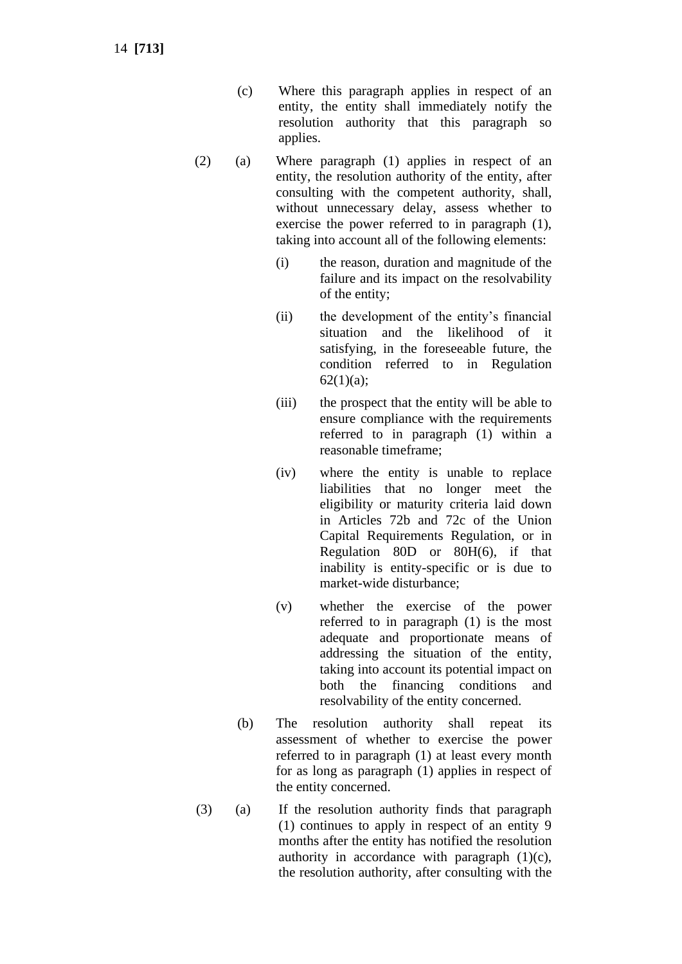- (c) Where this paragraph applies in respect of an entity, the entity shall immediately notify the resolution authority that this paragraph so applies.
- (2) (a) Where paragraph (1) applies in respect of an entity, the resolution authority of the entity, after consulting with the competent authority, shall, without unnecessary delay, assess whether to exercise the power referred to in paragraph (1), taking into account all of the following elements:
	- (i) the reason, duration and magnitude of the failure and its impact on the resolvability of the entity;
	- (ii) the development of the entity's financial situation and the likelihood of it satisfying, in the foreseeable future, the condition referred to in Regulation  $62(1)(a);$
	- (iii) the prospect that the entity will be able to ensure compliance with the requirements referred to in paragraph (1) within a reasonable timeframe;
	- (iv) where the entity is unable to replace liabilities that no longer meet the eligibility or maturity criteria laid down in Articles 72b and 72c of the Union Capital Requirements Regulation, or in Regulation 80D or 80H(6), if that inability is entity-specific or is due to market-wide disturbance;
	- (v) whether the exercise of the power referred to in paragraph (1) is the most adequate and proportionate means of addressing the situation of the entity, taking into account its potential impact on both the financing conditions and resolvability of the entity concerned.
	- (b) The resolution authority shall repeat its assessment of whether to exercise the power referred to in paragraph (1) at least every month for as long as paragraph (1) applies in respect of the entity concerned.
- (3) (a) If the resolution authority finds that paragraph (1) continues to apply in respect of an entity 9 months after the entity has notified the resolution authority in accordance with paragraph  $(1)(c)$ , the resolution authority, after consulting with the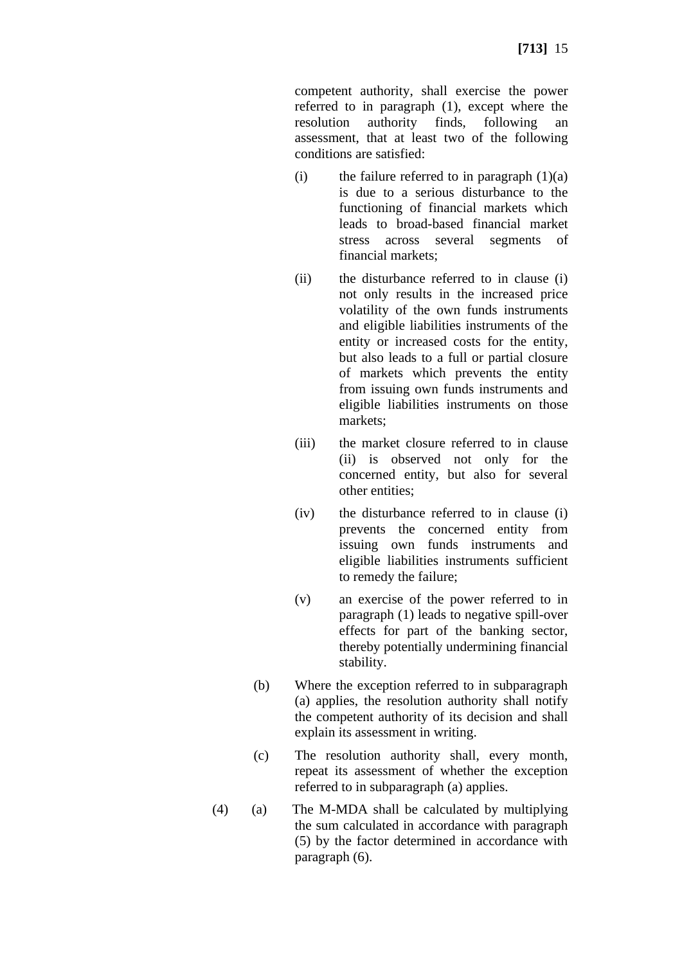competent authority, shall exercise the power referred to in paragraph (1), except where the resolution authority finds, following an assessment, that at least two of the following conditions are satisfied:

- (i) the failure referred to in paragraph  $(1)(a)$ is due to a serious disturbance to the functioning of financial markets which leads to broad-based financial market stress across several segments of financial markets;
- (ii) the disturbance referred to in clause (i) not only results in the increased price volatility of the own funds instruments and eligible liabilities instruments of the entity or increased costs for the entity, but also leads to a full or partial closure of markets which prevents the entity from issuing own funds instruments and eligible liabilities instruments on those markets;
- (iii) the market closure referred to in clause (ii) is observed not only for the concerned entity, but also for several other entities;
- (iv) the disturbance referred to in clause (i) prevents the concerned entity from issuing own funds instruments and eligible liabilities instruments sufficient to remedy the failure;
- (v) an exercise of the power referred to in paragraph (1) leads to negative spill-over effects for part of the banking sector, thereby potentially undermining financial stability.
- (b) Where the exception referred to in subparagraph (a) applies, the resolution authority shall notify the competent authority of its decision and shall explain its assessment in writing.
- (c) The resolution authority shall, every month, repeat its assessment of whether the exception referred to in subparagraph (a) applies.
- (4) (a) The M-MDA shall be calculated by multiplying the sum calculated in accordance with paragraph (5) by the factor determined in accordance with paragraph (6).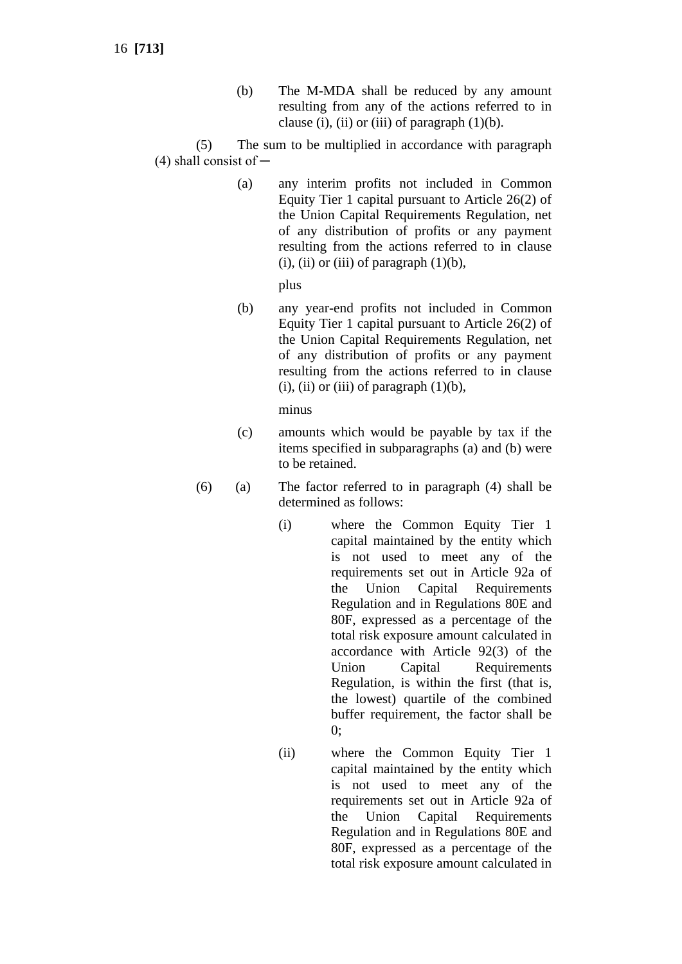(b) The M-MDA shall be reduced by any amount resulting from any of the actions referred to in clause (i), (ii) or (iii) of paragraph  $(1)(b)$ .

(5) The sum to be multiplied in accordance with paragraph  $(4)$  shall consist of  $-$ 

> (a) any interim profits not included in Common Equity Tier 1 capital pursuant to Article 26(2) of the Union Capital Requirements Regulation, net of any distribution of profits or any payment resulting from the actions referred to in clause (i), (ii) or (iii) of paragraph  $(1)(b)$ ,

> > plus

(b) any year-end profits not included in Common Equity Tier 1 capital pursuant to Article 26(2) of the Union Capital Requirements Regulation, net of any distribution of profits or any payment resulting from the actions referred to in clause (i), (ii) or (iii) of paragraph  $(1)(b)$ ,

minus

- (c) amounts which would be payable by tax if the items specified in subparagraphs (a) and (b) were to be retained.
- (6) (a) The factor referred to in paragraph (4) shall be determined as follows:
	- (i) where the Common Equity Tier 1 capital maintained by the entity which is not used to meet any of the requirements set out in Article 92a of the Union Capital Requirements Regulation and in Regulations 80E and 80F, expressed as a percentage of the total risk exposure amount calculated in accordance with Article 92(3) of the Union Capital Requirements Regulation, is within the first (that is, the lowest) quartile of the combined buffer requirement, the factor shall be 0;
	- (ii) where the Common Equity Tier 1 capital maintained by the entity which is not used to meet any of the requirements set out in Article 92a of the Union Capital Requirements Regulation and in Regulations 80E and 80F, expressed as a percentage of the total risk exposure amount calculated in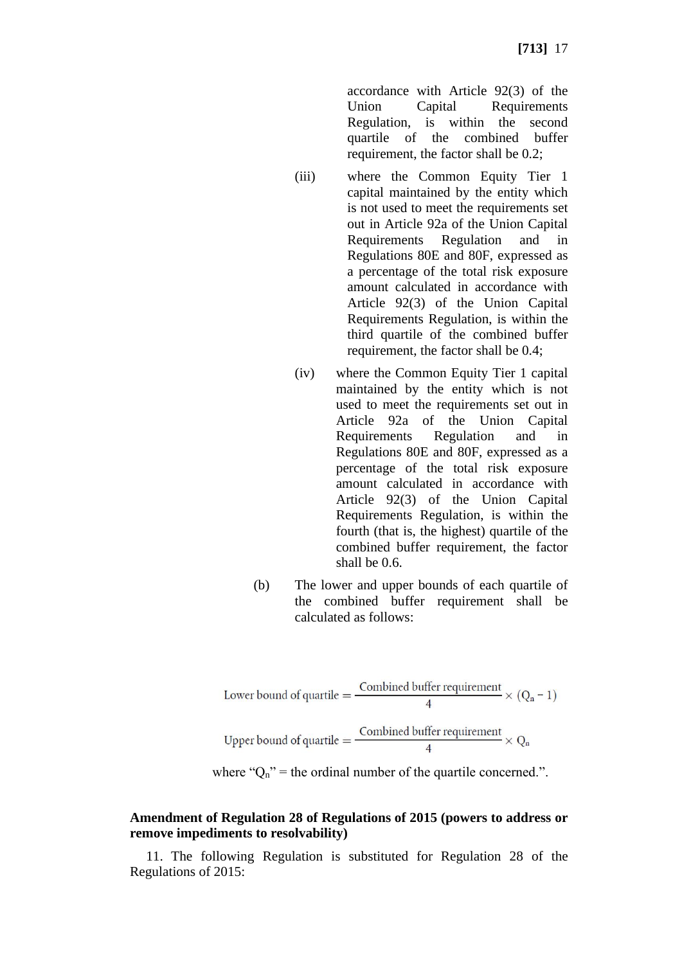accordance with Article 92(3) of the Union Capital Requirements Regulation, is within the second quartile of the combined buffer requirement, the factor shall be 0.2;

- (iii) where the Common Equity Tier 1 capital maintained by the entity which is not used to meet the requirements set out in Article 92a of the Union Capital Requirements Regulation and in Regulations 80E and 80F, expressed as a percentage of the total risk exposure amount calculated in accordance with Article 92(3) of the Union Capital Requirements Regulation, is within the third quartile of the combined buffer requirement, the factor shall be 0.4;
- (iv) where the Common Equity Tier 1 capital maintained by the entity which is not used to meet the requirements set out in Article 92a of the Union Capital Requirements Regulation and in Regulations 80E and 80F, expressed as a percentage of the total risk exposure amount calculated in accordance with Article 92(3) of the Union Capital Requirements Regulation, is within the fourth (that is, the highest) quartile of the combined buffer requirement, the factor shall be 0.6.
- (b) The lower and upper bounds of each quartile of the combined buffer requirement shall be calculated as follows:

Lower bound of quartile = 
$$
\frac{\text{Combined buffer requirement}}{4} \times (Q_n - 1)
$$
Upper bound of quartile = 
$$
\frac{\text{Combined buffer requirement}}{4} \times Q_n
$$

where " $O_n$ " = the ordinal number of the quartile concerned.".

### **Amendment of Regulation 28 of Regulations of 2015 (powers to address or remove impediments to resolvability)**

11. The following Regulation is substituted for Regulation 28 of the Regulations of 2015: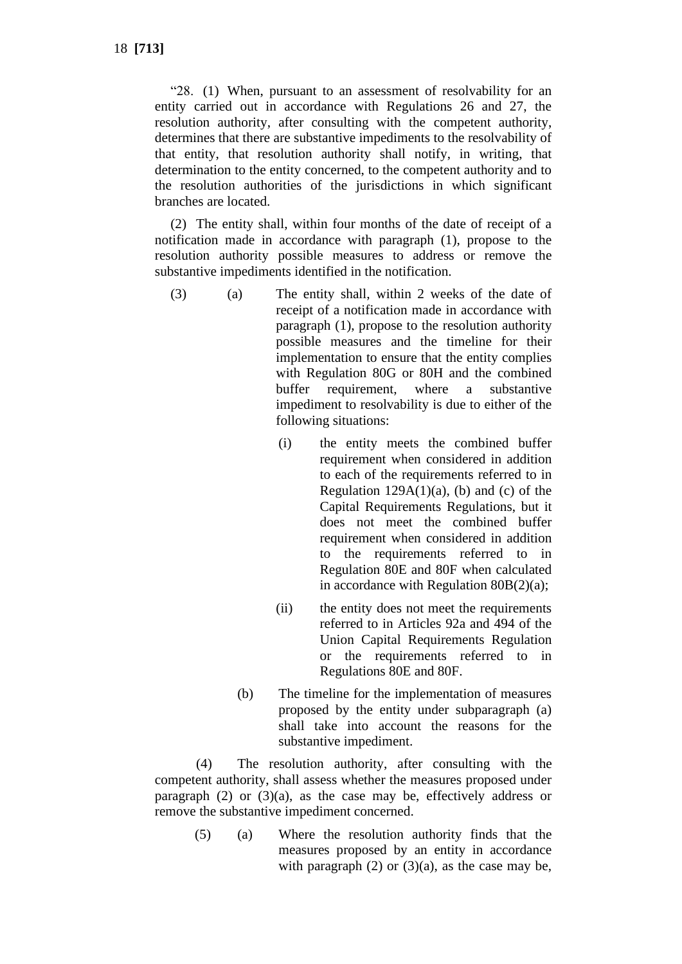"28. (1) When, pursuant to an assessment of resolvability for an entity carried out in accordance with Regulations 26 and 27, the resolution authority, after consulting with the competent authority, determines that there are substantive impediments to the resolvability of that entity, that resolution authority shall notify, in writing, that determination to the entity concerned, to the competent authority and to the resolution authorities of the jurisdictions in which significant branches are located.

(2) The entity shall, within four months of the date of receipt of a notification made in accordance with paragraph (1), propose to the resolution authority possible measures to address or remove the substantive impediments identified in the notification.

- (3) (a) The entity shall, within 2 weeks of the date of receipt of a notification made in accordance with paragraph (1), propose to the resolution authority possible measures and the timeline for their implementation to ensure that the entity complies with Regulation 80G or 80H and the combined buffer requirement, where a substantive impediment to resolvability is due to either of the following situations:
	- (i) the entity meets the combined buffer requirement when considered in addition to each of the requirements referred to in Regulation  $129A(1)(a)$ , (b) and (c) of the Capital Requirements Regulations, but it does not meet the combined buffer requirement when considered in addition to the requirements referred to in Regulation 80E and 80F when calculated in accordance with Regulation 80B(2)(a);
	- (ii) the entity does not meet the requirements referred to in Articles 92a and 494 of the Union Capital Requirements Regulation or the requirements referred to in Regulations 80E and 80F.
	- (b) The timeline for the implementation of measures proposed by the entity under subparagraph (a) shall take into account the reasons for the substantive impediment.

(4) The resolution authority, after consulting with the competent authority, shall assess whether the measures proposed under paragraph  $(2)$  or  $(3)(a)$ , as the case may be, effectively address or remove the substantive impediment concerned.

(5) (a) Where the resolution authority finds that the measures proposed by an entity in accordance with paragraph  $(2)$  or  $(3)(a)$ , as the case may be,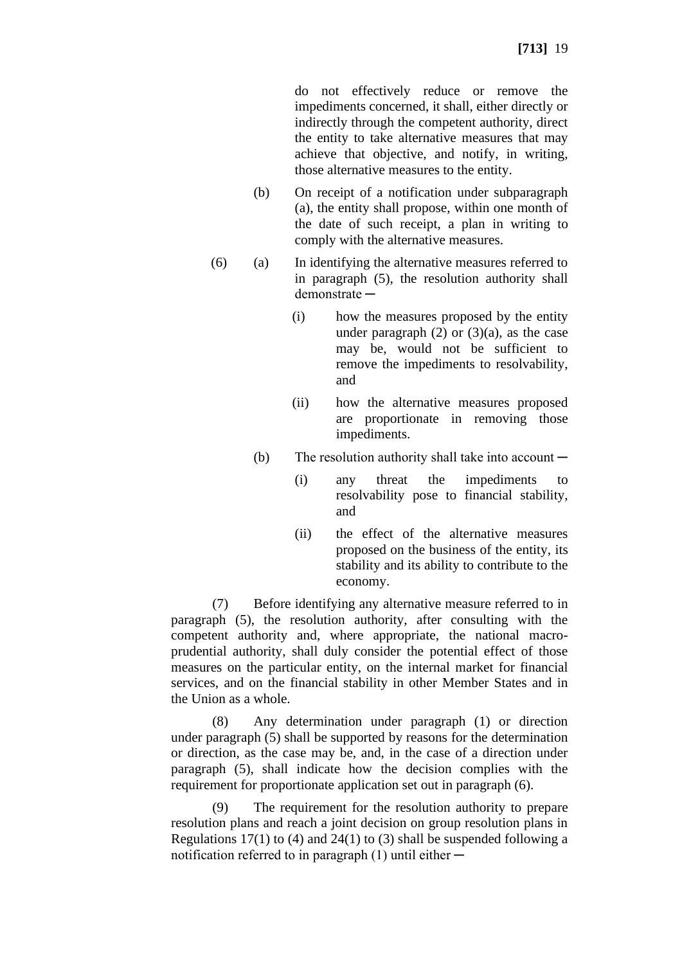do not effectively reduce or remove the impediments concerned, it shall, either directly or indirectly through the competent authority, direct the entity to take alternative measures that may achieve that objective, and notify, in writing, those alternative measures to the entity.

- (b) On receipt of a notification under subparagraph (a), the entity shall propose, within one month of the date of such receipt, a plan in writing to comply with the alternative measures.
- (6) (a) In identifying the alternative measures referred to in paragraph (5), the resolution authority shall demonstrate ─
	- (i) how the measures proposed by the entity under paragraph  $(2)$  or  $(3)(a)$ , as the case may be, would not be sufficient to remove the impediments to resolvability, and
	- (ii) how the alternative measures proposed are proportionate in removing those impediments.
	- (b) The resolution authority shall take into account  $-$ 
		- (i) any threat the impediments to resolvability pose to financial stability, and
		- (ii) the effect of the alternative measures proposed on the business of the entity, its stability and its ability to contribute to the economy.

(7) Before identifying any alternative measure referred to in paragraph (5), the resolution authority, after consulting with the competent authority and, where appropriate, the national macroprudential authority, shall duly consider the potential effect of those measures on the particular entity, on the internal market for financial services, and on the financial stability in other Member States and in the Union as a whole.

(8) Any determination under paragraph (1) or direction under paragraph (5) shall be supported by reasons for the determination or direction, as the case may be, and, in the case of a direction under paragraph (5), shall indicate how the decision complies with the requirement for proportionate application set out in paragraph (6).

(9) The requirement for the resolution authority to prepare resolution plans and reach a joint decision on group resolution plans in Regulations 17(1) to (4) and 24(1) to (3) shall be suspended following a notification referred to in paragraph  $(1)$  until either  $-$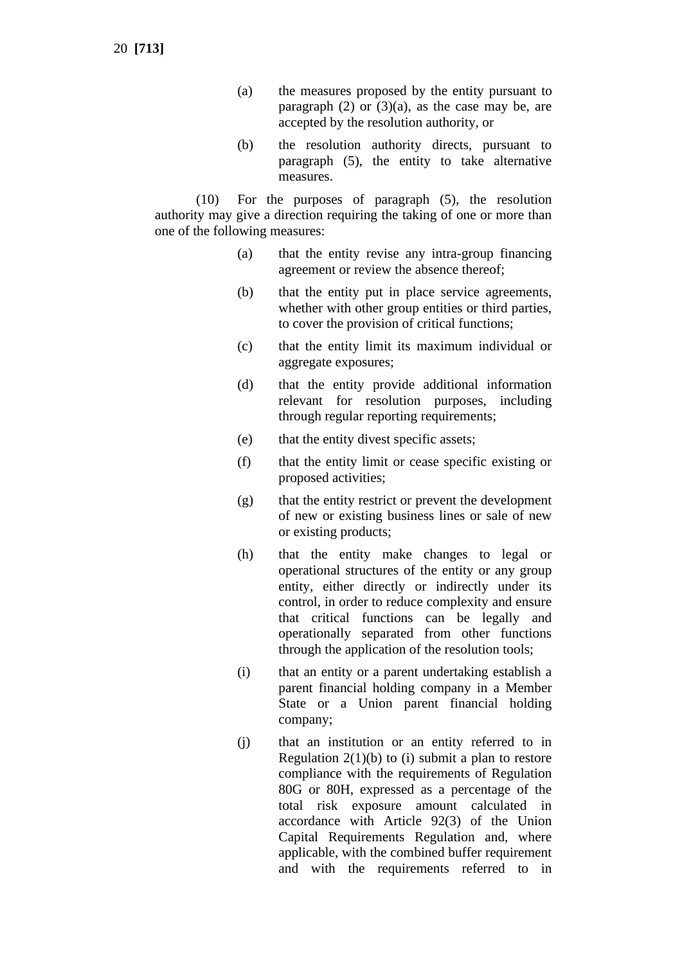20 **[713]**

- (a) the measures proposed by the entity pursuant to paragraph  $(2)$  or  $(3)(a)$ , as the case may be, are accepted by the resolution authority, or
- (b) the resolution authority directs, pursuant to paragraph (5), the entity to take alternative measures.

(10) For the purposes of paragraph (5), the resolution authority may give a direction requiring the taking of one or more than one of the following measures:

- (a) that the entity revise any intra-group financing agreement or review the absence thereof;
- (b) that the entity put in place service agreements, whether with other group entities or third parties, to cover the provision of critical functions;
- (c) that the entity limit its maximum individual or aggregate exposures;
- (d) that the entity provide additional information relevant for resolution purposes, including through regular reporting requirements;
- (e) that the entity divest specific assets;
- (f) that the entity limit or cease specific existing or proposed activities;
- (g) that the entity restrict or prevent the development of new or existing business lines or sale of new or existing products;
- (h) that the entity make changes to legal or operational structures of the entity or any group entity, either directly or indirectly under its control, in order to reduce complexity and ensure that critical functions can be legally and operationally separated from other functions through the application of the resolution tools;
- (i) that an entity or a parent undertaking establish a parent financial holding company in a Member State or a Union parent financial holding company;
- (j) that an institution or an entity referred to in Regulation  $2(1)(b)$  to (i) submit a plan to restore compliance with the requirements of Regulation 80G or 80H, expressed as a percentage of the total risk exposure amount calculated in accordance with Article 92(3) of the Union Capital Requirements Regulation and, where applicable, with the combined buffer requirement and with the requirements referred to in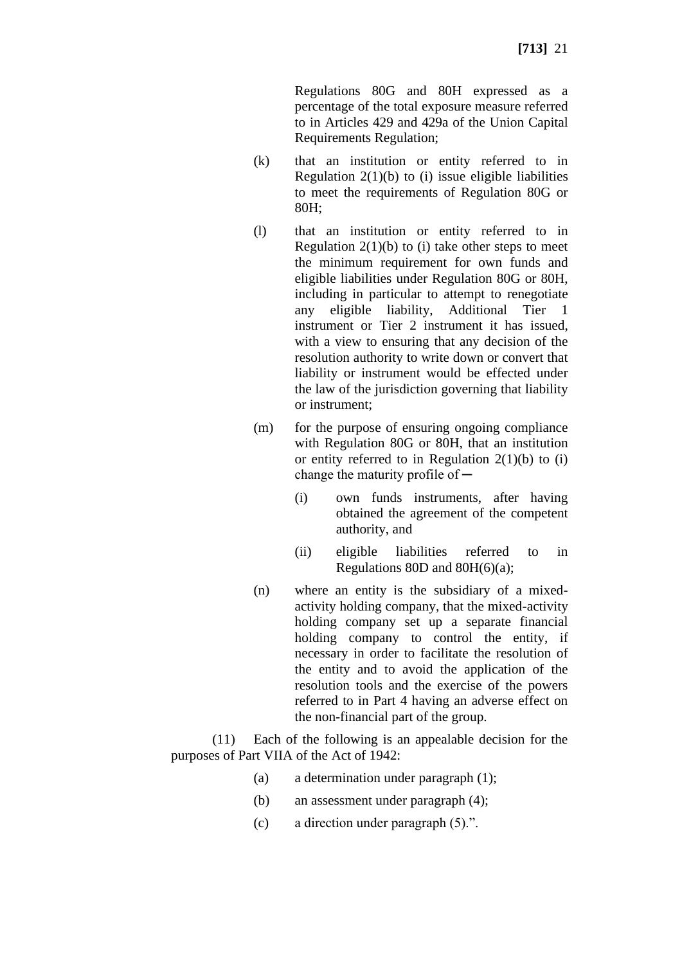Regulations 80G and 80H expressed as a percentage of the total exposure measure referred to in Articles 429 and 429a of the Union Capital Requirements Regulation;

- (k) that an institution or entity referred to in Regulation  $2(1)(b)$  to (i) issue eligible liabilities to meet the requirements of Regulation 80G or 80H;
- (l) that an institution or entity referred to in Regulation  $2(1)(b)$  to (i) take other steps to meet the minimum requirement for own funds and eligible liabilities under Regulation 80G or 80H, including in particular to attempt to renegotiate any eligible liability, Additional Tier 1 instrument or Tier 2 instrument it has issued, with a view to ensuring that any decision of the resolution authority to write down or convert that liability or instrument would be effected under the law of the jurisdiction governing that liability or instrument;
- (m) for the purpose of ensuring ongoing compliance with Regulation 80G or 80H, that an institution or entity referred to in Regulation  $2(1)(b)$  to (i) change the maturity profile of  $-$ 
	- (i) own funds instruments, after having obtained the agreement of the competent authority, and
	- (ii) eligible liabilities referred to in Regulations 80D and 80H(6)(a);
- (n) where an entity is the subsidiary of a mixedactivity holding company, that the mixed-activity holding company set up a separate financial holding company to control the entity, if necessary in order to facilitate the resolution of the entity and to avoid the application of the resolution tools and the exercise of the powers referred to in Part 4 having an adverse effect on the non-financial part of the group.

(11) Each of the following is an appealable decision for the purposes of Part VIIA of the Act of 1942:

- (a) a determination under paragraph (1);
- (b) an assessment under paragraph (4);
- (c) a direction under paragraph (5).".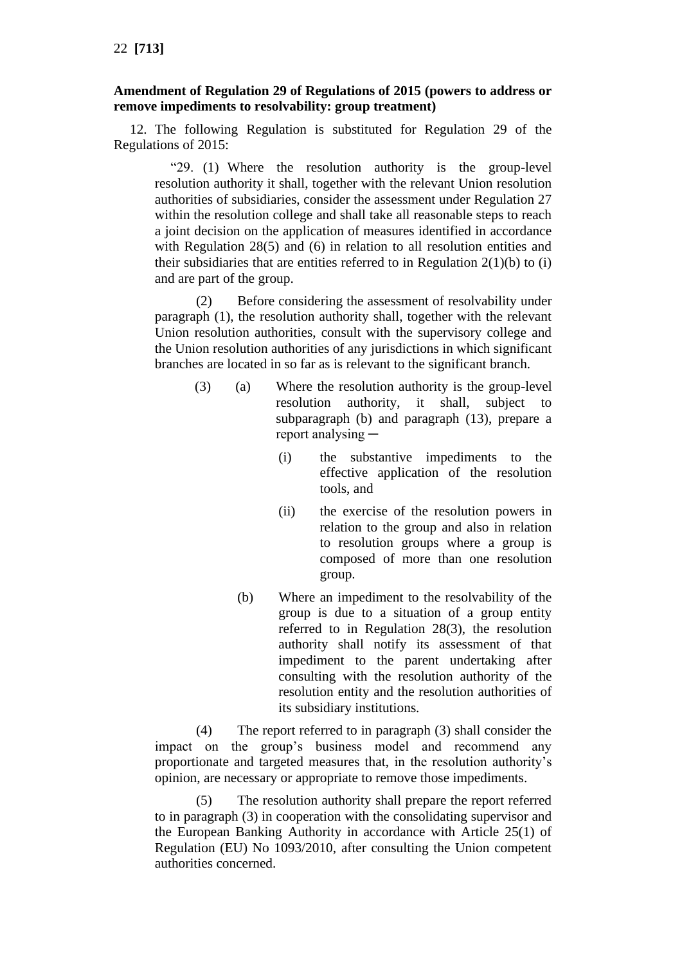# **Amendment of Regulation 29 of Regulations of 2015 (powers to address or remove impediments to resolvability: group treatment)**

12. The following Regulation is substituted for Regulation 29 of the Regulations of 2015:

"29. (1) Where the resolution authority is the group-level resolution authority it shall, together with the relevant Union resolution authorities of subsidiaries, consider the assessment under Regulation 27 within the resolution college and shall take all reasonable steps to reach a joint decision on the application of measures identified in accordance with Regulation 28(5) and (6) in relation to all resolution entities and their subsidiaries that are entities referred to in Regulation  $2(1)(b)$  to (i) and are part of the group.

(2) Before considering the assessment of resolvability under paragraph (1), the resolution authority shall, together with the relevant Union resolution authorities, consult with the supervisory college and the Union resolution authorities of any jurisdictions in which significant branches are located in so far as is relevant to the significant branch.

- (3) (a) Where the resolution authority is the group-level resolution authority, it shall, subject to subparagraph (b) and paragraph (13), prepare a report analysing —
	- (i) the substantive impediments to the effective application of the resolution tools, and
	- (ii) the exercise of the resolution powers in relation to the group and also in relation to resolution groups where a group is composed of more than one resolution group.
	- (b) Where an impediment to the resolvability of the group is due to a situation of a group entity referred to in Regulation 28(3), the resolution authority shall notify its assessment of that impediment to the parent undertaking after consulting with the resolution authority of the resolution entity and the resolution authorities of its subsidiary institutions.

(4) The report referred to in paragraph (3) shall consider the impact on the group's business model and recommend any proportionate and targeted measures that, in the resolution authority's opinion, are necessary or appropriate to remove those impediments.

(5) The resolution authority shall prepare the report referred to in paragraph (3) in cooperation with the consolidating supervisor and the European Banking Authority in accordance with Article 25(1) of Regulation (EU) No 1093/2010, after consulting the Union competent authorities concerned.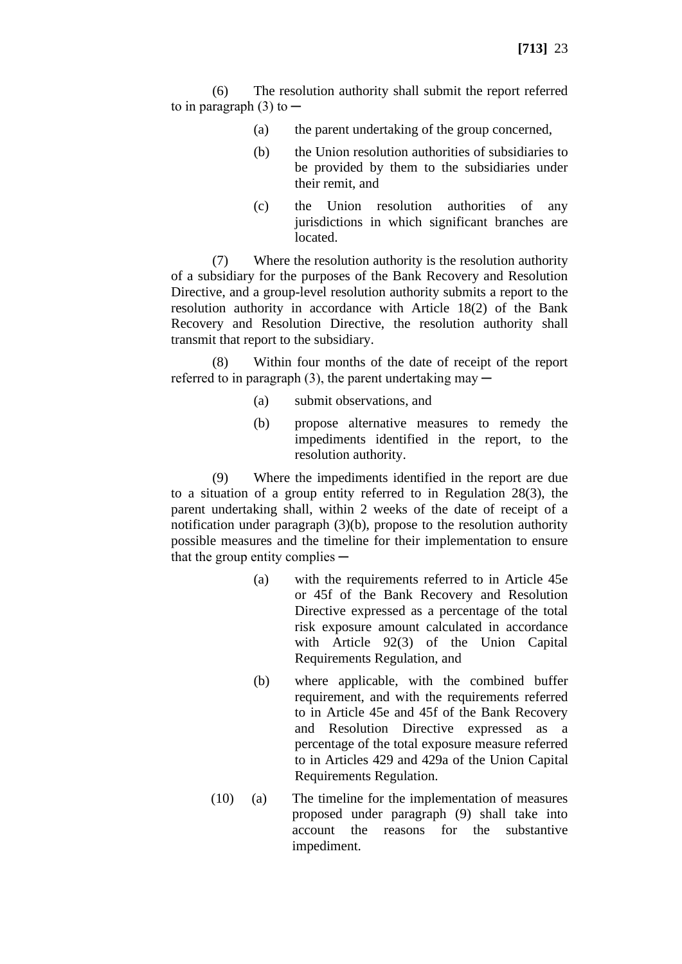(6) The resolution authority shall submit the report referred to in paragraph  $(3)$  to  $-$ 

- (a) the parent undertaking of the group concerned,
- (b) the Union resolution authorities of subsidiaries to be provided by them to the subsidiaries under their remit, and
- (c) the Union resolution authorities of any jurisdictions in which significant branches are located.

(7) Where the resolution authority is the resolution authority of a subsidiary for the purposes of the Bank Recovery and Resolution Directive, and a group-level resolution authority submits a report to the resolution authority in accordance with Article 18(2) of the Bank Recovery and Resolution Directive, the resolution authority shall transmit that report to the subsidiary.

(8) Within four months of the date of receipt of the report referred to in paragraph  $(3)$ , the parent undertaking may  $-$ 

- (a) submit observations, and
- (b) propose alternative measures to remedy the impediments identified in the report, to the resolution authority.

(9) Where the impediments identified in the report are due to a situation of a group entity referred to in Regulation 28(3), the parent undertaking shall, within 2 weeks of the date of receipt of a notification under paragraph (3)(b), propose to the resolution authority possible measures and the timeline for their implementation to ensure that the group entity complies —

- (a) with the requirements referred to in Article 45e or 45f of the Bank Recovery and Resolution Directive expressed as a percentage of the total risk exposure amount calculated in accordance with Article 92(3) of the Union Capital Requirements Regulation, and
- (b) where applicable, with the combined buffer requirement, and with the requirements referred to in Article 45e and 45f of the Bank Recovery and Resolution Directive expressed as a percentage of the total exposure measure referred to in Articles 429 and 429a of the Union Capital Requirements Regulation.
- (10) (a) The timeline for the implementation of measures proposed under paragraph (9) shall take into account the reasons for the substantive impediment.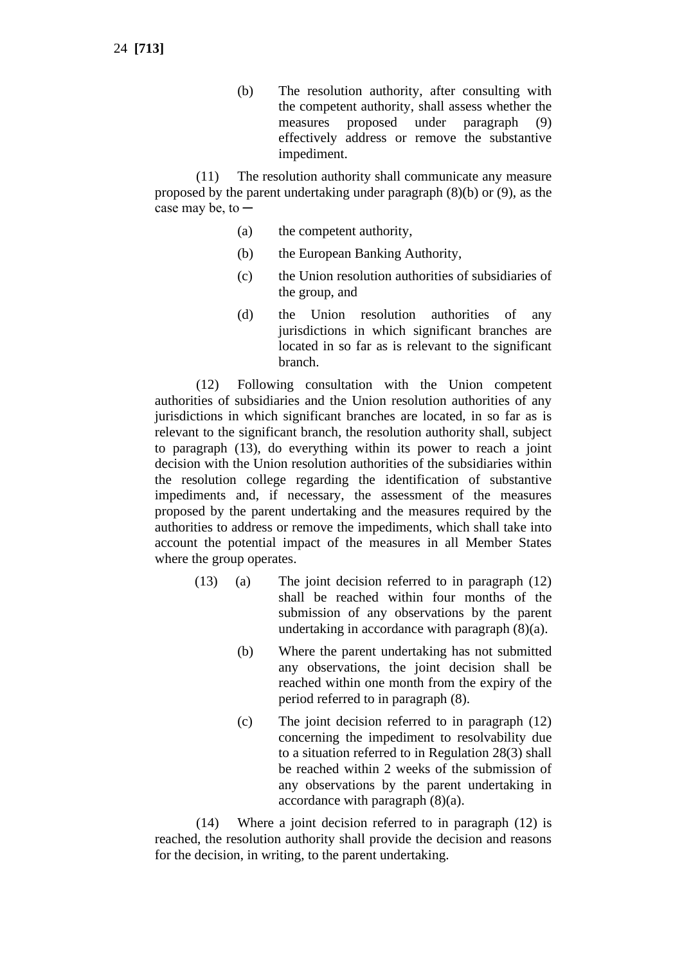(b) The resolution authority, after consulting with the competent authority, shall assess whether the measures proposed under paragraph (9) effectively address or remove the substantive impediment.

(11) The resolution authority shall communicate any measure proposed by the parent undertaking under paragraph (8)(b) or (9), as the case may be, to  $-$ 

- (a) the competent authority,
- (b) the European Banking Authority,
- (c) the Union resolution authorities of subsidiaries of the group, and
- (d) the Union resolution authorities of any jurisdictions in which significant branches are located in so far as is relevant to the significant branch.

(12) Following consultation with the Union competent authorities of subsidiaries and the Union resolution authorities of any jurisdictions in which significant branches are located, in so far as is relevant to the significant branch, the resolution authority shall, subject to paragraph (13), do everything within its power to reach a joint decision with the Union resolution authorities of the subsidiaries within the resolution college regarding the identification of substantive impediments and, if necessary, the assessment of the measures proposed by the parent undertaking and the measures required by the authorities to address or remove the impediments, which shall take into account the potential impact of the measures in all Member States where the group operates.

- (13) (a) The joint decision referred to in paragraph (12) shall be reached within four months of the submission of any observations by the parent undertaking in accordance with paragraph (8)(a).
	- (b) Where the parent undertaking has not submitted any observations, the joint decision shall be reached within one month from the expiry of the period referred to in paragraph (8).
	- (c) The joint decision referred to in paragraph (12) concerning the impediment to resolvability due to a situation referred to in Regulation 28(3) shall be reached within 2 weeks of the submission of any observations by the parent undertaking in accordance with paragraph (8)(a).

(14) Where a joint decision referred to in paragraph (12) is reached, the resolution authority shall provide the decision and reasons for the decision, in writing, to the parent undertaking.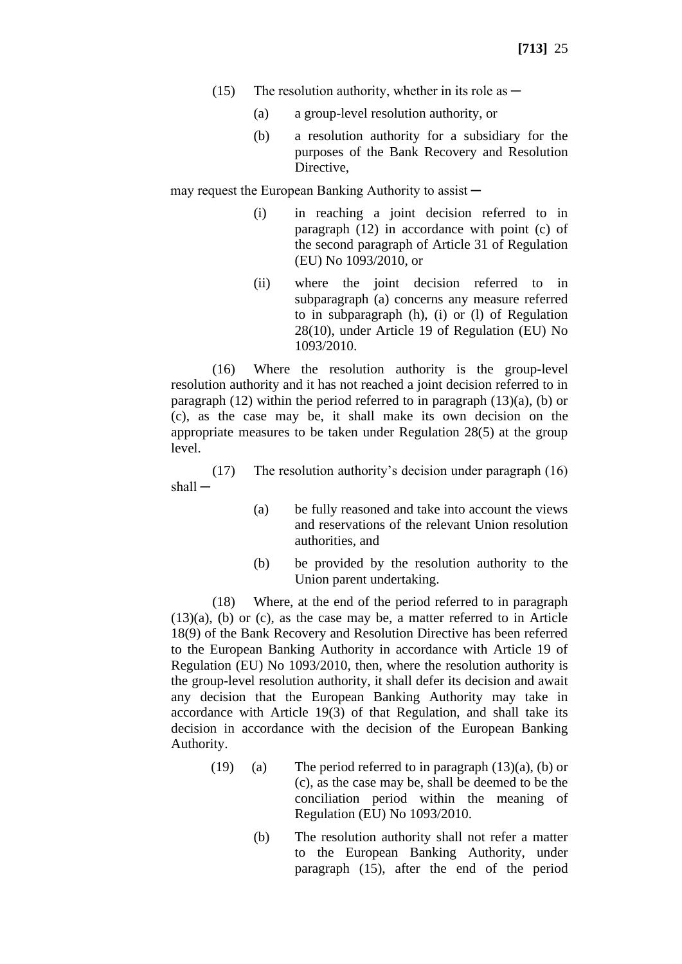- (15) The resolution authority, whether in its role as  $-$ 
	- (a) a group-level resolution authority, or
	- (b) a resolution authority for a subsidiary for the purposes of the Bank Recovery and Resolution Directive,

may request the European Banking Authority to assist  $-$ 

- (i) in reaching a joint decision referred to in paragraph (12) in accordance with point (c) of the second paragraph of Article 31 of Regulation (EU) No 1093/2010, or
- (ii) where the joint decision referred to in subparagraph (a) concerns any measure referred to in subparagraph (h), (i) or (l) of Regulation 28(10), under Article 19 of Regulation (EU) No 1093/2010.

(16) Where the resolution authority is the group-level resolution authority and it has not reached a joint decision referred to in paragraph  $(12)$  within the period referred to in paragraph  $(13)(a)$ ,  $(b)$  or (c), as the case may be, it shall make its own decision on the appropriate measures to be taken under Regulation 28(5) at the group level.

(17) The resolution authority's decision under paragraph (16) shall —

- (a) be fully reasoned and take into account the views and reservations of the relevant Union resolution authorities, and
- (b) be provided by the resolution authority to the Union parent undertaking.

(18) Where, at the end of the period referred to in paragraph (13)(a), (b) or (c), as the case may be, a matter referred to in Article 18(9) of the Bank Recovery and Resolution Directive has been referred to the European Banking Authority in accordance with Article 19 of Regulation (EU) No 1093/2010, then, where the resolution authority is the group-level resolution authority, it shall defer its decision and await any decision that the European Banking Authority may take in accordance with Article 19(3) of that Regulation, and shall take its decision in accordance with the decision of the European Banking Authority.

- (19) (a) The period referred to in paragraph  $(13)(a)$ , (b) or (c), as the case may be, shall be deemed to be the conciliation period within the meaning of Regulation (EU) No 1093/2010.
	- (b) The resolution authority shall not refer a matter to the European Banking Authority, under paragraph (15), after the end of the period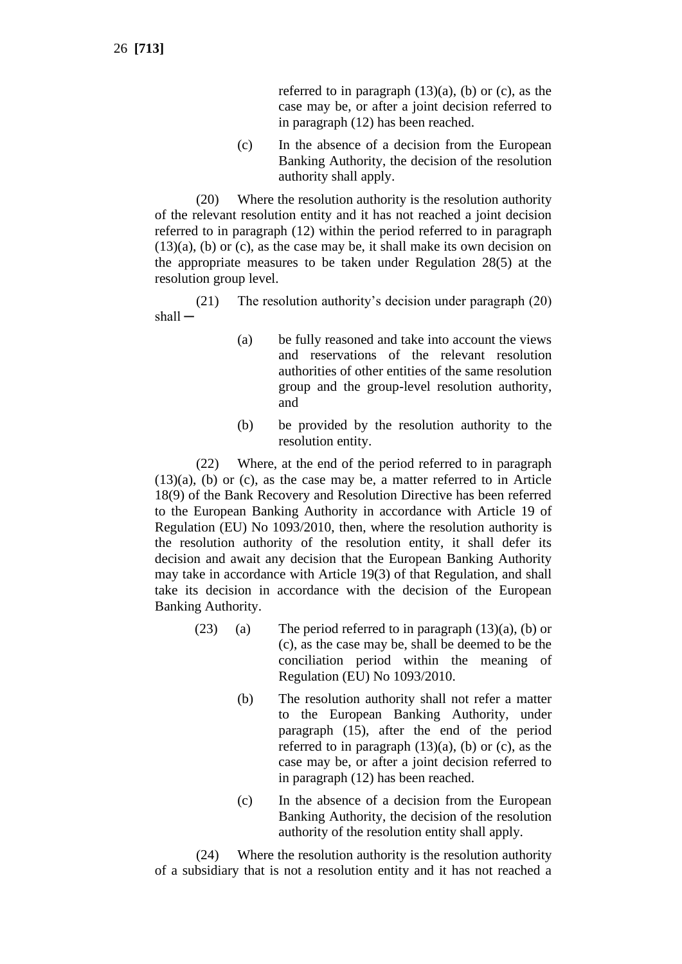26 **[713]**

referred to in paragraph  $(13)(a)$ ,  $(b)$  or  $(c)$ , as the case may be, or after a joint decision referred to in paragraph (12) has been reached.

(c) In the absence of a decision from the European Banking Authority, the decision of the resolution authority shall apply.

(20) Where the resolution authority is the resolution authority of the relevant resolution entity and it has not reached a joint decision referred to in paragraph (12) within the period referred to in paragraph (13)(a), (b) or (c), as the case may be, it shall make its own decision on the appropriate measures to be taken under Regulation 28(5) at the resolution group level.

(21) The resolution authority's decision under paragraph (20) shall ─

- (a) be fully reasoned and take into account the views and reservations of the relevant resolution authorities of other entities of the same resolution group and the group-level resolution authority, and
- (b) be provided by the resolution authority to the resolution entity.

(22) Where, at the end of the period referred to in paragraph (13)(a), (b) or (c), as the case may be, a matter referred to in Article 18(9) of the Bank Recovery and Resolution Directive has been referred to the European Banking Authority in accordance with Article 19 of Regulation (EU) No 1093/2010, then, where the resolution authority is the resolution authority of the resolution entity, it shall defer its decision and await any decision that the European Banking Authority may take in accordance with Article 19(3) of that Regulation, and shall take its decision in accordance with the decision of the European Banking Authority.

- (23) (a) The period referred to in paragraph  $(13)(a)$ , (b) or (c), as the case may be, shall be deemed to be the conciliation period within the meaning of Regulation (EU) No 1093/2010.
	- (b) The resolution authority shall not refer a matter to the European Banking Authority, under paragraph (15), after the end of the period referred to in paragraph  $(13)(a)$ ,  $(b)$  or  $(c)$ , as the case may be, or after a joint decision referred to in paragraph (12) has been reached.
	- (c) In the absence of a decision from the European Banking Authority, the decision of the resolution authority of the resolution entity shall apply.

(24) Where the resolution authority is the resolution authority of a subsidiary that is not a resolution entity and it has not reached a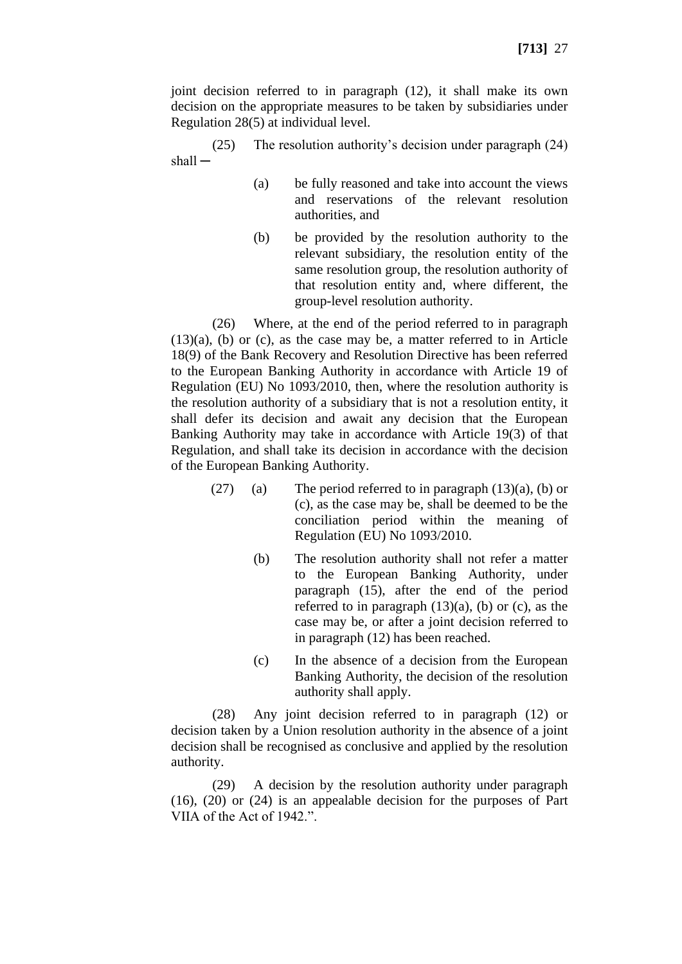joint decision referred to in paragraph (12), it shall make its own decision on the appropriate measures to be taken by subsidiaries under Regulation 28(5) at individual level.

(25) The resolution authority's decision under paragraph (24)  $shall -$ 

- (a) be fully reasoned and take into account the views and reservations of the relevant resolution authorities, and
- (b) be provided by the resolution authority to the relevant subsidiary, the resolution entity of the same resolution group, the resolution authority of that resolution entity and, where different, the group-level resolution authority.

(26) Where, at the end of the period referred to in paragraph (13)(a), (b) or (c), as the case may be, a matter referred to in Article 18(9) of the Bank Recovery and Resolution Directive has been referred to the European Banking Authority in accordance with Article 19 of Regulation (EU) No 1093/2010, then, where the resolution authority is the resolution authority of a subsidiary that is not a resolution entity, it shall defer its decision and await any decision that the European Banking Authority may take in accordance with Article 19(3) of that Regulation, and shall take its decision in accordance with the decision of the European Banking Authority.

- (27) (a) The period referred to in paragraph  $(13)(a)$ , (b) or (c), as the case may be, shall be deemed to be the conciliation period within the meaning of Regulation (EU) No 1093/2010.
	- (b) The resolution authority shall not refer a matter to the European Banking Authority, under paragraph (15), after the end of the period referred to in paragraph  $(13)(a)$ ,  $(b)$  or  $(c)$ , as the case may be, or after a joint decision referred to in paragraph (12) has been reached.
	- (c) In the absence of a decision from the European Banking Authority, the decision of the resolution authority shall apply.

(28) Any joint decision referred to in paragraph (12) or decision taken by a Union resolution authority in the absence of a joint decision shall be recognised as conclusive and applied by the resolution authority.

(29) A decision by the resolution authority under paragraph (16), (20) or (24) is an appealable decision for the purposes of Part VIIA of the Act of 1942.".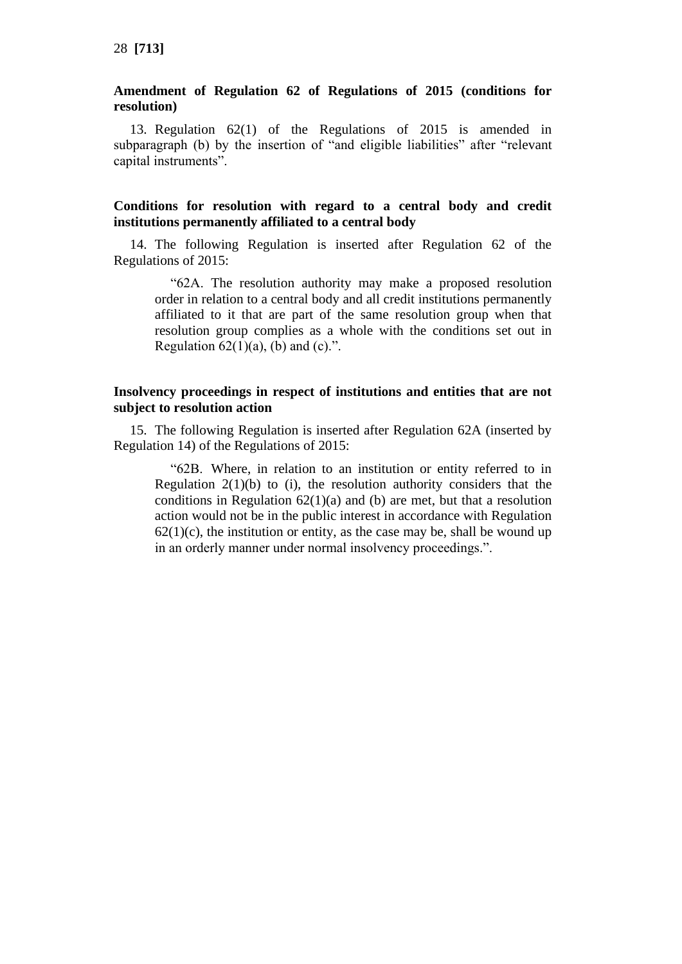### **Amendment of Regulation 62 of Regulations of 2015 (conditions for resolution)**

13. Regulation 62(1) of the Regulations of 2015 is amended in subparagraph (b) by the insertion of "and eligible liabilities" after "relevant capital instruments".

# **Conditions for resolution with regard to a central body and credit institutions permanently affiliated to a central body**

14. The following Regulation is inserted after Regulation 62 of the Regulations of 2015:

"62A. The resolution authority may make a proposed resolution order in relation to a central body and all credit institutions permanently affiliated to it that are part of the same resolution group when that resolution group complies as a whole with the conditions set out in Regulation  $62(1)(a)$ , (b) and (c).".

### **Insolvency proceedings in respect of institutions and entities that are not subject to resolution action**

15. The following Regulation is inserted after Regulation 62A (inserted by Regulation 14) of the Regulations of 2015:

"62B. Where, in relation to an institution or entity referred to in Regulation  $2(1)(b)$  to (i), the resolution authority considers that the conditions in Regulation  $62(1)(a)$  and (b) are met, but that a resolution action would not be in the public interest in accordance with Regulation  $62(1)(c)$ , the institution or entity, as the case may be, shall be wound up in an orderly manner under normal insolvency proceedings.".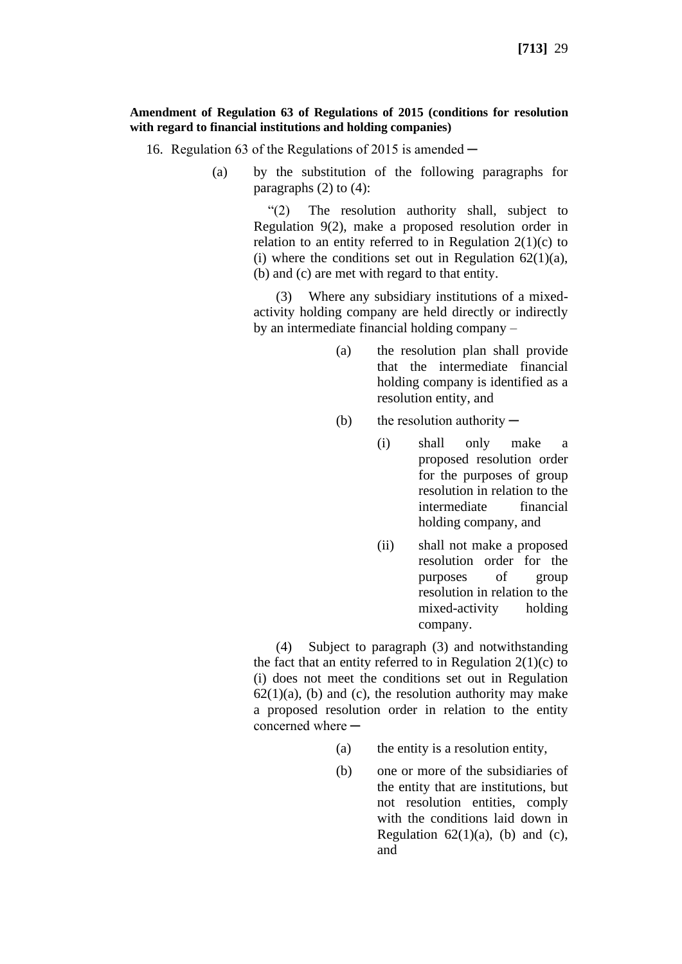### **Amendment of Regulation 63 of Regulations of 2015 (conditions for resolution with regard to financial institutions and holding companies)**

- 16. Regulation 63 of the Regulations of 2015 is amended  $-$ 
	- (a) by the substitution of the following paragraphs for paragraphs  $(2)$  to  $(4)$ :

"(2) The resolution authority shall, subject to Regulation 9(2), make a proposed resolution order in relation to an entity referred to in Regulation  $2(1)(c)$  to (i) where the conditions set out in Regulation  $62(1)(a)$ , (b) and (c) are met with regard to that entity.

(3) Where any subsidiary institutions of a mixedactivity holding company are held directly or indirectly by an intermediate financial holding company –

- (a) the resolution plan shall provide that the intermediate financial holding company is identified as a resolution entity, and
- (b) the resolution authority  $-$ 
	- (i) shall only make a proposed resolution order for the purposes of group resolution in relation to the intermediate financial holding company, and
	- (ii) shall not make a proposed resolution order for the purposes of group resolution in relation to the mixed-activity holding company.

(4) Subject to paragraph (3) and notwithstanding the fact that an entity referred to in Regulation  $2(1)(c)$  to (i) does not meet the conditions set out in Regulation  $62(1)(a)$ , (b) and (c), the resolution authority may make a proposed resolution order in relation to the entity concerned where  $-$ 

- (a) the entity is a resolution entity,
- (b) one or more of the subsidiaries of the entity that are institutions, but not resolution entities, comply with the conditions laid down in Regulation  $62(1)(a)$ , (b) and (c), and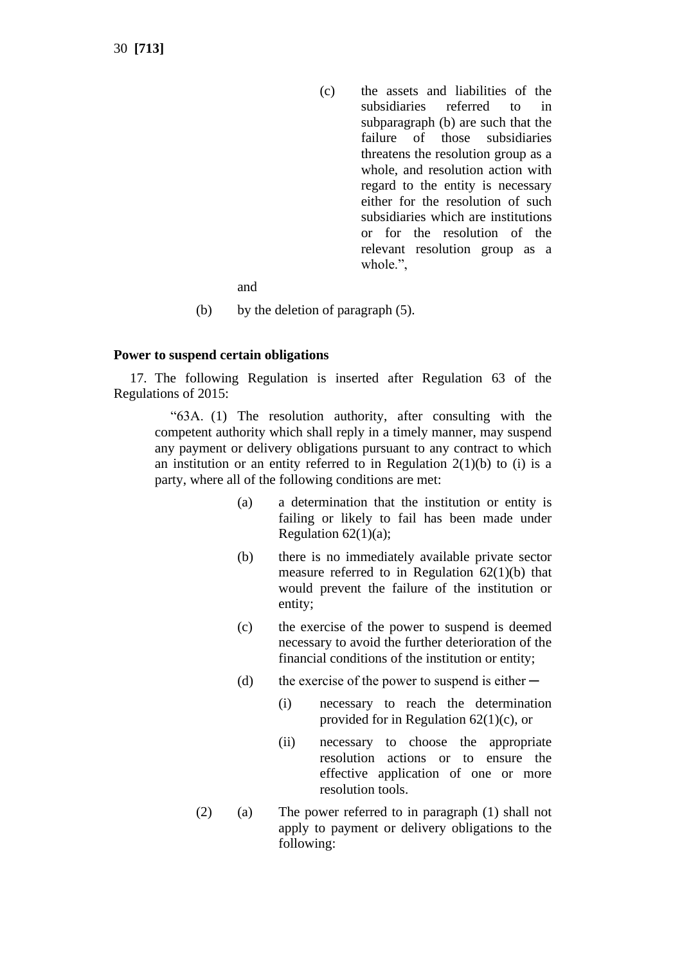(c) the assets and liabilities of the subsidiaries referred to in subparagraph (b) are such that the failure of those subsidiaries threatens the resolution group as a whole, and resolution action with regard to the entity is necessary either for the resolution of such subsidiaries which are institutions or for the resolution of the relevant resolution group as a whole.",

and

(b) by the deletion of paragraph (5).

### **Power to suspend certain obligations**

17. The following Regulation is inserted after Regulation 63 of the Regulations of 2015:

"63A. (1) The resolution authority, after consulting with the competent authority which shall reply in a timely manner, may suspend any payment or delivery obligations pursuant to any contract to which an institution or an entity referred to in Regulation  $2(1)(b)$  to (i) is a party, where all of the following conditions are met:

- (a) a determination that the institution or entity is failing or likely to fail has been made under Regulation  $62(1)(a)$ ;
- (b) there is no immediately available private sector measure referred to in Regulation  $62(1)(b)$  that would prevent the failure of the institution or entity;
- (c) the exercise of the power to suspend is deemed necessary to avoid the further deterioration of the financial conditions of the institution or entity;
- (d) the exercise of the power to suspend is either  $-$ 
	- (i) necessary to reach the determination provided for in Regulation 62(1)(c), or
	- (ii) necessary to choose the appropriate resolution actions or to ensure the effective application of one or more resolution tools.
- (2) (a) The power referred to in paragraph (1) shall not apply to payment or delivery obligations to the following: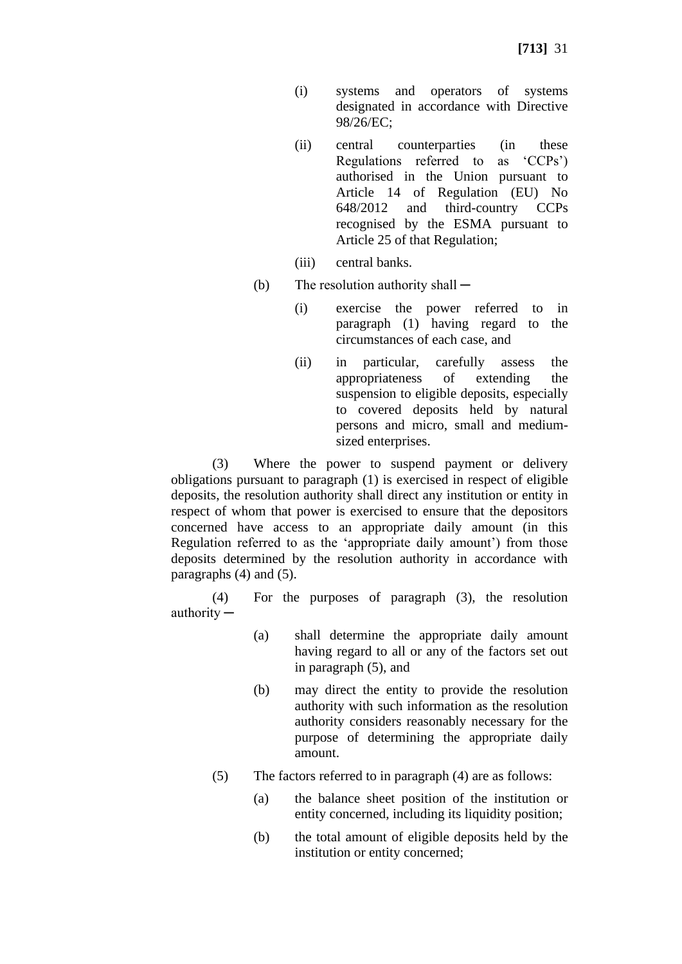- (i) systems and operators of systems designated in accordance with Directive 98/26/EC;
- (ii) central counterparties (in these Regulations referred to as 'CCPs') authorised in the Union pursuant to Article 14 of Regulation (EU) No 648/2012 and third-country CCPs recognised by the ESMA pursuant to Article 25 of that Regulation;
- (iii) central banks.
- (b) The resolution authority shall  $-$ 
	- (i) exercise the power referred to in paragraph (1) having regard to the circumstances of each case, and
	- (ii) in particular, carefully assess the appropriateness of extending the suspension to eligible deposits, especially to covered deposits held by natural persons and micro, small and mediumsized enterprises.

(3) Where the power to suspend payment or delivery obligations pursuant to paragraph (1) is exercised in respect of eligible deposits, the resolution authority shall direct any institution or entity in respect of whom that power is exercised to ensure that the depositors concerned have access to an appropriate daily amount (in this Regulation referred to as the 'appropriate daily amount') from those deposits determined by the resolution authority in accordance with paragraphs (4) and (5).

(4) For the purposes of paragraph (3), the resolution authority ─

- (a) shall determine the appropriate daily amount having regard to all or any of the factors set out in paragraph (5), and
- (b) may direct the entity to provide the resolution authority with such information as the resolution authority considers reasonably necessary for the purpose of determining the appropriate daily amount.
- (5) The factors referred to in paragraph (4) are as follows:
	- (a) the balance sheet position of the institution or entity concerned, including its liquidity position;
	- (b) the total amount of eligible deposits held by the institution or entity concerned;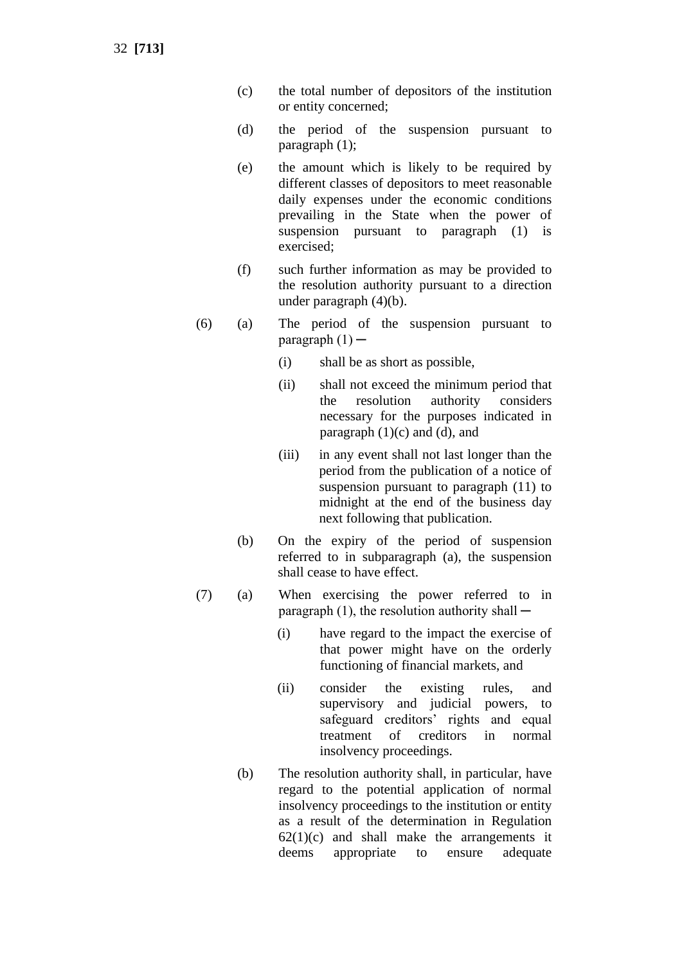32 **[713]**

- (c) the total number of depositors of the institution or entity concerned;
- (d) the period of the suspension pursuant to paragraph (1);
- (e) the amount which is likely to be required by different classes of depositors to meet reasonable daily expenses under the economic conditions prevailing in the State when the power of suspension pursuant to paragraph (1) is exercised;
- (f) such further information as may be provided to the resolution authority pursuant to a direction under paragraph (4)(b).
- (6) (a) The period of the suspension pursuant to paragraph  $(1)$  —
	- (i) shall be as short as possible,
	- (ii) shall not exceed the minimum period that the resolution authority considers necessary for the purposes indicated in paragraph  $(1)(c)$  and  $(d)$ , and
	- (iii) in any event shall not last longer than the period from the publication of a notice of suspension pursuant to paragraph (11) to midnight at the end of the business day next following that publication.
	- (b) On the expiry of the period of suspension referred to in subparagraph (a), the suspension shall cease to have effect.
- (7) (a) When exercising the power referred to in paragraph  $(1)$ , the resolution authority shall  $-$ 
	- (i) have regard to the impact the exercise of that power might have on the orderly functioning of financial markets, and
	- (ii) consider the existing rules, and supervisory and judicial powers, to safeguard creditors' rights and equal treatment of creditors in normal insolvency proceedings.
	- (b) The resolution authority shall, in particular, have regard to the potential application of normal insolvency proceedings to the institution or entity as a result of the determination in Regulation  $62(1)(c)$  and shall make the arrangements it deems appropriate to ensure adequate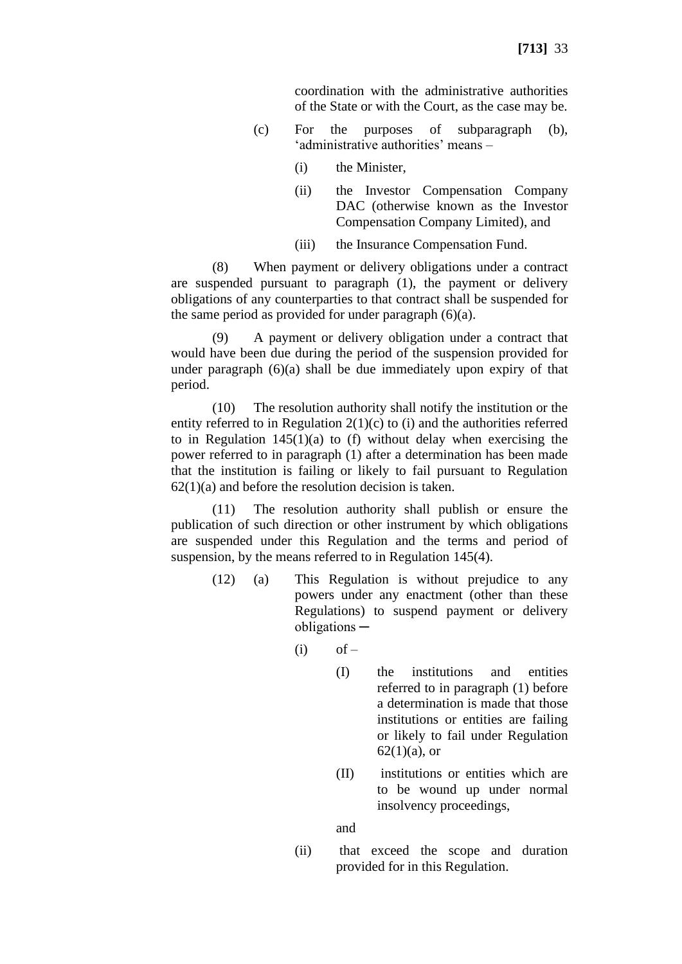coordination with the administrative authorities of the State or with the Court, as the case may be.

- (c) For the purposes of subparagraph (b), 'administrative authorities' means –
	- (i) the Minister,
	- (ii) the Investor Compensation Company DAC (otherwise known as the Investor Compensation Company Limited), and
	- (iii) the Insurance Compensation Fund.

(8) When payment or delivery obligations under a contract are suspended pursuant to paragraph (1), the payment or delivery obligations of any counterparties to that contract shall be suspended for the same period as provided for under paragraph (6)(a).

(9) A payment or delivery obligation under a contract that would have been due during the period of the suspension provided for under paragraph  $(6)(a)$  shall be due immediately upon expiry of that period.

(10) The resolution authority shall notify the institution or the entity referred to in Regulation 2(1)(c) to (i) and the authorities referred to in Regulation  $145(1)(a)$  to (f) without delay when exercising the power referred to in paragraph (1) after a determination has been made that the institution is failing or likely to fail pursuant to Regulation  $62(1)(a)$  and before the resolution decision is taken.

(11) The resolution authority shall publish or ensure the publication of such direction or other instrument by which obligations are suspended under this Regulation and the terms and period of suspension, by the means referred to in Regulation 145(4).

- (12) (a) This Regulation is without prejudice to any powers under any enactment (other than these Regulations) to suspend payment or delivery obligations ─
	- $(i)$  of  $-$ 
		- (I) the institutions and entities referred to in paragraph (1) before a determination is made that those institutions or entities are failing or likely to fail under Regulation  $62(1)(a)$ , or
		- (II) institutions or entities which are to be wound up under normal insolvency proceedings,

and

(ii) that exceed the scope and duration provided for in this Regulation.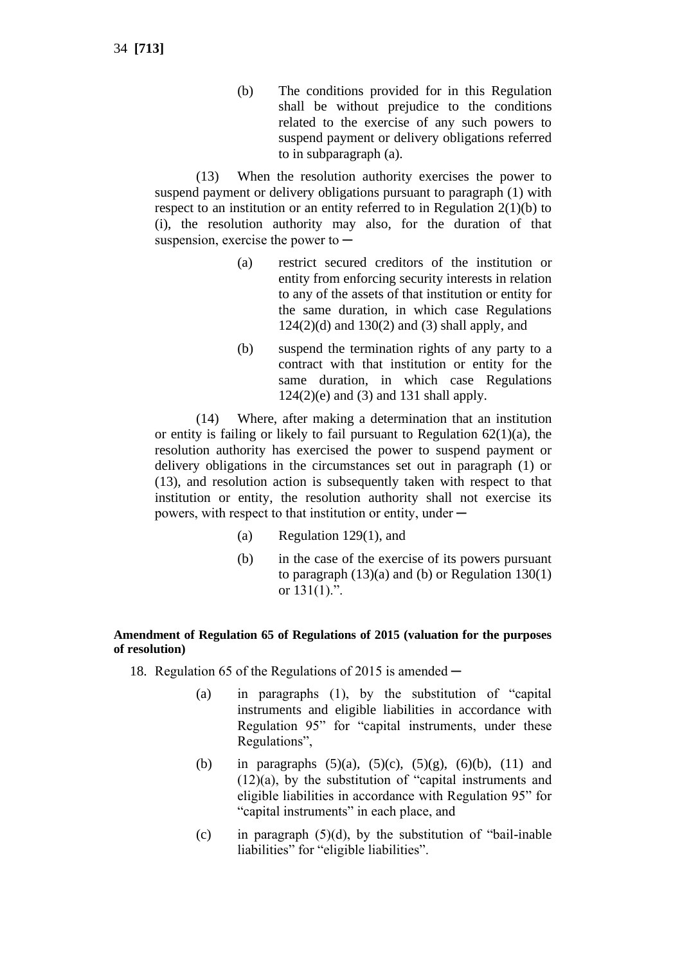(b) The conditions provided for in this Regulation shall be without prejudice to the conditions related to the exercise of any such powers to suspend payment or delivery obligations referred to in subparagraph (a).

(13) When the resolution authority exercises the power to suspend payment or delivery obligations pursuant to paragraph (1) with respect to an institution or an entity referred to in Regulation 2(1)(b) to (i), the resolution authority may also, for the duration of that suspension, exercise the power to  $-$ 

- (a) restrict secured creditors of the institution or entity from enforcing security interests in relation to any of the assets of that institution or entity for the same duration, in which case Regulations  $124(2)(d)$  and  $130(2)$  and  $(3)$  shall apply, and
- (b) suspend the termination rights of any party to a contract with that institution or entity for the same duration, in which case Regulations  $124(2)(e)$  and  $(3)$  and  $131$  shall apply.

(14) Where, after making a determination that an institution or entity is failing or likely to fail pursuant to Regulation  $62(1)(a)$ , the resolution authority has exercised the power to suspend payment or delivery obligations in the circumstances set out in paragraph (1) or (13), and resolution action is subsequently taken with respect to that institution or entity, the resolution authority shall not exercise its powers, with respect to that institution or entity, under —

- (a) Regulation 129(1), and
- (b) in the case of the exercise of its powers pursuant to paragraph  $(13)(a)$  and (b) or Regulation 130(1) or  $131(1)$ .".

### **Amendment of Regulation 65 of Regulations of 2015 (valuation for the purposes of resolution)**

- 18. Regulation 65 of the Regulations of 2015 is amended  $-$ 
	- (a) in paragraphs (1), by the substitution of "capital instruments and eligible liabilities in accordance with Regulation 95" for "capital instruments, under these Regulations",
	- (b) in paragraphs  $(5)(a)$ ,  $(5)(c)$ ,  $(5)(g)$ ,  $(6)(b)$ ,  $(11)$  and  $(12)(a)$ , by the substitution of "capital instruments and eligible liabilities in accordance with Regulation 95" for "capital instruments" in each place, and
	- (c) in paragraph  $(5)(d)$ , by the substitution of "bail-inable" liabilities" for "eligible liabilities".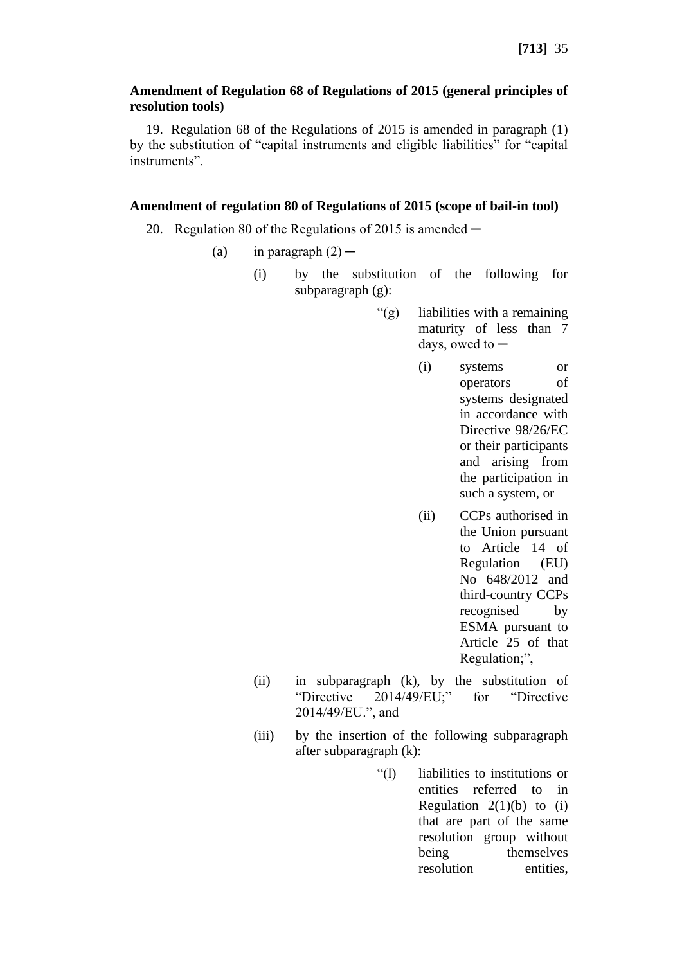### **Amendment of Regulation 68 of Regulations of 2015 (general principles of resolution tools)**

19. Regulation 68 of the Regulations of 2015 is amended in paragraph (1) by the substitution of "capital instruments and eligible liabilities" for "capital instruments".

### **Amendment of regulation 80 of Regulations of 2015 (scope of bail-in tool)**

- 20. Regulation 80 of the Regulations of 2015 is amended  $-$ 
	- (a) in paragraph  $(2)$ 
		- (i) by the substitution of the following for subparagraph (g):
			- "(g) liabilities with a remaining maturity of less than 7 days, owed to  $-$ 
				- (i) systems or operators of systems designated in accordance with Directive 98/26/EC or their participants and arising from the participation in such a system, or
				- (ii) CCPs authorised in the Union pursuant to Article 14 of Regulation (EU) No 648/2012 and third-country CCPs recognised by ESMA pursuant to Article 25 of that Regulation;",
		- (ii) in subparagraph (k), by the substitution of "Directive 2014/49/EU;" for "Directive 2014/49/EU.", and
		- (iii) by the insertion of the following subparagraph after subparagraph (k):
			- "(l) liabilities to institutions or entities referred to in Regulation  $2(1)(b)$  to (i) that are part of the same resolution group without being themselves resolution entities,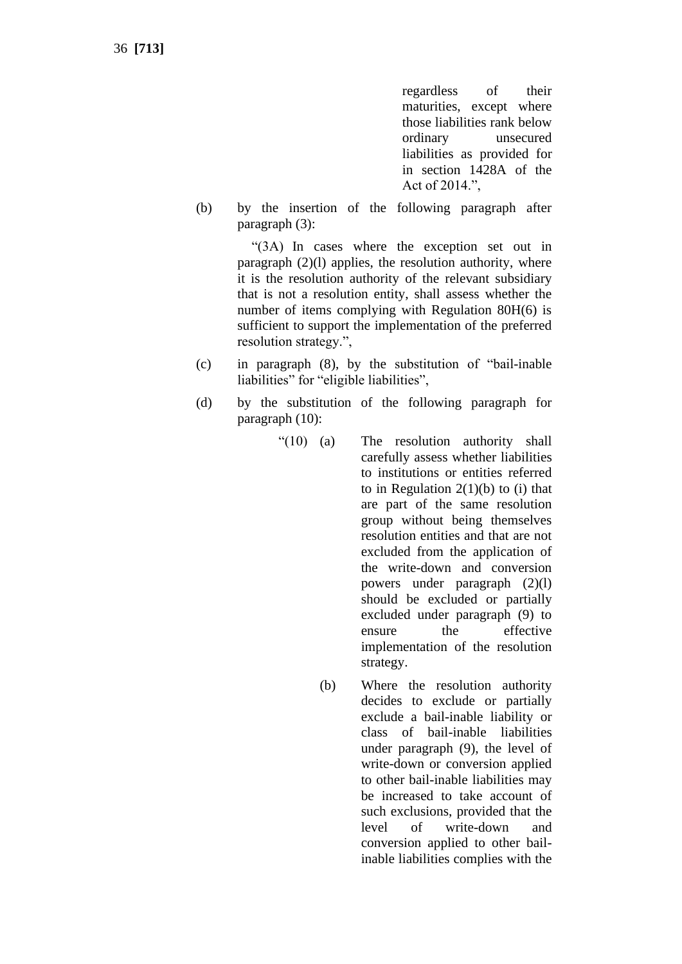regardless of their maturities, except where those liabilities rank below ordinary unsecured liabilities as provided for in section 1428A of the Act of 2014.",

(b) by the insertion of the following paragraph after paragraph (3):

> "(3A) In cases where the exception set out in paragraph (2)(l) applies, the resolution authority, where it is the resolution authority of the relevant subsidiary that is not a resolution entity, shall assess whether the number of items complying with Regulation 80H(6) is sufficient to support the implementation of the preferred resolution strategy.",

- (c) in paragraph (8), by the substitution of "bail-inable liabilities" for "eligible liabilities",
- (d) by the substitution of the following paragraph for paragraph (10):
	- "(10) (a) The resolution authority shall carefully assess whether liabilities to institutions or entities referred to in Regulation  $2(1)(b)$  to (i) that are part of the same resolution group without being themselves resolution entities and that are not excluded from the application of the write-down and conversion powers under paragraph (2)(l) should be excluded or partially excluded under paragraph (9) to ensure the effective implementation of the resolution strategy.
		- (b) Where the resolution authority decides to exclude or partially exclude a bail-inable liability or class of bail-inable liabilities under paragraph (9), the level of write-down or conversion applied to other bail-inable liabilities may be increased to take account of such exclusions, provided that the level of write-down and conversion applied to other bailinable liabilities complies with the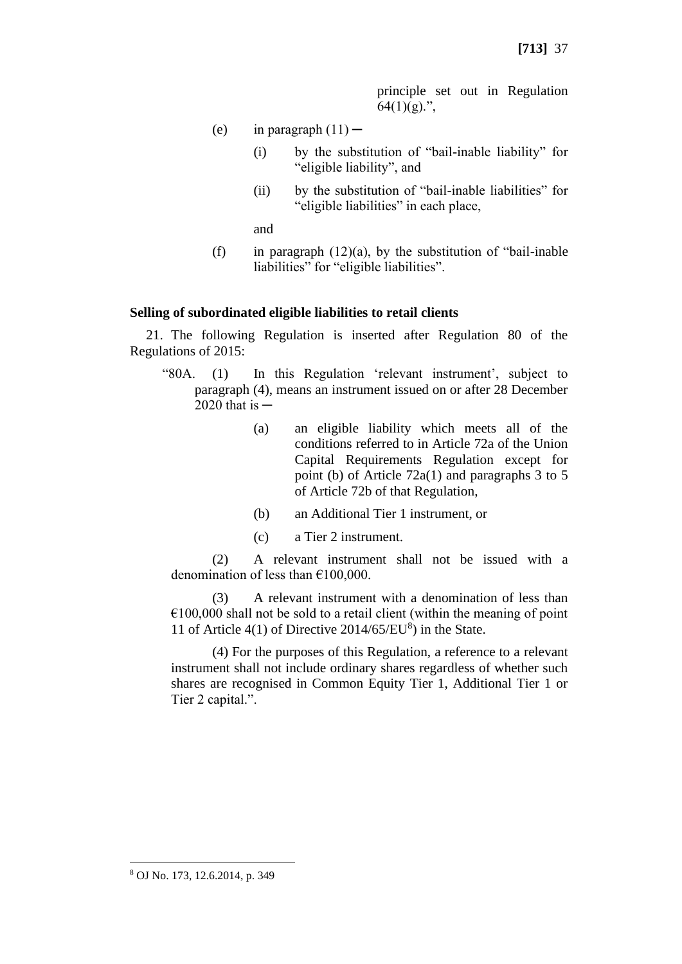principle set out in Regulation  $64(1)(g)$ .",

- (e) in paragraph  $(11)$ 
	- (i) by the substitution of "bail-inable liability" for "eligible liability", and
	- (ii) by the substitution of "bail-inable liabilities" for "eligible liabilities" in each place,

and

(f) in paragraph  $(12)(a)$ , by the substitution of "bail-inable" liabilities" for "eligible liabilities".

#### **Selling of subordinated eligible liabilities to retail clients**

21. The following Regulation is inserted after Regulation 80 of the Regulations of 2015:

- "80A. (1) In this Regulation 'relevant instrument', subject to paragraph (4), means an instrument issued on or after 28 December  $2020$  that is  $-$ 
	- (a) an eligible liability which meets all of the conditions referred to in Article 72a of the Union Capital Requirements Regulation except for point (b) of Article 72a(1) and paragraphs 3 to 5 of Article 72b of that Regulation,
	- (b) an Additional Tier 1 instrument, or
	- (c) a Tier 2 instrument.

(2) A relevant instrument shall not be issued with a denomination of less than €100,000.

(3) A relevant instrument with a denomination of less than  $€100,000$  shall not be sold to a retail client (within the meaning of point 11 of Article  $4(1)$  of Directive  $2014/65/EU<sup>8</sup>$ ) in the State.

(4) For the purposes of this Regulation, a reference to a relevant instrument shall not include ordinary shares regardless of whether such shares are recognised in Common Equity Tier 1, Additional Tier 1 or Tier 2 capital.".

<sup>8</sup> OJ No. 173, 12.6.2014, p. 349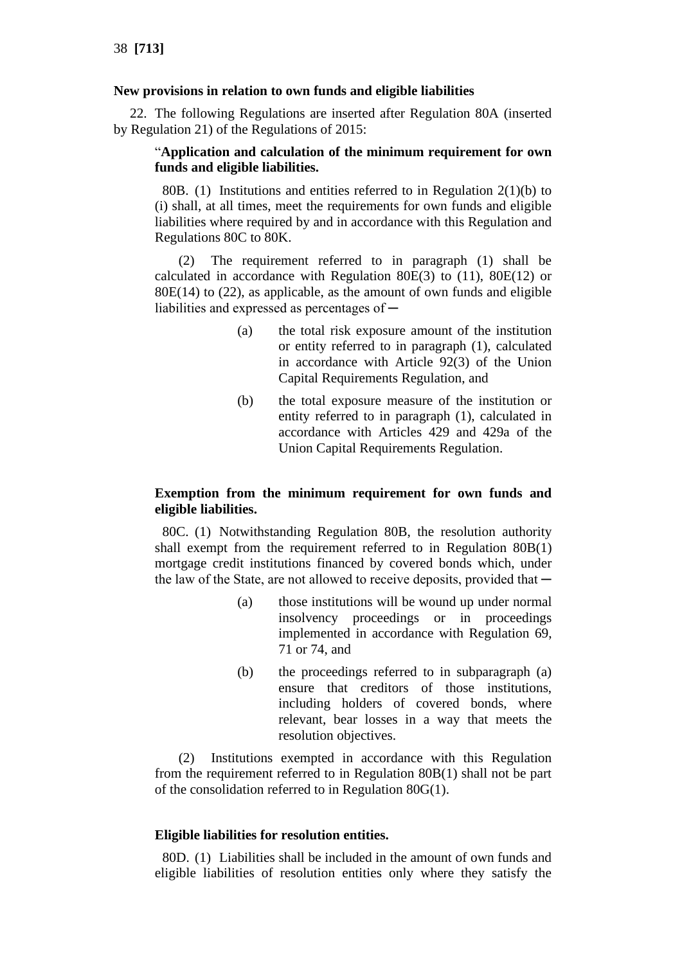# **New provisions in relation to own funds and eligible liabilities**

22. The following Regulations are inserted after Regulation 80A (inserted by Regulation 21) of the Regulations of 2015:

# "**Application and calculation of the minimum requirement for own funds and eligible liabilities.**

80B. (1) Institutions and entities referred to in Regulation  $2(1)(b)$  to (i) shall, at all times, meet the requirements for own funds and eligible liabilities where required by and in accordance with this Regulation and Regulations 80C to 80K.

(2) The requirement referred to in paragraph (1) shall be calculated in accordance with Regulation 80E(3) to (11), 80E(12) or  $80E(14)$  to  $(22)$ , as applicable, as the amount of own funds and eligible liabilities and expressed as percentages of —

- (a) the total risk exposure amount of the institution or entity referred to in paragraph (1), calculated in accordance with Article 92(3) of the Union Capital Requirements Regulation, and
- (b) the total exposure measure of the institution or entity referred to in paragraph (1), calculated in accordance with Articles 429 and 429a of the Union Capital Requirements Regulation.

# **Exemption from the minimum requirement for own funds and eligible liabilities.**

80C. (1) Notwithstanding Regulation 80B, the resolution authority shall exempt from the requirement referred to in Regulation 80B(1) mortgage credit institutions financed by covered bonds which, under the law of the State, are not allowed to receive deposits, provided that  $-$ 

- (a) those institutions will be wound up under normal insolvency proceedings or in proceedings implemented in accordance with Regulation 69, 71 or 74, and
- (b) the proceedings referred to in subparagraph (a) ensure that creditors of those institutions, including holders of covered bonds, where relevant, bear losses in a way that meets the resolution objectives.

(2) Institutions exempted in accordance with this Regulation from the requirement referred to in Regulation 80B(1) shall not be part of the consolidation referred to in Regulation 80G(1).

# **Eligible liabilities for resolution entities.**

80D. (1) Liabilities shall be included in the amount of own funds and eligible liabilities of resolution entities only where they satisfy the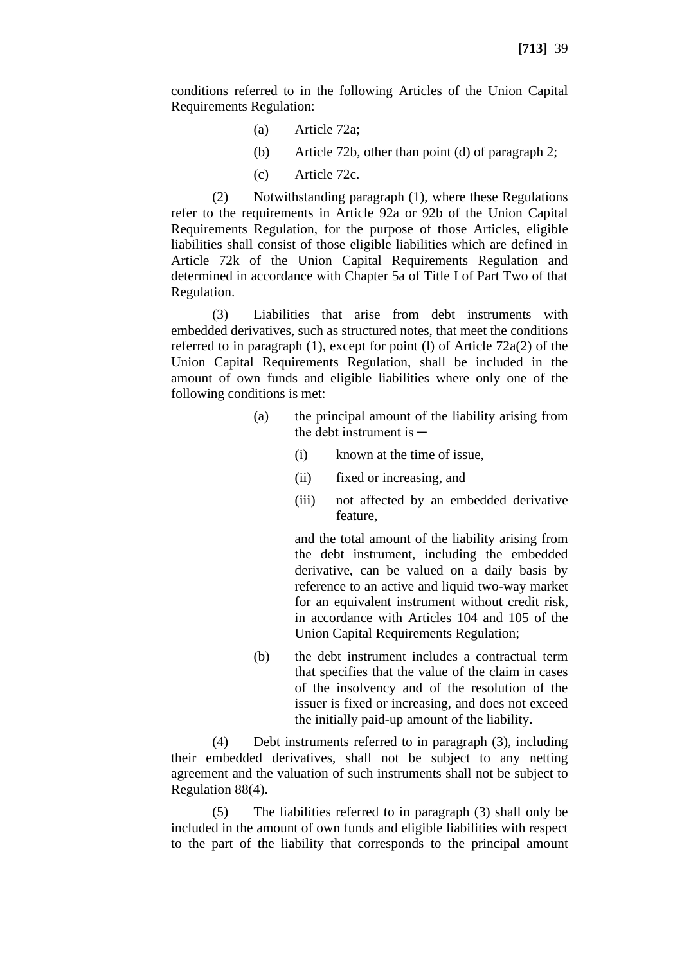conditions referred to in the following Articles of the Union Capital Requirements Regulation:

- (a) Article 72a;
- (b) Article 72b, other than point (d) of paragraph 2;
- (c) Article 72c.

(2) Notwithstanding paragraph (1), where these Regulations refer to the requirements in Article 92a or 92b of the Union Capital Requirements Regulation, for the purpose of those Articles, eligible liabilities shall consist of those eligible liabilities which are defined in Article 72k of the Union Capital Requirements Regulation and determined in accordance with Chapter 5a of Title I of Part Two of that Regulation.

(3) Liabilities that arise from debt instruments with embedded derivatives, such as structured notes, that meet the conditions referred to in paragraph (1), except for point (l) of Article 72a(2) of the Union Capital Requirements Regulation, shall be included in the amount of own funds and eligible liabilities where only one of the following conditions is met:

- (a) the principal amount of the liability arising from the debt instrument is  $-$ 
	- (i) known at the time of issue,
	- (ii) fixed or increasing, and
	- (iii) not affected by an embedded derivative feature,

and the total amount of the liability arising from the debt instrument, including the embedded derivative, can be valued on a daily basis by reference to an active and liquid two-way market for an equivalent instrument without credit risk, in accordance with Articles 104 and 105 of the Union Capital Requirements Regulation;

(b) the debt instrument includes a contractual term that specifies that the value of the claim in cases of the insolvency and of the resolution of the issuer is fixed or increasing, and does not exceed the initially paid-up amount of the liability.

(4) Debt instruments referred to in paragraph (3), including their embedded derivatives, shall not be subject to any netting agreement and the valuation of such instruments shall not be subject to Regulation 88(4).

(5) The liabilities referred to in paragraph (3) shall only be included in the amount of own funds and eligible liabilities with respect to the part of the liability that corresponds to the principal amount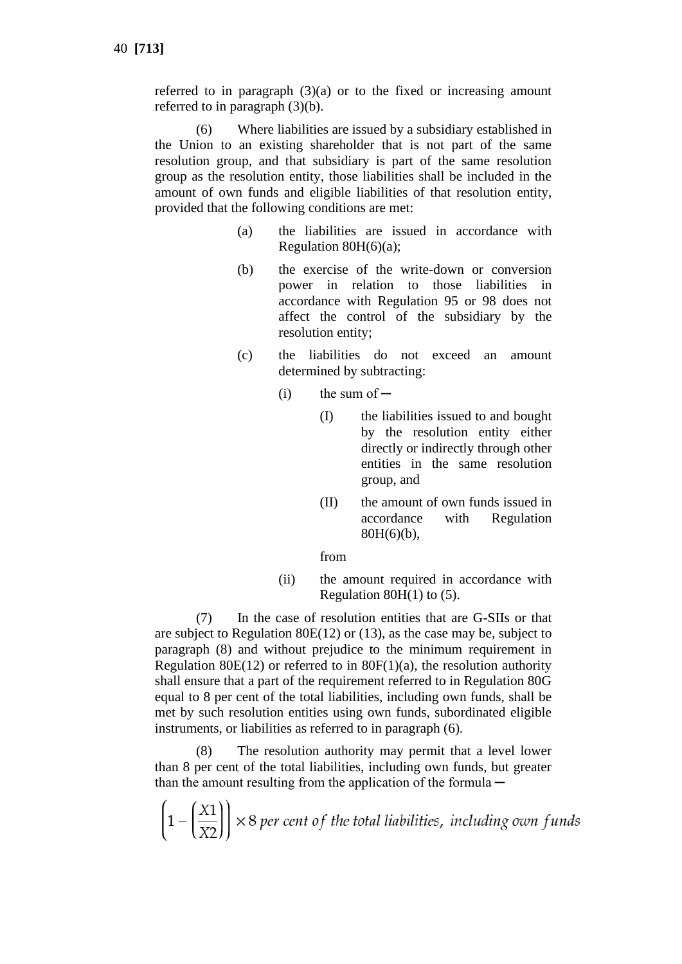referred to in paragraph  $(3)(a)$  or to the fixed or increasing amount referred to in paragraph (3)(b).

(6) Where liabilities are issued by a subsidiary established in the Union to an existing shareholder that is not part of the same resolution group, and that subsidiary is part of the same resolution group as the resolution entity, those liabilities shall be included in the amount of own funds and eligible liabilities of that resolution entity, provided that the following conditions are met:

- (a) the liabilities are issued in accordance with Regulation  $80H(6)(a)$ ;
- (b) the exercise of the write-down or conversion power in relation to those liabilities in accordance with Regulation 95 or 98 does not affect the control of the subsidiary by the resolution entity;
- (c) the liabilities do not exceed an amount determined by subtracting:
	- $(i)$  the sum of  $-$ 
		- (I) the liabilities issued to and bought by the resolution entity either directly or indirectly through other entities in the same resolution group, and
		- (II) the amount of own funds issued in accordance with Regulation 80H(6)(b),

#### from

(ii) the amount required in accordance with Regulation  $80H(1)$  to (5).

(7) In the case of resolution entities that are G-SIIs or that are subject to Regulation 80E(12) or (13), as the case may be, subject to paragraph (8) and without prejudice to the minimum requirement in Regulation 80E(12) or referred to in  $80F(1)(a)$ , the resolution authority shall ensure that a part of the requirement referred to in Regulation 80G equal to 8 per cent of the total liabilities, including own funds, shall be met by such resolution entities using own funds, subordinated eligible instruments, or liabilities as referred to in paragraph (6).

(8) The resolution authority may permit that a level lower than 8 per cent of the total liabilities, including own funds, but greater than the amount resulting from the application of the formula  $-$ 

 $\left(1 - \left(\frac{X1}{X2}\right)\right) \times 8$  per cent of the total liabilities, including own funds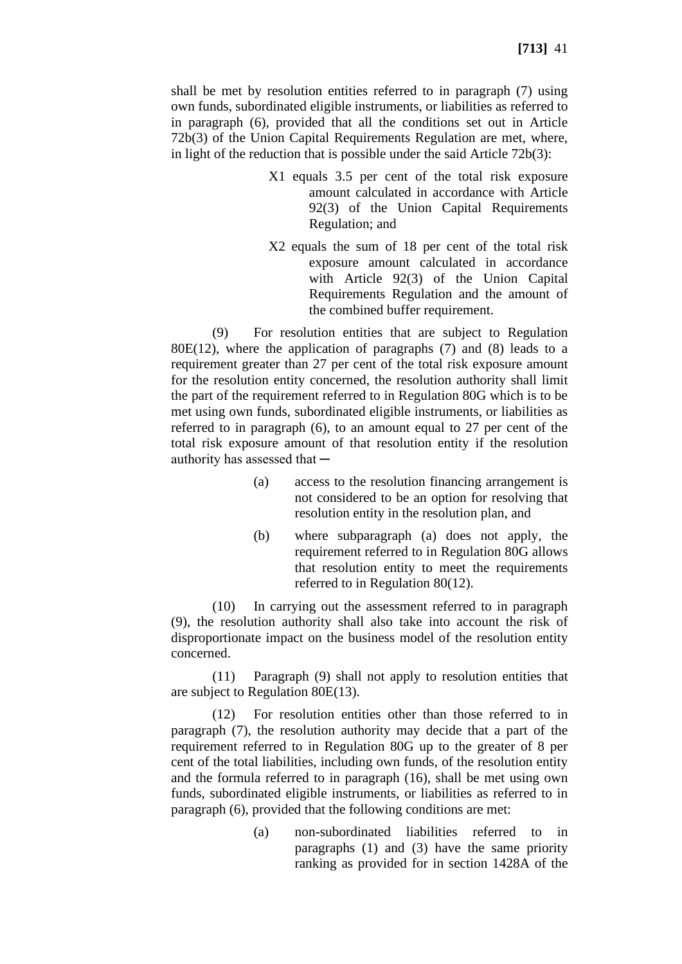shall be met by resolution entities referred to in paragraph (7) using own funds, subordinated eligible instruments, or liabilities as referred to in paragraph (6), provided that all the conditions set out in Article 72b(3) of the Union Capital Requirements Regulation are met, where, in light of the reduction that is possible under the said Article 72b(3):

- X1 equals 3.5 per cent of the total risk exposure amount calculated in accordance with Article 92(3) of the Union Capital Requirements Regulation; and
- X2 equals the sum of 18 per cent of the total risk exposure amount calculated in accordance with Article 92(3) of the Union Capital Requirements Regulation and the amount of the combined buffer requirement.

(9) For resolution entities that are subject to Regulation  $80E(12)$ , where the application of paragraphs (7) and (8) leads to a requirement greater than 27 per cent of the total risk exposure amount for the resolution entity concerned, the resolution authority shall limit the part of the requirement referred to in Regulation 80G which is to be met using own funds, subordinated eligible instruments, or liabilities as referred to in paragraph (6), to an amount equal to 27 per cent of the total risk exposure amount of that resolution entity if the resolution authority has assessed that  $-$ 

- (a) access to the resolution financing arrangement is not considered to be an option for resolving that resolution entity in the resolution plan, and
- (b) where subparagraph (a) does not apply, the requirement referred to in Regulation 80G allows that resolution entity to meet the requirements referred to in Regulation 80(12).

(10) In carrying out the assessment referred to in paragraph (9), the resolution authority shall also take into account the risk of disproportionate impact on the business model of the resolution entity concerned.

(11) Paragraph (9) shall not apply to resolution entities that are subject to Regulation 80E(13).

(12) For resolution entities other than those referred to in paragraph (7), the resolution authority may decide that a part of the requirement referred to in Regulation 80G up to the greater of 8 per cent of the total liabilities, including own funds, of the resolution entity and the formula referred to in paragraph (16), shall be met using own funds, subordinated eligible instruments, or liabilities as referred to in paragraph (6), provided that the following conditions are met:

> (a) non-subordinated liabilities referred to in paragraphs (1) and (3) have the same priority ranking as provided for in section 1428A of the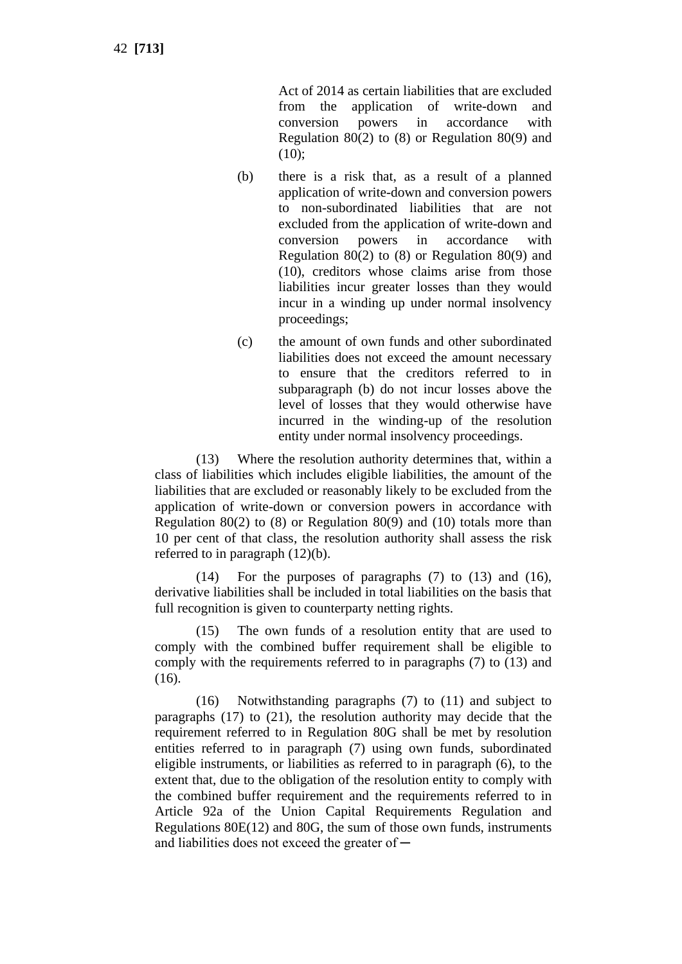42 **[713]**

Act of 2014 as certain liabilities that are excluded from the application of write-down and conversion powers in accordance with Regulation 80(2) to (8) or Regulation 80(9) and  $(10);$ 

- (b) there is a risk that, as a result of a planned application of write-down and conversion powers to non-subordinated liabilities that are not excluded from the application of write-down and conversion powers in accordance with Regulation 80(2) to (8) or Regulation 80(9) and (10), creditors whose claims arise from those liabilities incur greater losses than they would incur in a winding up under normal insolvency proceedings;
- (c) the amount of own funds and other subordinated liabilities does not exceed the amount necessary to ensure that the creditors referred to in subparagraph (b) do not incur losses above the level of losses that they would otherwise have incurred in the winding-up of the resolution entity under normal insolvency proceedings.

(13) Where the resolution authority determines that, within a class of liabilities which includes eligible liabilities, the amount of the liabilities that are excluded or reasonably likely to be excluded from the application of write-down or conversion powers in accordance with Regulation 80(2) to  $(8)$  or Regulation 80(9) and  $(10)$  totals more than 10 per cent of that class, the resolution authority shall assess the risk referred to in paragraph (12)(b).

(14) For the purposes of paragraphs (7) to (13) and (16), derivative liabilities shall be included in total liabilities on the basis that full recognition is given to counterparty netting rights.

(15) The own funds of a resolution entity that are used to comply with the combined buffer requirement shall be eligible to comply with the requirements referred to in paragraphs (7) to (13) and (16).

(16) Notwithstanding paragraphs (7) to (11) and subject to paragraphs (17) to (21), the resolution authority may decide that the requirement referred to in Regulation 80G shall be met by resolution entities referred to in paragraph (7) using own funds, subordinated eligible instruments, or liabilities as referred to in paragraph (6), to the extent that, due to the obligation of the resolution entity to comply with the combined buffer requirement and the requirements referred to in Article 92a of the Union Capital Requirements Regulation and Regulations 80E(12) and 80G, the sum of those own funds, instruments and liabilities does not exceed the greater of  $-$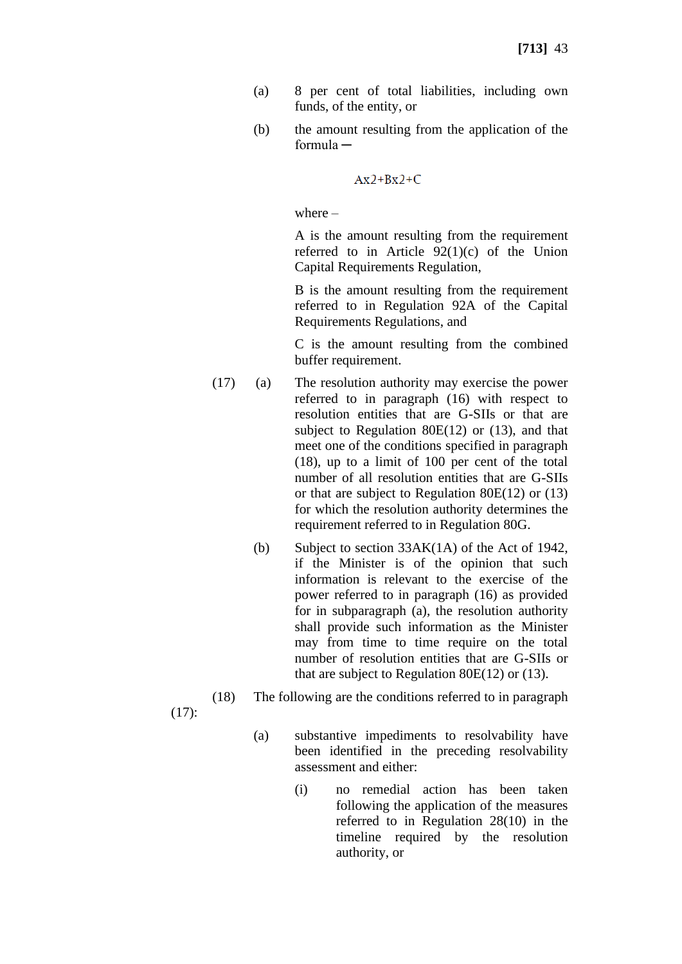- (a) 8 per cent of total liabilities, including own funds, of the entity, or
- (b) the amount resulting from the application of the formula ─

 $Ax2+Bx2+C$ 

where –

A is the amount resulting from the requirement referred to in Article  $92(1)(c)$  of the Union Capital Requirements Regulation,

B is the amount resulting from the requirement referred to in Regulation 92A of the Capital Requirements Regulations, and

C is the amount resulting from the combined buffer requirement.

- (17) (a) The resolution authority may exercise the power referred to in paragraph (16) with respect to resolution entities that are G-SIIs or that are subject to Regulation 80E(12) or (13), and that meet one of the conditions specified in paragraph (18), up to a limit of 100 per cent of the total number of all resolution entities that are G-SIIs or that are subject to Regulation 80E(12) or (13) for which the resolution authority determines the requirement referred to in Regulation 80G.
	- (b) Subject to section 33AK(1A) of the Act of 1942, if the Minister is of the opinion that such information is relevant to the exercise of the power referred to in paragraph (16) as provided for in subparagraph (a), the resolution authority shall provide such information as the Minister may from time to time require on the total number of resolution entities that are G-SIIs or that are subject to Regulation 80E(12) or (13).
- (18) The following are the conditions referred to in paragraph

(17):

- (a) substantive impediments to resolvability have been identified in the preceding resolvability assessment and either:
	- (i) no remedial action has been taken following the application of the measures referred to in Regulation 28(10) in the timeline required by the resolution authority, or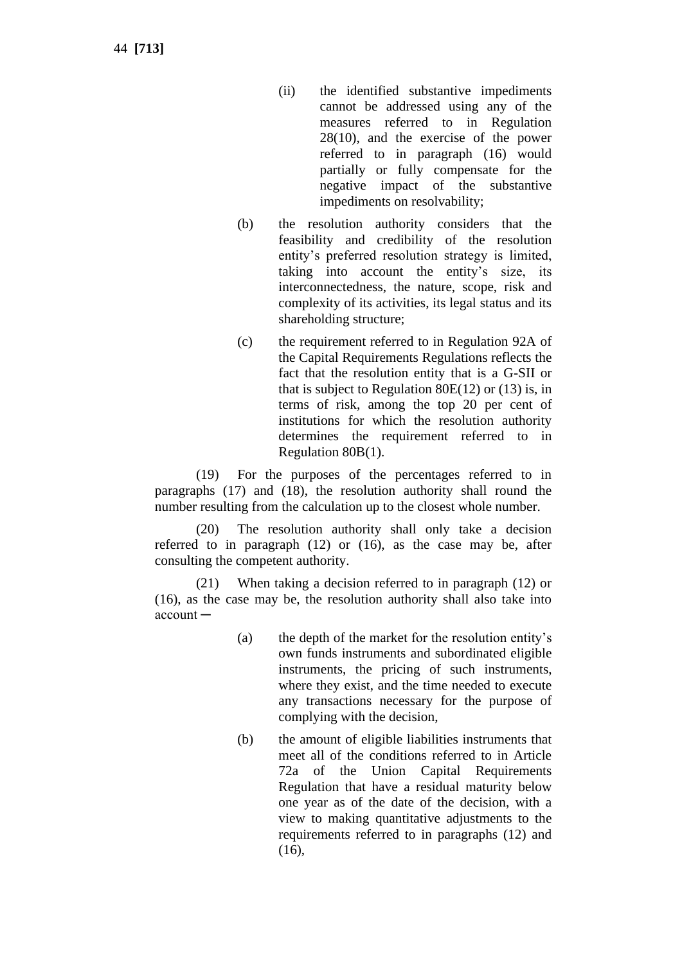44 **[713]**

- (ii) the identified substantive impediments cannot be addressed using any of the measures referred to in Regulation 28(10), and the exercise of the power referred to in paragraph (16) would partially or fully compensate for the negative impact of the substantive impediments on resolvability;
- (b) the resolution authority considers that the feasibility and credibility of the resolution entity's preferred resolution strategy is limited, taking into account the entity's size, its interconnectedness, the nature, scope, risk and complexity of its activities, its legal status and its shareholding structure;
- (c) the requirement referred to in Regulation 92A of the Capital Requirements Regulations reflects the fact that the resolution entity that is a G-SII or that is subject to Regulation 80 $E(12)$  or (13) is, in terms of risk, among the top 20 per cent of institutions for which the resolution authority determines the requirement referred to in Regulation 80B(1).

(19) For the purposes of the percentages referred to in paragraphs (17) and (18), the resolution authority shall round the number resulting from the calculation up to the closest whole number.

(20) The resolution authority shall only take a decision referred to in paragraph (12) or (16), as the case may be, after consulting the competent authority.

(21) When taking a decision referred to in paragraph (12) or (16), as the case may be, the resolution authority shall also take into account ─

- (a) the depth of the market for the resolution entity's own funds instruments and subordinated eligible instruments, the pricing of such instruments, where they exist, and the time needed to execute any transactions necessary for the purpose of complying with the decision,
- (b) the amount of eligible liabilities instruments that meet all of the conditions referred to in Article 72a of the Union Capital Requirements Regulation that have a residual maturity below one year as of the date of the decision, with a view to making quantitative adjustments to the requirements referred to in paragraphs (12) and  $(16)$ ,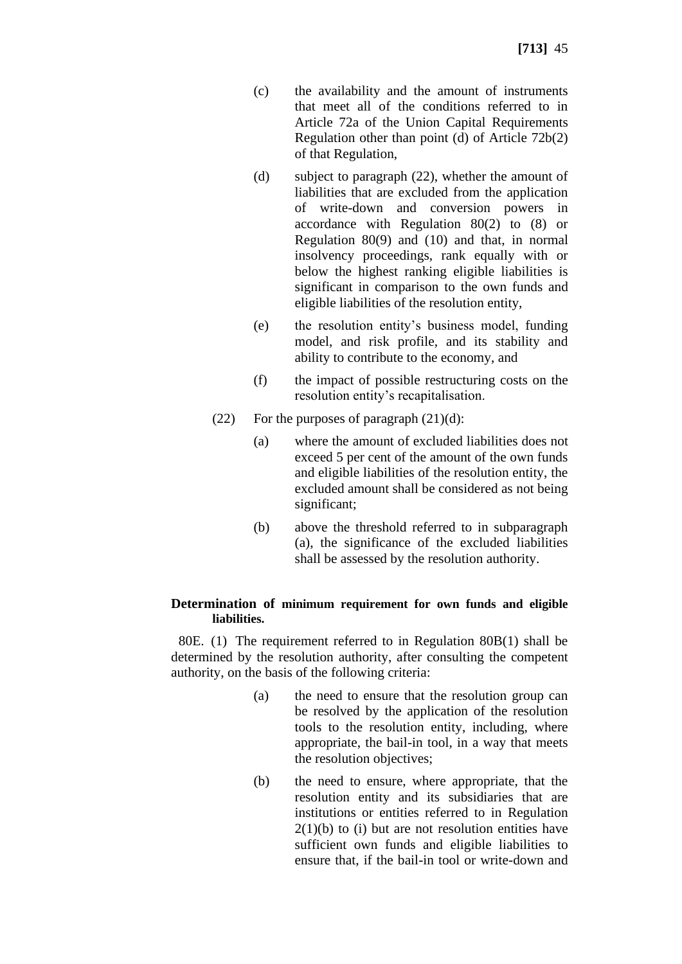- (c) the availability and the amount of instruments that meet all of the conditions referred to in Article 72a of the Union Capital Requirements Regulation other than point (d) of Article 72b(2) of that Regulation,
- (d) subject to paragraph (22), whether the amount of liabilities that are excluded from the application of write-down and conversion powers in accordance with Regulation 80(2) to (8) or Regulation 80(9) and (10) and that, in normal insolvency proceedings, rank equally with or below the highest ranking eligible liabilities is significant in comparison to the own funds and eligible liabilities of the resolution entity,
- (e) the resolution entity's business model, funding model, and risk profile, and its stability and ability to contribute to the economy, and
- (f) the impact of possible restructuring costs on the resolution entity's recapitalisation.
- (22) For the purposes of paragraph  $(21)(d)$ :
	- (a) where the amount of excluded liabilities does not exceed 5 per cent of the amount of the own funds and eligible liabilities of the resolution entity, the excluded amount shall be considered as not being significant;
	- (b) above the threshold referred to in subparagraph (a), the significance of the excluded liabilities shall be assessed by the resolution authority.

# **Determination of minimum requirement for own funds and eligible liabilities.**

80E. (1) The requirement referred to in Regulation 80B(1) shall be determined by the resolution authority, after consulting the competent authority, on the basis of the following criteria:

- (a) the need to ensure that the resolution group can be resolved by the application of the resolution tools to the resolution entity, including, where appropriate, the bail-in tool, in a way that meets the resolution objectives;
- (b) the need to ensure, where appropriate, that the resolution entity and its subsidiaries that are institutions or entities referred to in Regulation  $2(1)(b)$  to (i) but are not resolution entities have sufficient own funds and eligible liabilities to ensure that, if the bail-in tool or write-down and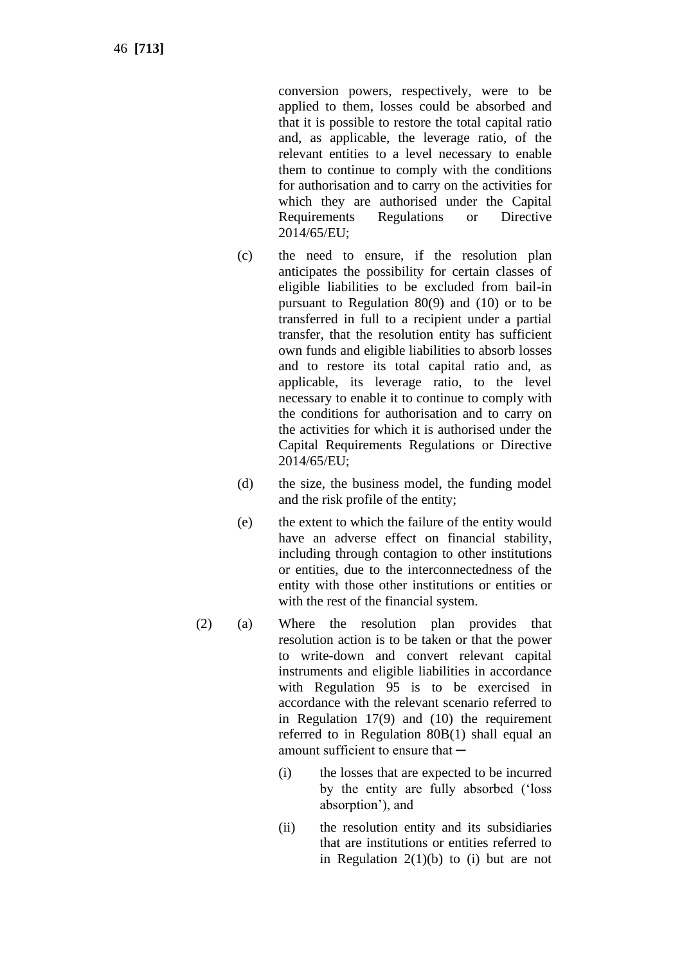46 **[713]**

conversion powers, respectively, were to be applied to them, losses could be absorbed and that it is possible to restore the total capital ratio and, as applicable, the leverage ratio, of the relevant entities to a level necessary to enable them to continue to comply with the conditions for authorisation and to carry on the activities for which they are authorised under the Capital Requirements Regulations or Directive 2014/65/EU;

- (c) the need to ensure, if the resolution plan anticipates the possibility for certain classes of eligible liabilities to be excluded from bail-in pursuant to Regulation 80(9) and (10) or to be transferred in full to a recipient under a partial transfer, that the resolution entity has sufficient own funds and eligible liabilities to absorb losses and to restore its total capital ratio and, as applicable, its leverage ratio, to the level necessary to enable it to continue to comply with the conditions for authorisation and to carry on the activities for which it is authorised under the Capital Requirements Regulations or Directive 2014/65/EU;
- (d) the size, the business model, the funding model and the risk profile of the entity;
- (e) the extent to which the failure of the entity would have an adverse effect on financial stability, including through contagion to other institutions or entities, due to the interconnectedness of the entity with those other institutions or entities or with the rest of the financial system.
- (2) (a) Where the resolution plan provides that resolution action is to be taken or that the power to write-down and convert relevant capital instruments and eligible liabilities in accordance with Regulation 95 is to be exercised in accordance with the relevant scenario referred to in Regulation 17(9) and (10) the requirement referred to in Regulation 80B(1) shall equal an amount sufficient to ensure that —
	- (i) the losses that are expected to be incurred by the entity are fully absorbed ('loss absorption'), and
	- (ii) the resolution entity and its subsidiaries that are institutions or entities referred to in Regulation  $2(1)(b)$  to (i) but are not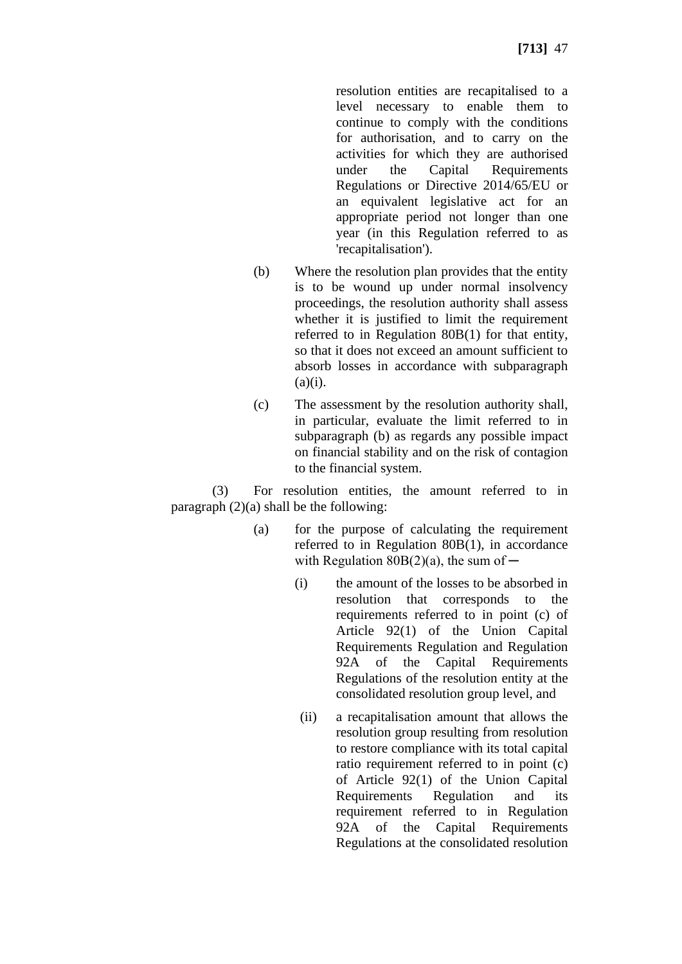resolution entities are recapitalised to a level necessary to enable them to continue to comply with the conditions for authorisation, and to carry on the activities for which they are authorised under the Capital Requirements Regulations or Directive 2014/65/EU or an equivalent legislative act for an appropriate period not longer than one year (in this Regulation referred to as 'recapitalisation').

- (b) Where the resolution plan provides that the entity is to be wound up under normal insolvency proceedings, the resolution authority shall assess whether it is justified to limit the requirement referred to in Regulation 80B(1) for that entity, so that it does not exceed an amount sufficient to absorb losses in accordance with subparagraph  $(a)(i)$ .
- (c) The assessment by the resolution authority shall, in particular, evaluate the limit referred to in subparagraph (b) as regards any possible impact on financial stability and on the risk of contagion to the financial system.

(3) For resolution entities, the amount referred to in paragraph  $(2)(a)$  shall be the following:

- (a) for the purpose of calculating the requirement referred to in Regulation 80B(1), in accordance with Regulation  $80B(2)(a)$ , the sum of —
	- (i) the amount of the losses to be absorbed in resolution that corresponds to the requirements referred to in point (c) of Article 92(1) of the Union Capital Requirements Regulation and Regulation 92A of the Capital Requirements Regulations of the resolution entity at the consolidated resolution group level, and
	- (ii) a recapitalisation amount that allows the resolution group resulting from resolution to restore compliance with its total capital ratio requirement referred to in point (c) of Article 92(1) of the Union Capital Requirements Regulation and its requirement referred to in Regulation 92A of the Capital Requirements Regulations at the consolidated resolution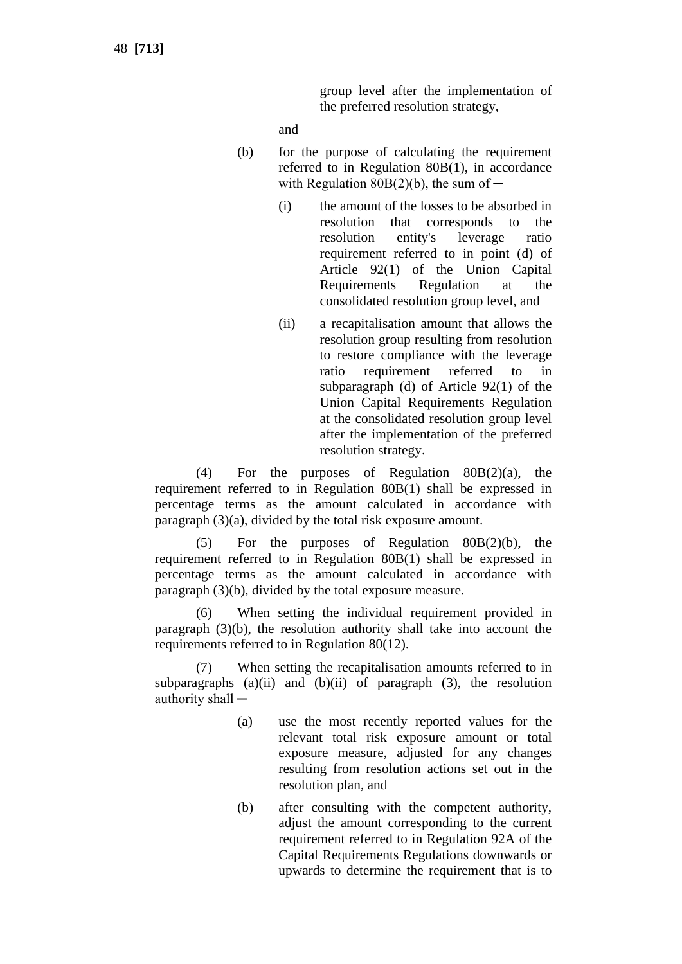group level after the implementation of the preferred resolution strategy,

and

- (b) for the purpose of calculating the requirement referred to in Regulation 80B(1), in accordance with Regulation  $80B(2)(b)$ , the sum of  $-$ 
	- (i) the amount of the losses to be absorbed in resolution that corresponds to the resolution entity's leverage ratio requirement referred to in point (d) of Article 92(1) of the Union Capital Requirements Regulation at the consolidated resolution group level, and
	- (ii) a recapitalisation amount that allows the resolution group resulting from resolution to restore compliance with the leverage ratio requirement referred to in subparagraph (d) of Article 92(1) of the Union Capital Requirements Regulation at the consolidated resolution group level after the implementation of the preferred resolution strategy.

(4) For the purposes of Regulation 80B(2)(a), the requirement referred to in Regulation 80B(1) shall be expressed in percentage terms as the amount calculated in accordance with paragraph (3)(a), divided by the total risk exposure amount.

(5) For the purposes of Regulation 80B(2)(b), the requirement referred to in Regulation 80B(1) shall be expressed in percentage terms as the amount calculated in accordance with paragraph (3)(b), divided by the total exposure measure.

(6) When setting the individual requirement provided in paragraph (3)(b), the resolution authority shall take into account the requirements referred to in Regulation 80(12).

(7) When setting the recapitalisation amounts referred to in subparagraphs (a)(ii) and (b)(ii) of paragraph (3), the resolution authority shall  $-$ 

- (a) use the most recently reported values for the relevant total risk exposure amount or total exposure measure, adjusted for any changes resulting from resolution actions set out in the resolution plan, and
- (b) after consulting with the competent authority, adjust the amount corresponding to the current requirement referred to in Regulation 92A of the Capital Requirements Regulations downwards or upwards to determine the requirement that is to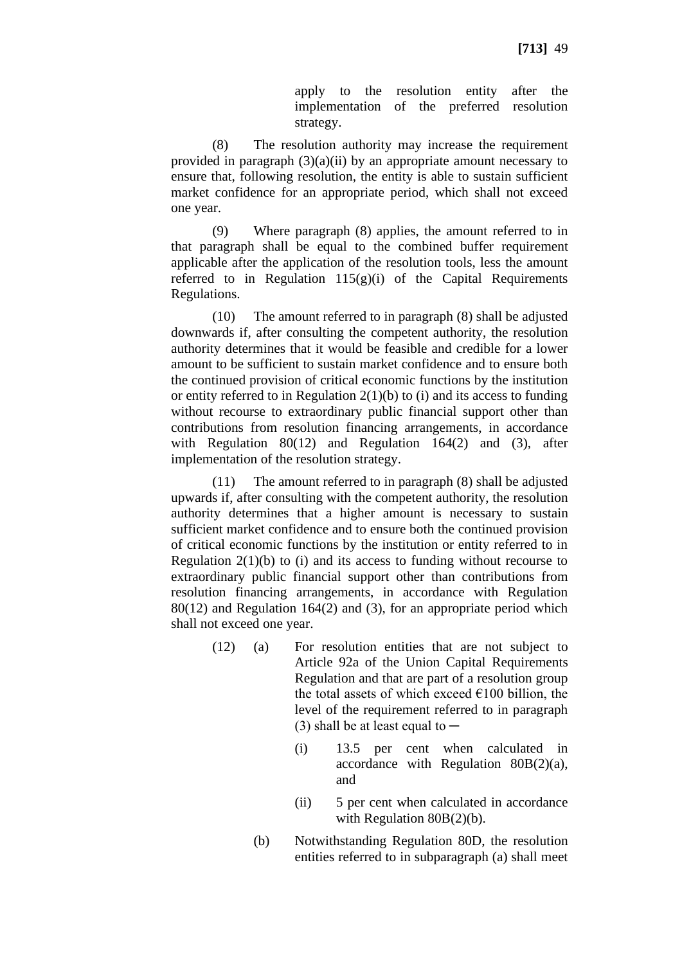apply to the resolution entity after the implementation of the preferred resolution strategy.

(8) The resolution authority may increase the requirement provided in paragraph  $(3)(a)(ii)$  by an appropriate amount necessary to ensure that, following resolution, the entity is able to sustain sufficient market confidence for an appropriate period, which shall not exceed one year.

(9) Where paragraph (8) applies, the amount referred to in that paragraph shall be equal to the combined buffer requirement applicable after the application of the resolution tools, less the amount referred to in Regulation  $115(g)(i)$  of the Capital Requirements Regulations.

(10) The amount referred to in paragraph (8) shall be adjusted downwards if, after consulting the competent authority, the resolution authority determines that it would be feasible and credible for a lower amount to be sufficient to sustain market confidence and to ensure both the continued provision of critical economic functions by the institution or entity referred to in Regulation  $2(1)(b)$  to (i) and its access to funding without recourse to extraordinary public financial support other than contributions from resolution financing arrangements, in accordance with Regulation 80(12) and Regulation 164(2) and (3), after implementation of the resolution strategy.

(11) The amount referred to in paragraph (8) shall be adjusted upwards if, after consulting with the competent authority, the resolution authority determines that a higher amount is necessary to sustain sufficient market confidence and to ensure both the continued provision of critical economic functions by the institution or entity referred to in Regulation  $2(1)(b)$  to (i) and its access to funding without recourse to extraordinary public financial support other than contributions from resolution financing arrangements, in accordance with Regulation 80(12) and Regulation 164(2) and (3), for an appropriate period which shall not exceed one year.

- (12) (a) For resolution entities that are not subject to Article 92a of the Union Capital Requirements Regulation and that are part of a resolution group the total assets of which exceed  $\epsilon$ 100 billion, the level of the requirement referred to in paragraph (3) shall be at least equal to  $-$ 
	- (i) 13.5 per cent when calculated in accordance with Regulation 80B(2)(a), and
	- (ii) 5 per cent when calculated in accordance with Regulation 80B(2)(b).
	- (b) Notwithstanding Regulation 80D, the resolution entities referred to in subparagraph (a) shall meet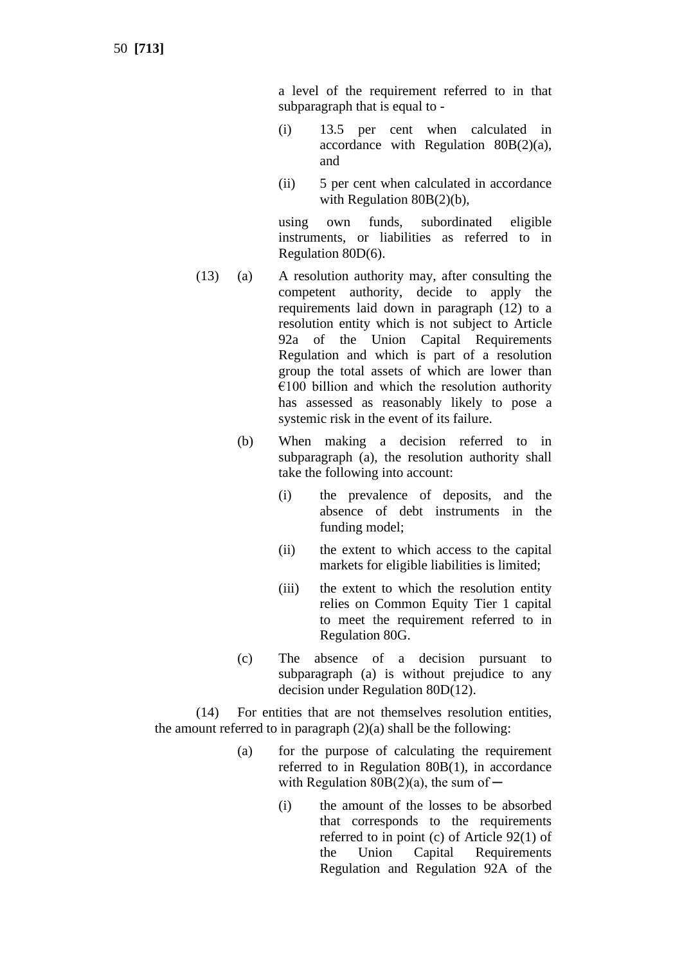50 **[713]**

a level of the requirement referred to in that subparagraph that is equal to -

- (i) 13.5 per cent when calculated in accordance with Regulation 80B(2)(a), and
- (ii) 5 per cent when calculated in accordance with Regulation 80B(2)(b),

using own funds, subordinated eligible instruments, or liabilities as referred to in Regulation 80D(6).

- (13) (a) A resolution authority may, after consulting the competent authority, decide to apply the requirements laid down in paragraph (12) to a resolution entity which is not subject to Article 92a of the Union Capital Requirements Regulation and which is part of a resolution group the total assets of which are lower than  $€100$  billion and which the resolution authority has assessed as reasonably likely to pose a systemic risk in the event of its failure.
	- (b) When making a decision referred to in subparagraph (a), the resolution authority shall take the following into account:
		- (i) the prevalence of deposits, and the absence of debt instruments in the funding model;
		- (ii) the extent to which access to the capital markets for eligible liabilities is limited;
		- (iii) the extent to which the resolution entity relies on Common Equity Tier 1 capital to meet the requirement referred to in Regulation 80G.
	- (c) The absence of a decision pursuant to subparagraph (a) is without prejudice to any decision under Regulation 80D(12).

(14) For entities that are not themselves resolution entities, the amount referred to in paragraph  $(2)(a)$  shall be the following:

- (a) for the purpose of calculating the requirement referred to in Regulation 80B(1), in accordance with Regulation  $80B(2)(a)$ , the sum of —
	- (i) the amount of the losses to be absorbed that corresponds to the requirements referred to in point (c) of Article 92(1) of the Union Capital Requirements Regulation and Regulation 92A of the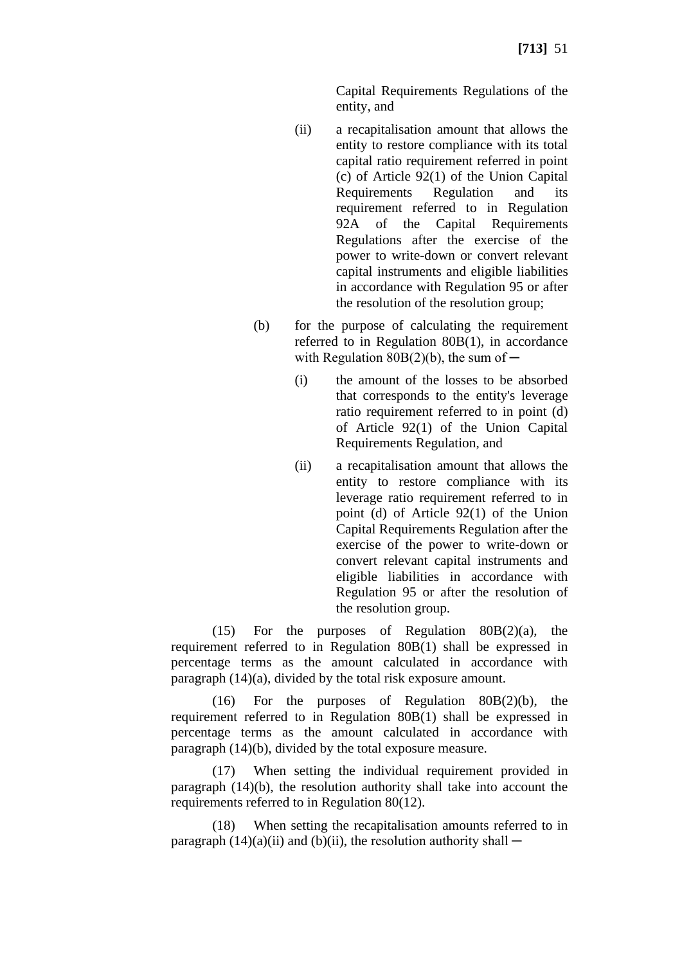Capital Requirements Regulations of the entity, and

- (ii) a recapitalisation amount that allows the entity to restore compliance with its total capital ratio requirement referred in point (c) of Article 92(1) of the Union Capital Requirements Regulation and its requirement referred to in Regulation 92A of the Capital Requirements Regulations after the exercise of the power to write-down or convert relevant capital instruments and eligible liabilities in accordance with Regulation 95 or after the resolution of the resolution group;
- (b) for the purpose of calculating the requirement referred to in Regulation 80B(1), in accordance with Regulation  $80B(2)(b)$ , the sum of —
	- (i) the amount of the losses to be absorbed that corresponds to the entity's leverage ratio requirement referred to in point (d) of Article 92(1) of the Union Capital Requirements Regulation, and
	- (ii) a recapitalisation amount that allows the entity to restore compliance with its leverage ratio requirement referred to in point (d) of Article 92(1) of the Union Capital Requirements Regulation after the exercise of the power to write-down or convert relevant capital instruments and eligible liabilities in accordance with Regulation 95 or after the resolution of the resolution group.

(15) For the purposes of Regulation  $80B(2)(a)$ , the requirement referred to in Regulation 80B(1) shall be expressed in percentage terms as the amount calculated in accordance with paragraph (14)(a), divided by the total risk exposure amount.

(16) For the purposes of Regulation 80B(2)(b), the requirement referred to in Regulation 80B(1) shall be expressed in percentage terms as the amount calculated in accordance with paragraph (14)(b), divided by the total exposure measure.

(17) When setting the individual requirement provided in paragraph (14)(b), the resolution authority shall take into account the requirements referred to in Regulation 80(12).

(18) When setting the recapitalisation amounts referred to in paragraph  $(14)(a)(ii)$  and  $(b)(ii)$ , the resolution authority shall —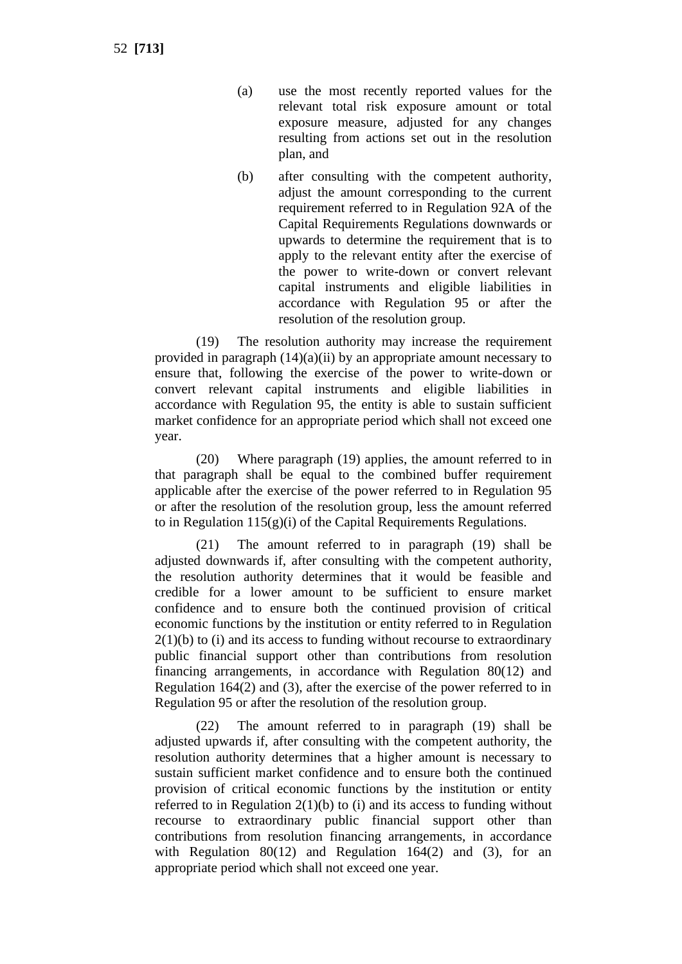- (a) use the most recently reported values for the relevant total risk exposure amount or total exposure measure, adjusted for any changes resulting from actions set out in the resolution plan, and
- (b) after consulting with the competent authority, adjust the amount corresponding to the current requirement referred to in Regulation 92A of the Capital Requirements Regulations downwards or upwards to determine the requirement that is to apply to the relevant entity after the exercise of the power to write-down or convert relevant capital instruments and eligible liabilities in accordance with Regulation 95 or after the resolution of the resolution group.

(19) The resolution authority may increase the requirement provided in paragraph  $(14)(a)(ii)$  by an appropriate amount necessary to ensure that, following the exercise of the power to write-down or convert relevant capital instruments and eligible liabilities in accordance with Regulation 95, the entity is able to sustain sufficient market confidence for an appropriate period which shall not exceed one year.

(20) Where paragraph (19) applies, the amount referred to in that paragraph shall be equal to the combined buffer requirement applicable after the exercise of the power referred to in Regulation 95 or after the resolution of the resolution group, less the amount referred to in Regulation  $115(g)(i)$  of the Capital Requirements Regulations.

(21) The amount referred to in paragraph (19) shall be adjusted downwards if, after consulting with the competent authority, the resolution authority determines that it would be feasible and credible for a lower amount to be sufficient to ensure market confidence and to ensure both the continued provision of critical economic functions by the institution or entity referred to in Regulation  $2(1)(b)$  to (i) and its access to funding without recourse to extraordinary public financial support other than contributions from resolution financing arrangements, in accordance with Regulation 80(12) and Regulation 164(2) and (3), after the exercise of the power referred to in Regulation 95 or after the resolution of the resolution group.

(22) The amount referred to in paragraph (19) shall be adjusted upwards if, after consulting with the competent authority, the resolution authority determines that a higher amount is necessary to sustain sufficient market confidence and to ensure both the continued provision of critical economic functions by the institution or entity referred to in Regulation  $2(1)(b)$  to (i) and its access to funding without recourse to extraordinary public financial support other than contributions from resolution financing arrangements, in accordance with Regulation  $80(12)$  and Regulation  $164(2)$  and  $(3)$ , for an appropriate period which shall not exceed one year.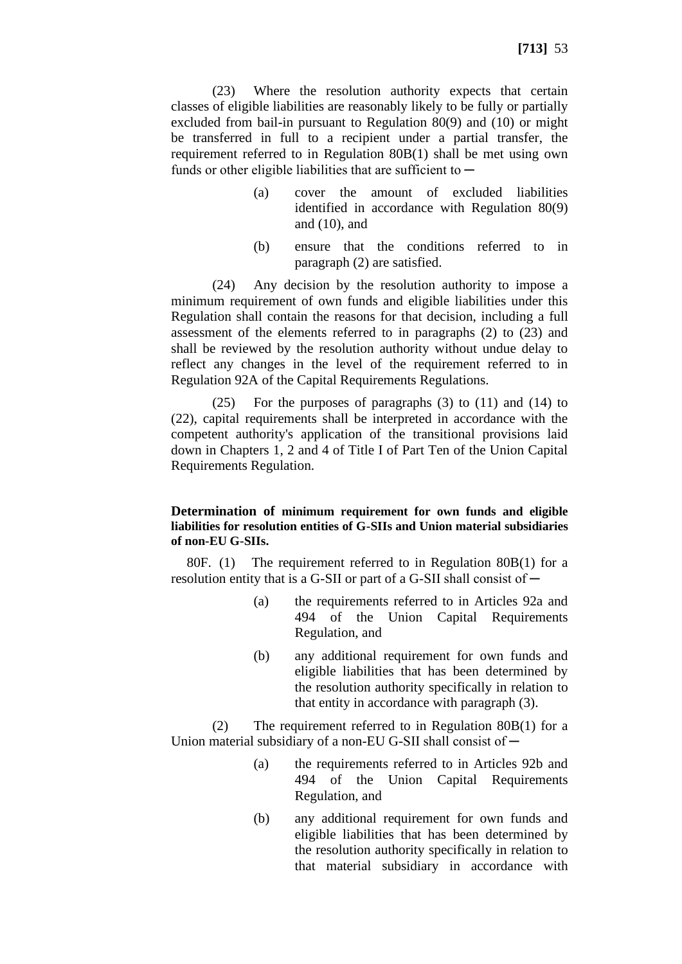(23) Where the resolution authority expects that certain classes of eligible liabilities are reasonably likely to be fully or partially excluded from bail-in pursuant to Regulation 80(9) and (10) or might be transferred in full to a recipient under a partial transfer, the requirement referred to in Regulation 80B(1) shall be met using own funds or other eligible liabilities that are sufficient to  $-$ 

- (a) cover the amount of excluded liabilities identified in accordance with Regulation 80(9) and (10), and
- (b) ensure that the conditions referred to in paragraph (2) are satisfied.

(24) Any decision by the resolution authority to impose a minimum requirement of own funds and eligible liabilities under this Regulation shall contain the reasons for that decision, including a full assessment of the elements referred to in paragraphs (2) to (23) and shall be reviewed by the resolution authority without undue delay to reflect any changes in the level of the requirement referred to in Regulation 92A of the Capital Requirements Regulations.

(25) For the purposes of paragraphs (3) to (11) and (14) to (22), capital requirements shall be interpreted in accordance with the competent authority's application of the transitional provisions laid down in Chapters 1, 2 and 4 of Title I of Part Ten of the Union Capital Requirements Regulation.

#### **Determination of minimum requirement for own funds and eligible liabilities for resolution entities of G-SIIs and Union material subsidiaries of non-EU G-SIIs.**

80F. (1) The requirement referred to in Regulation 80B(1) for a resolution entity that is a G-SII or part of a G-SII shall consist of ─

- (a) the requirements referred to in Articles 92a and 494 of the Union Capital Requirements Regulation, and
- (b) any additional requirement for own funds and eligible liabilities that has been determined by the resolution authority specifically in relation to that entity in accordance with paragraph (3).

(2) The requirement referred to in Regulation 80B(1) for a Union material subsidiary of a non-EU G-SII shall consist of  $-$ 

- (a) the requirements referred to in Articles 92b and 494 of the Union Capital Requirements Regulation, and
- (b) any additional requirement for own funds and eligible liabilities that has been determined by the resolution authority specifically in relation to that material subsidiary in accordance with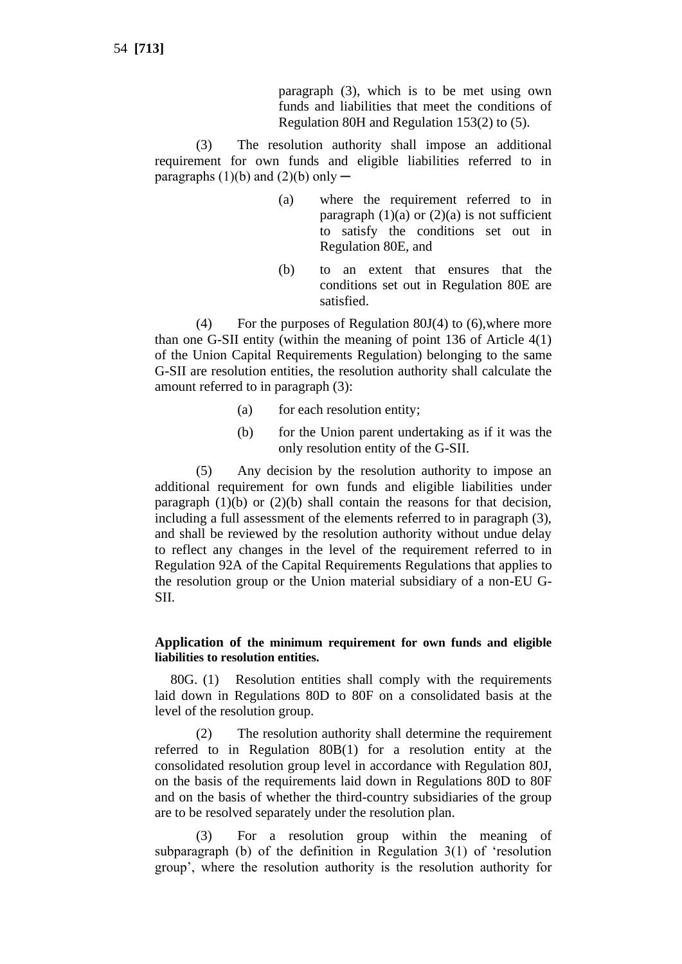paragraph (3), which is to be met using own funds and liabilities that meet the conditions of Regulation 80H and Regulation 153(2) to (5).

(3) The resolution authority shall impose an additional requirement for own funds and eligible liabilities referred to in paragraphs  $(1)(b)$  and  $(2)(b)$  only —

- (a) where the requirement referred to in paragraph  $(1)(a)$  or  $(2)(a)$  is not sufficient to satisfy the conditions set out in Regulation 80E, and
- (b) to an extent that ensures that the conditions set out in Regulation 80E are satisfied.

(4) For the purposes of Regulation 80J(4) to (6),where more than one G-SII entity (within the meaning of point 136 of Article 4(1) of the Union Capital Requirements Regulation) belonging to the same G-SII are resolution entities, the resolution authority shall calculate the amount referred to in paragraph (3):

- (a) for each resolution entity;
- (b) for the Union parent undertaking as if it was the only resolution entity of the G-SII.

(5) Any decision by the resolution authority to impose an additional requirement for own funds and eligible liabilities under paragraph  $(1)(b)$  or  $(2)(b)$  shall contain the reasons for that decision, including a full assessment of the elements referred to in paragraph (3), and shall be reviewed by the resolution authority without undue delay to reflect any changes in the level of the requirement referred to in Regulation 92A of the Capital Requirements Regulations that applies to the resolution group or the Union material subsidiary of a non-EU G-SII.

#### **Application of the minimum requirement for own funds and eligible liabilities to resolution entities.**

80G. (1) Resolution entities shall comply with the requirements laid down in Regulations 80D to 80F on a consolidated basis at the level of the resolution group.

(2) The resolution authority shall determine the requirement referred to in Regulation 80B(1) for a resolution entity at the consolidated resolution group level in accordance with Regulation 80J, on the basis of the requirements laid down in Regulations 80D to 80F and on the basis of whether the third-country subsidiaries of the group are to be resolved separately under the resolution plan.

(3) For a resolution group within the meaning of subparagraph (b) of the definition in Regulation 3(1) of 'resolution group', where the resolution authority is the resolution authority for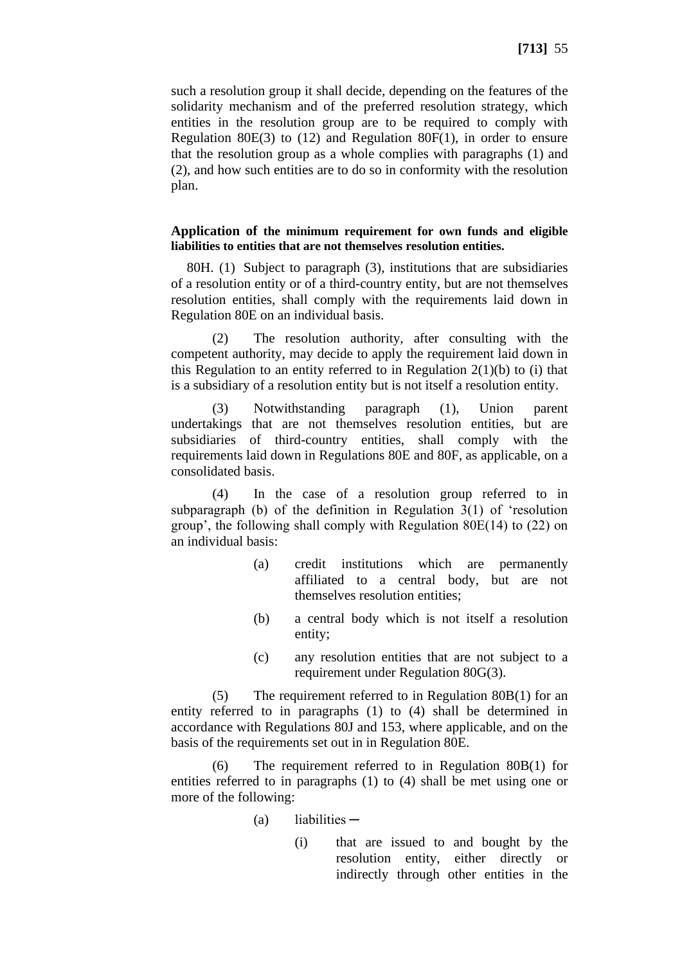such a resolution group it shall decide, depending on the features of the solidarity mechanism and of the preferred resolution strategy, which entities in the resolution group are to be required to comply with Regulation 80E(3) to (12) and Regulation 80F(1), in order to ensure that the resolution group as a whole complies with paragraphs (1) and (2), and how such entities are to do so in conformity with the resolution plan.

#### **Application of the minimum requirement for own funds and eligible liabilities to entities that are not themselves resolution entities.**

80H. (1) Subject to paragraph (3), institutions that are subsidiaries of a resolution entity or of a third-country entity, but are not themselves resolution entities, shall comply with the requirements laid down in Regulation 80E on an individual basis.

(2) The resolution authority, after consulting with the competent authority, may decide to apply the requirement laid down in this Regulation to an entity referred to in Regulation  $2(1)(b)$  to (i) that is a subsidiary of a resolution entity but is not itself a resolution entity.

(3) Notwithstanding paragraph (1), Union parent undertakings that are not themselves resolution entities, but are subsidiaries of third-country entities, shall comply with the requirements laid down in Regulations 80E and 80F, as applicable, on a consolidated basis.

(4) In the case of a resolution group referred to in subparagraph (b) of the definition in Regulation 3(1) of 'resolution group', the following shall comply with Regulation 80E(14) to (22) on an individual basis:

- (a) credit institutions which are permanently affiliated to a central body, but are not themselves resolution entities;
- (b) a central body which is not itself a resolution entity;
- (c) any resolution entities that are not subject to a requirement under Regulation 80G(3).

(5) The requirement referred to in Regulation 80B(1) for an entity referred to in paragraphs (1) to (4) shall be determined in accordance with Regulations 80J and 153, where applicable, and on the basis of the requirements set out in in Regulation 80E.

The requirement referred to in Regulation  $80B(1)$  for entities referred to in paragraphs (1) to (4) shall be met using one or more of the following:

- $(a)$  liabilities  $-$ 
	- (i) that are issued to and bought by the resolution entity, either directly or indirectly through other entities in the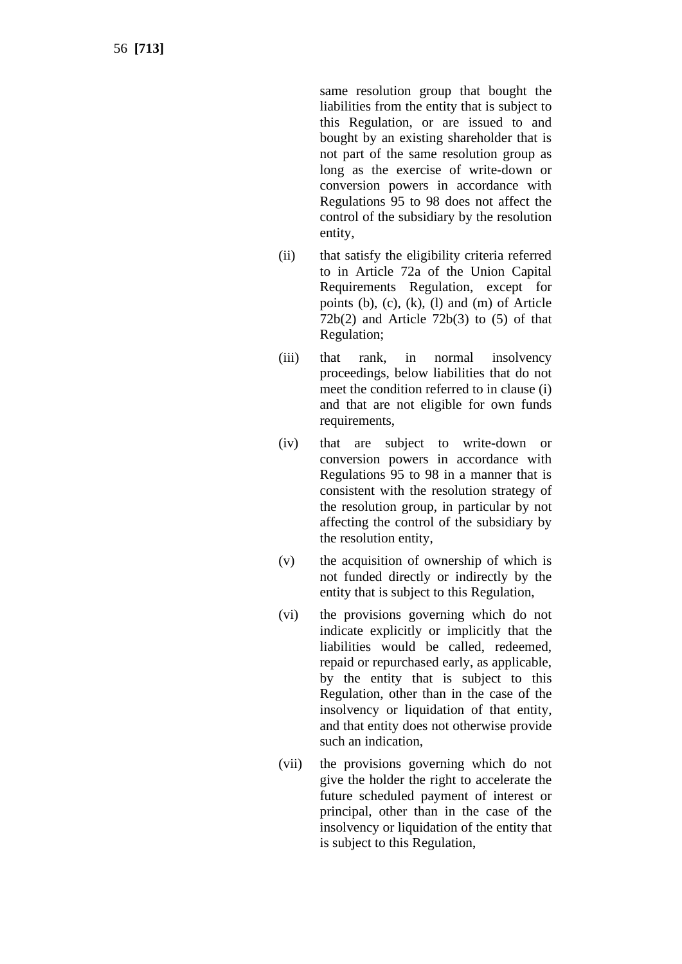same resolution group that bought the liabilities from the entity that is subject to this Regulation, or are issued to and bought by an existing shareholder that is not part of the same resolution group as long as the exercise of write -down or conversion powers in accordance with Regulations 95 to 98 does not affect the control of the subsidiary by the resolution entity,

- (ii) that satisfy the eligibility criteria referred to in Article 72a of the Union Capital Requirements Regulation, except for points (b), (c), (k), (l) and (m) of Article  $72b(2)$  and Article  $72b(3)$  to  $(5)$  of that Regulation;
- (iii) that rank, in normal insolvency proceedings, below liabilities that do not meet the condition referred to in clause (i) and that are not eligible for own funds requirements.
- (iv) that are subject to write -down or conversion powers in accordance with Regulations 95 to 98 in a manner that is consistent with the resolution strategy of the resolution group, in particular by not affecting the control of the subsidiary by the resolution entity,
- (v) the acquisition of ownership of which is not funded directly or indirectly by the entity that is subject to this Regulation,
- (vi) the provisions governing which do not indicate explicitly or implicitly that the liabilities would be called, redeemed, repaid or repurchased early, as applicable, by the entity that is subject to this Regulation, other than in the case of the insolvency or liquidation of that entity, and that entity does not otherwise provide such an indication,
- (vii) the provisions governing which do not give the holder the right to accelerate the future scheduled payment of interest or principal, other than in the case of the insolvency or liquidation of the entity that is subject to this Regulation,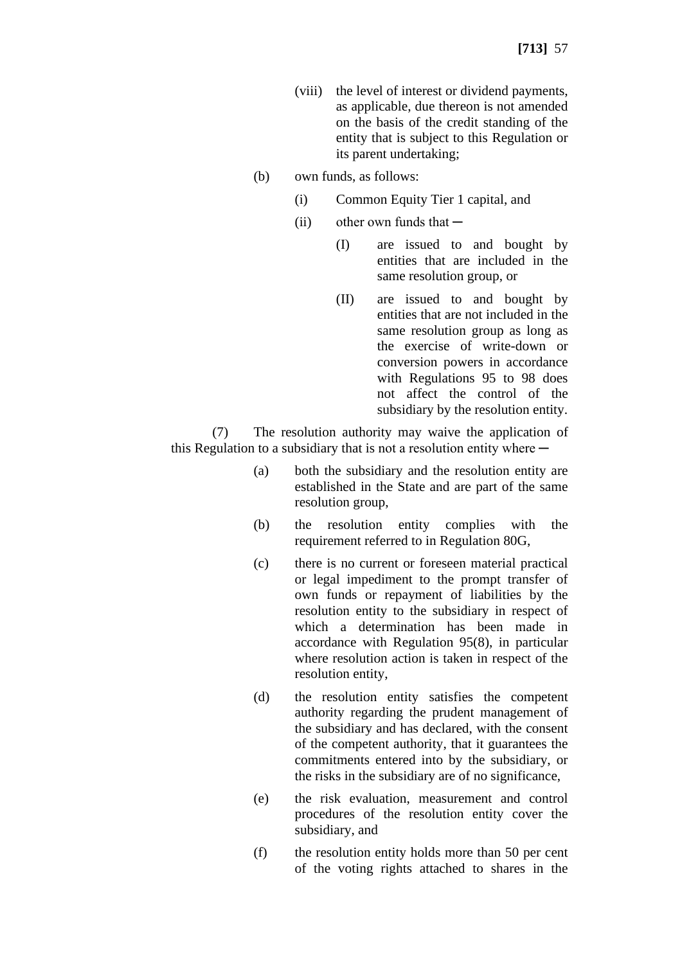- (viii) the level of interest or dividend payments, as applicable, due thereon is not amended on the basis of the credit standing of the entity that is subject to this Regulation or its parent undertaking;
- (b) own funds, as follows:
	- (i) Common Equity Tier 1 capital, and
	- $(iii)$  other own funds that  $-$ 
		- (I) are issued to and bought by entities that are included in the same resolution group, or
		- (II) are issued to and bought by entities that are not included in the same resolution group as long as the exercise of write-down or conversion powers in accordance with Regulations 95 to 98 does not affect the control of the subsidiary by the resolution entity.

(7) The resolution authority may waive the application of this Regulation to a subsidiary that is not a resolution entity where  $-$ 

- (a) both the subsidiary and the resolution entity are established in the State and are part of the same resolution group,
- (b) the resolution entity complies with the requirement referred to in Regulation 80G,
- (c) there is no current or foreseen material practical or legal impediment to the prompt transfer of own funds or repayment of liabilities by the resolution entity to the subsidiary in respect of which a determination has been made in accordance with Regulation 95(8), in particular where resolution action is taken in respect of the resolution entity,
- (d) the resolution entity satisfies the competent authority regarding the prudent management of the subsidiary and has declared, with the consent of the competent authority, that it guarantees the commitments entered into by the subsidiary, or the risks in the subsidiary are of no significance,
- (e) the risk evaluation, measurement and control procedures of the resolution entity cover the subsidiary, and
- (f) the resolution entity holds more than 50 per cent of the voting rights attached to shares in the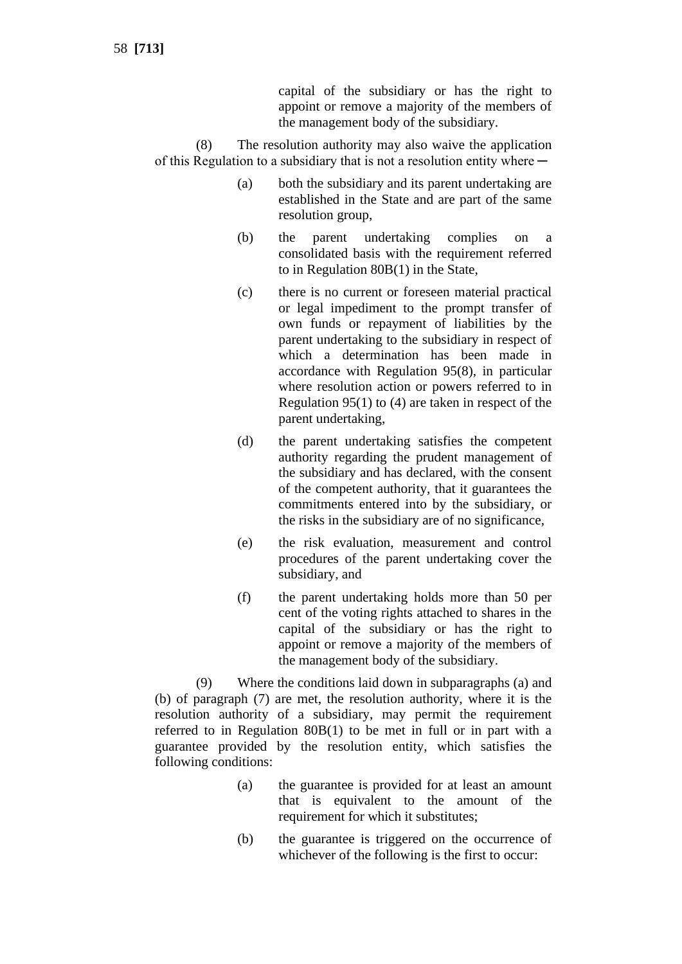capital of the subsidiary or has the right to appoint or remove a majority of the members of the management body of the subsidiary.

(8) The resolution authority may also waive the application of this Regulation to a subsidiary that is not a resolution entity where  $-$ 

- (a) both the subsidiary and its parent undertaking are established in the State and are part of the same resolution group,
- (b) the parent undertaking complies on a consolidated basis with the requirement referred to in Regulation 80B(1) in the State,
- (c) there is no current or foreseen material practical or legal impediment to the prompt transfer of own funds or repayment of liabilities by the parent undertaking to the subsidiary in respect of which a determination has been made in accordance with Regulation 95(8), in particular where resolution action or powers referred to in Regulation 95(1) to (4) are taken in respect of the parent undertaking,
- (d) the parent undertaking satisfies the competent authority regarding the prudent management of the subsidiary and has declared, with the consent of the competent authority, that it guarantees the commitments entered into by the subsidiary, or the risks in the subsidiary are of no significance,
- (e) the risk evaluation, measurement and control procedures of the parent undertaking cover the subsidiary, and
- (f) the parent undertaking holds more than 50 per cent of the voting rights attached to shares in the capital of the subsidiary or has the right to appoint or remove a majority of the members of the management body of the subsidiary.

(9) Where the conditions laid down in subparagraphs (a) and (b) of paragraph (7) are met, the resolution authority, where it is the resolution authority of a subsidiary, may permit the requirement referred to in Regulation 80B(1) to be met in full or in part with a guarantee provided by the resolution entity, which satisfies the following conditions:

- (a) the guarantee is provided for at least an amount that is equivalent to the amount of the requirement for which it substitutes;
- (b) the guarantee is triggered on the occurrence of whichever of the following is the first to occur: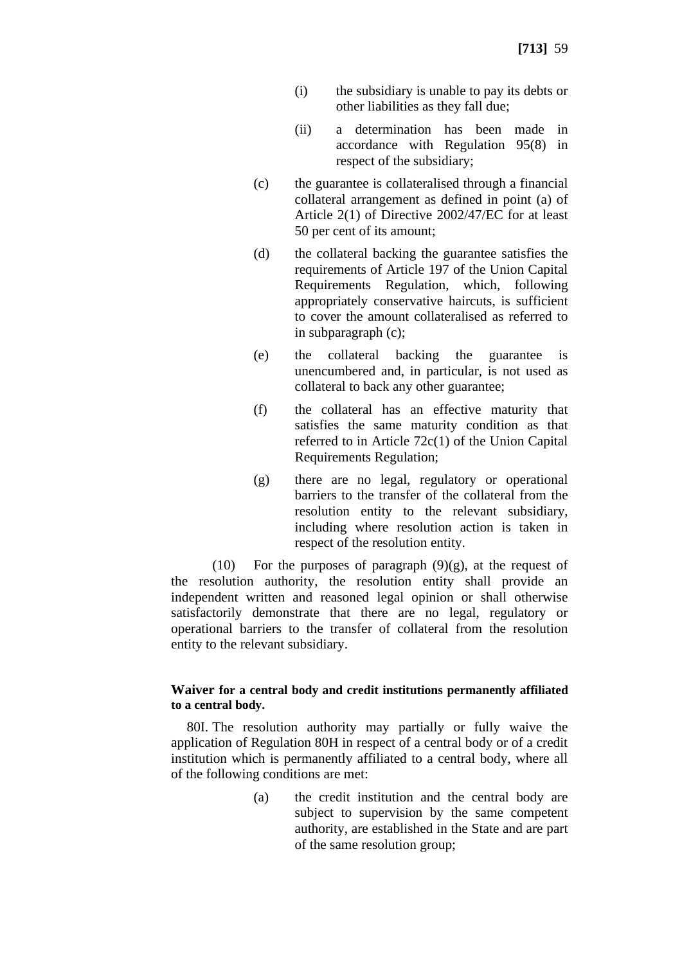- (i) the subsidiary is unable to pay its debts or other liabilities as they fall due;
- (ii) a determination has been made in accordance with Regulation 95(8) in respect of the subsidiary;
- (c) the guarantee is collateralised through a financial collateral arrangement as defined in point (a) of Article 2(1) of Directive 2002/47/EC for at least 50 per cent of its amount;
- (d) the collateral backing the guarantee satisfies the requirements of Article 197 of the Union Capital Requirements Regulation, which, following appropriately conservative haircuts, is sufficient to cover the amount collateralised as referred to in subparagraph (c);
- (e) the collateral backing the guarantee is unencumbered and, in particular, is not used as collateral to back any other guarantee;
- (f) the collateral has an effective maturity that satisfies the same maturity condition as that referred to in Article 72c(1) of the Union Capital Requirements Regulation;
- (g) there are no legal, regulatory or operational barriers to the transfer of the collateral from the resolution entity to the relevant subsidiary, including where resolution action is taken in respect of the resolution entity.

(10) For the purposes of paragraph  $(9)(g)$ , at the request of the resolution authority, the resolution entity shall provide an independent written and reasoned legal opinion or shall otherwise satisfactorily demonstrate that there are no legal, regulatory or operational barriers to the transfer of collateral from the resolution entity to the relevant subsidiary.

#### **Waiver for a central body and credit institutions permanently affiliated to a central body.**

80I. The resolution authority may partially or fully waive the application of Regulation 80H in respect of a central body or of a credit institution which is permanently affiliated to a central body, where all of the following conditions are met:

> (a) the credit institution and the central body are subject to supervision by the same competent authority, are established in the State and are part of the same resolution group;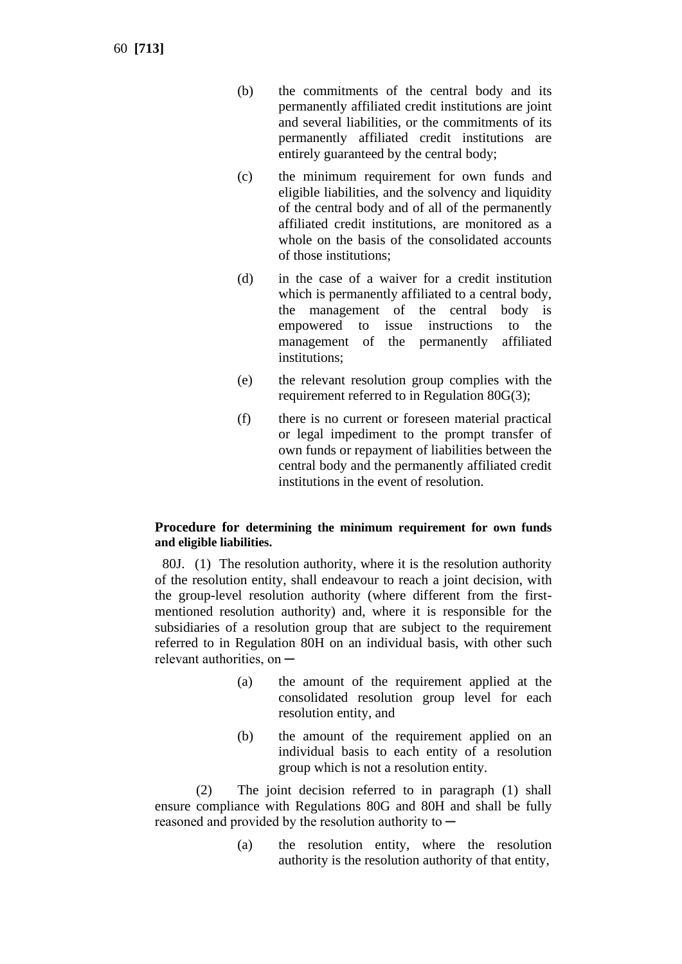60 **[713]**

- (b) the commitments of the central body and its permanently affiliated credit institutions are joint and several liabilities, or the commitments of its permanently affiliated credit institutions are entirely guaranteed by the central body;
- (c) the minimum requirement for own funds and eligible liabilities, and the solvency and liquidity of the central body and of all of the permanently affiliated credit institutions, are monitored as a whole on the basis of the consolidated accounts of those institutions;
- (d) in the case of a waiver for a credit institution which is permanently affiliated to a central body, the management of the central body is empowered to issue instructions to the management of the permanently affiliated institutions;
- (e) the relevant resolution group complies with the requirement referred to in Regulation 80G(3);
- (f) there is no current or foreseen material practical or legal impediment to the prompt transfer of own funds or repayment of liabilities between the central body and the permanently affiliated credit institutions in the event of resolution.

# **Procedure for determining the minimum requirement for own funds and eligible liabilities.**

80J. (1) The resolution authority, where it is the resolution authority of the resolution entity, shall endeavour to reach a joint decision, with the group-level resolution authority (where different from the firstmentioned resolution authority) and, where it is responsible for the subsidiaries of a resolution group that are subject to the requirement referred to in Regulation 80H on an individual basis, with other such relevant authorities, on  $-$ 

- (a) the amount of the requirement applied at the consolidated resolution group level for each resolution entity, and
- (b) the amount of the requirement applied on an individual basis to each entity of a resolution group which is not a resolution entity.

(2) The joint decision referred to in paragraph (1) shall ensure compliance with Regulations 80G and 80H and shall be fully reasoned and provided by the resolution authority to  $-$ 

> (a) the resolution entity, where the resolution authority is the resolution authority of that entity,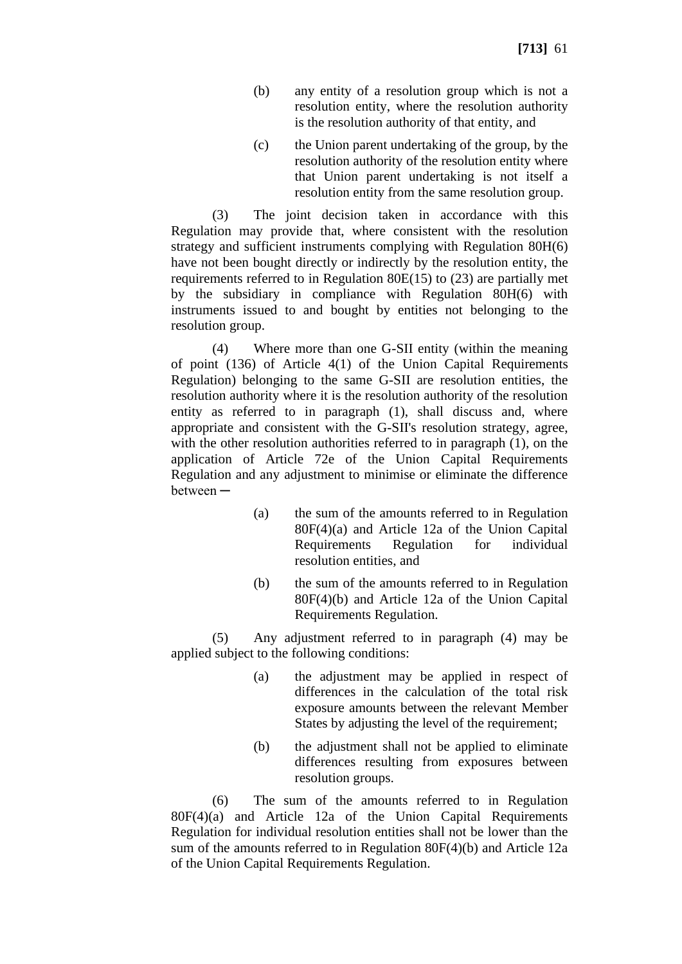- (b) any entity of a resolution group which is not a resolution entity, where the resolution authority is the resolution authority of that entity, and
- (c) the Union parent undertaking of the group, by the resolution authority of the resolution entity where that Union parent undertaking is not itself a resolution entity from the same resolution group.

(3) The joint decision taken in accordance with this Regulation may provide that, where consistent with the resolution strategy and sufficient instruments complying with Regulation 80H(6) have not been bought directly or indirectly by the resolution entity, the requirements referred to in Regulation 80E(15) to (23) are partially met by the subsidiary in compliance with Regulation 80H(6) with instruments issued to and bought by entities not belonging to the resolution group.

(4) Where more than one G-SII entity (within the meaning of point (136) of Article 4(1) of the Union Capital Requirements Regulation) belonging to the same G-SII are resolution entities, the resolution authority where it is the resolution authority of the resolution entity as referred to in paragraph (1), shall discuss and, where appropriate and consistent with the G-SII's resolution strategy, agree, with the other resolution authorities referred to in paragraph  $(1)$ , on the application of Article 72e of the Union Capital Requirements Regulation and any adjustment to minimise or eliminate the difference between ─

- (a) the sum of the amounts referred to in Regulation 80F(4)(a) and Article 12a of the Union Capital Requirements Regulation for individual resolution entities, and
- (b) the sum of the amounts referred to in Regulation 80F(4)(b) and Article 12a of the Union Capital Requirements Regulation.

(5) Any adjustment referred to in paragraph (4) may be applied subject to the following conditions:

- (a) the adjustment may be applied in respect of differences in the calculation of the total risk exposure amounts between the relevant Member States by adjusting the level of the requirement;
- (b) the adjustment shall not be applied to eliminate differences resulting from exposures between resolution groups.

(6) The sum of the amounts referred to in Regulation 80F(4)(a) and Article 12a of the Union Capital Requirements Regulation for individual resolution entities shall not be lower than the sum of the amounts referred to in Regulation 80F(4)(b) and Article 12a of the Union Capital Requirements Regulation.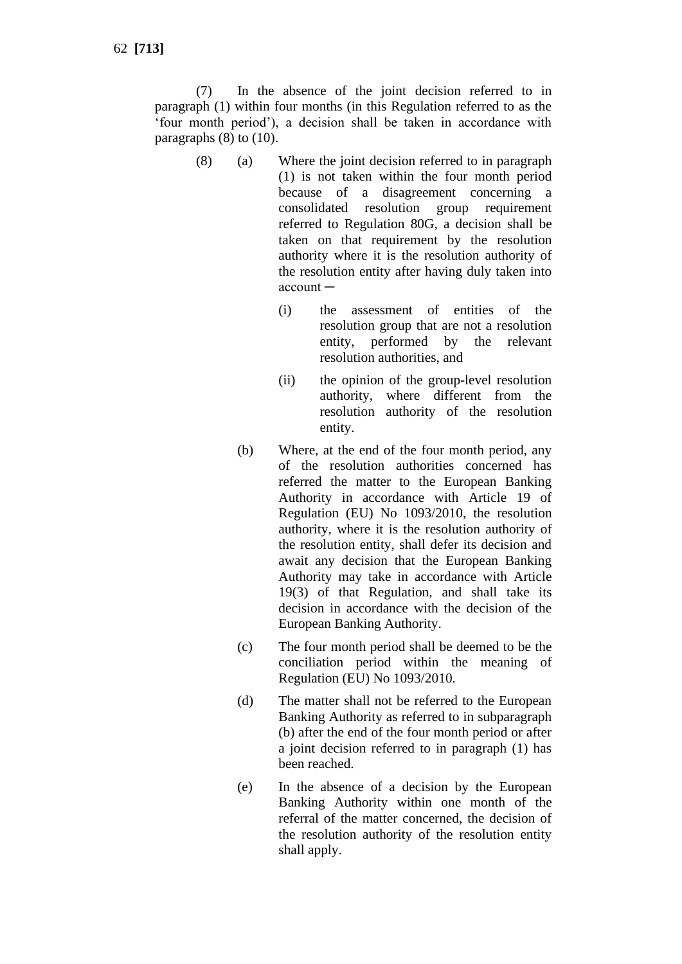(7) In the absence of the joint decision referred to in paragraph (1) within four months (in this Regulation referred to as the 'four month period'), a decision shall be taken in accordance with paragraphs  $(8)$  to  $(10)$ .

- (8) (a) Where the joint decision referred to in paragraph (1) is not taken within the four month period because of a disagreement concerning a consolidated resolution group requirement referred to Regulation 80G, a decision shall be taken on that requirement by the resolution authority where it is the resolution authority of the resolution entity after having duly taken into  $account -$ 
	- (i) the assessment of entities of the resolution group that are not a resolution entity, performed by the relevant resolution authorities, and
	- (ii) the opinion of the group-level resolution authority, where different from the resolution authority of the resolution entity.
	- (b) Where, at the end of the four month period, any of the resolution authorities concerned has referred the matter to the European Banking Authority in accordance with Article 19 of Regulation (EU) No 1093/2010, the resolution authority, where it is the resolution authority of the resolution entity, shall defer its decision and await any decision that the European Banking Authority may take in accordance with Article 19(3) of that Regulation, and shall take its decision in accordance with the decision of the European Banking Authority.
	- (c) The four month period shall be deemed to be the conciliation period within the meaning of Regulation (EU) No 1093/2010.
	- (d) The matter shall not be referred to the European Banking Authority as referred to in subparagraph (b) after the end of the four month period or after a joint decision referred to in paragraph (1) has been reached.
	- (e) In the absence of a decision by the European Banking Authority within one month of the referral of the matter concerned, the decision of the resolution authority of the resolution entity shall apply.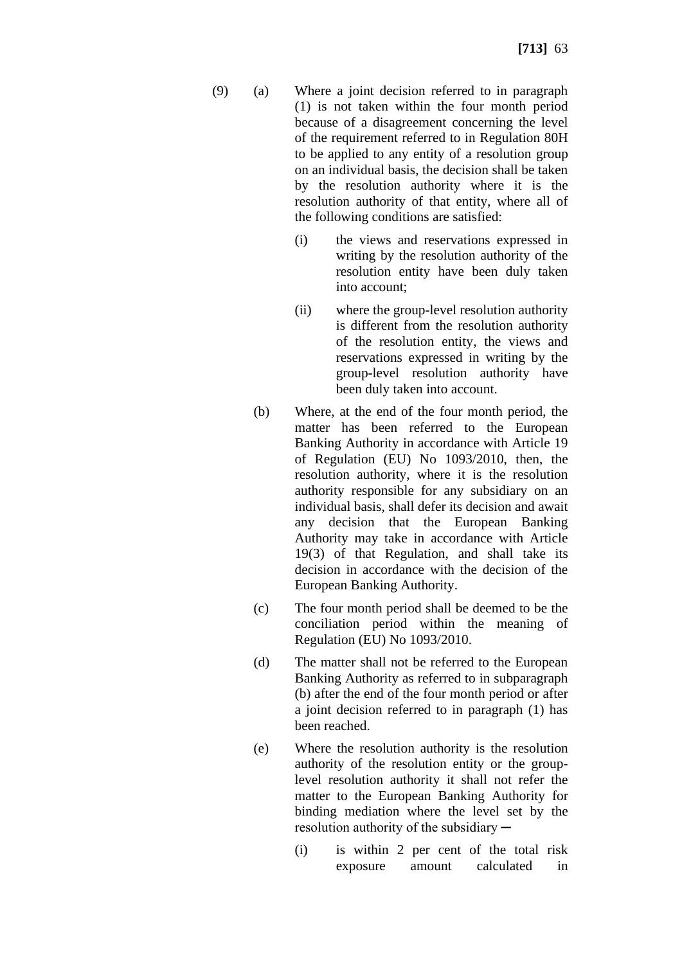- (9) (a) Where a joint decision referred to in paragraph (1) is not taken within the four month period because of a disagreement concerning the level of the requirement referred to in Regulation 80H to be applied to any entity of a resolution group on an individual basis, the decision shall be taken by the resolution authority where it is the resolution authority of that entity, where all of the following conditions are satisfied:
	- (i) the views and reservations expressed in writing by the resolution authority of the resolution entity have been duly taken into account;
	- (ii) where the group-level resolution authority is different from the resolution authority of the resolution entity, the views and reservations expressed in writing by the group-level resolution authority have been duly taken into account.
	- (b) Where, at the end of the four month period, the matter has been referred to the European Banking Authority in accordance with Article 19 of Regulation (EU) No 1093/2010, then, the resolution authority, where it is the resolution authority responsible for any subsidiary on an individual basis, shall defer its decision and await any decision that the European Banking Authority may take in accordance with Article 19(3) of that Regulation, and shall take its decision in accordance with the decision of the European Banking Authority.
	- (c) The four month period shall be deemed to be the conciliation period within the meaning of Regulation (EU) No 1093/2010.
	- (d) The matter shall not be referred to the European Banking Authority as referred to in subparagraph (b) after the end of the four month period or after a joint decision referred to in paragraph (1) has been reached.
	- (e) Where the resolution authority is the resolution authority of the resolution entity or the grouplevel resolution authority it shall not refer the matter to the European Banking Authority for binding mediation where the level set by the resolution authority of the subsidiary —
		- (i) is within 2 per cent of the total risk exposure amount calculated in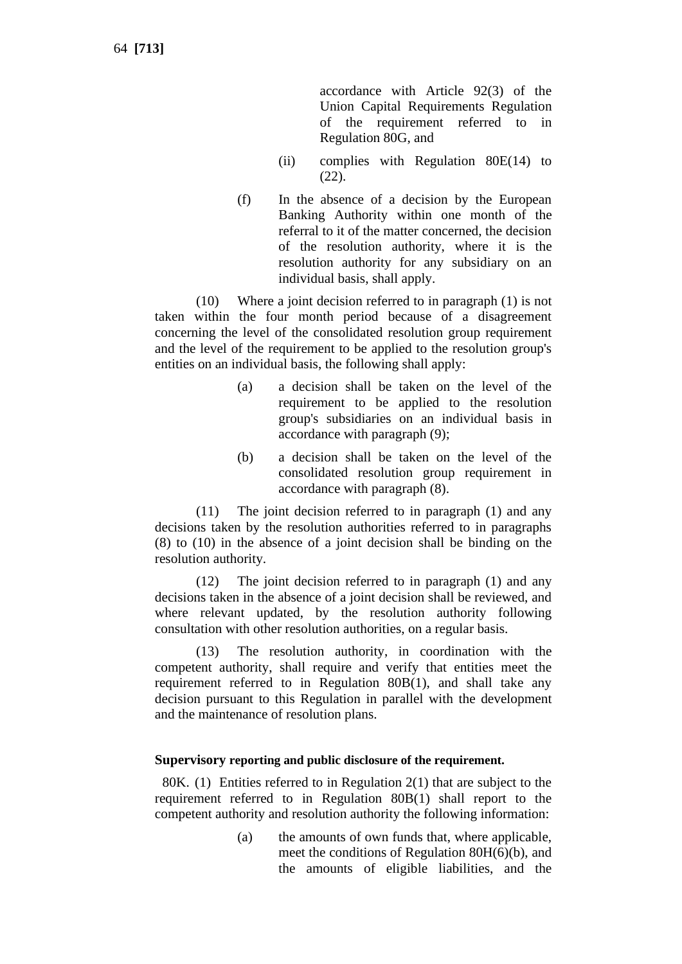accordance with Article 92(3) of the Union Capital Requirements Regulation of the requirement referred to in Regulation 80G, and

- (ii) complies with Regulation 80E(14) to (22).
- (f) In the absence of a decision by the European Banking Authority within one month of the referral to it of the matter concerned, the decision of the resolution authority, where it is the resolution authority for any subsidiary on an individual basis, shall apply.

(10) Where a joint decision referred to in paragraph (1) is not taken within the four month period because of a disagreement concerning the level of the consolidated resolution group requirement and the level of the requirement to be applied to the resolution group's entities on an individual basis, the following shall apply:

- (a) a decision shall be taken on the level of the requirement to be applied to the resolution group's subsidiaries on an individual basis in accordance with paragraph (9);
- (b) a decision shall be taken on the level of the consolidated resolution group requirement in accordance with paragraph (8).

(11) The joint decision referred to in paragraph (1) and any decisions taken by the resolution authorities referred to in paragraphs (8) to (10) in the absence of a joint decision shall be binding on the resolution authority.

(12) The joint decision referred to in paragraph (1) and any decisions taken in the absence of a joint decision shall be reviewed, and where relevant updated, by the resolution authority following consultation with other resolution authorities, on a regular basis.

(13) The resolution authority, in coordination with the competent authority, shall require and verify that entities meet the requirement referred to in Regulation 80B(1), and shall take any decision pursuant to this Regulation in parallel with the development and the maintenance of resolution plans.

# **Supervisory reporting and public disclosure of the requirement.**

80K. (1) Entities referred to in Regulation 2(1) that are subject to the requirement referred to in Regulation 80B(1) shall report to the competent authority and resolution authority the following information:

> (a) the amounts of own funds that, where applicable, meet the conditions of Regulation 80H(6)(b), and the amounts of eligible liabilities, and the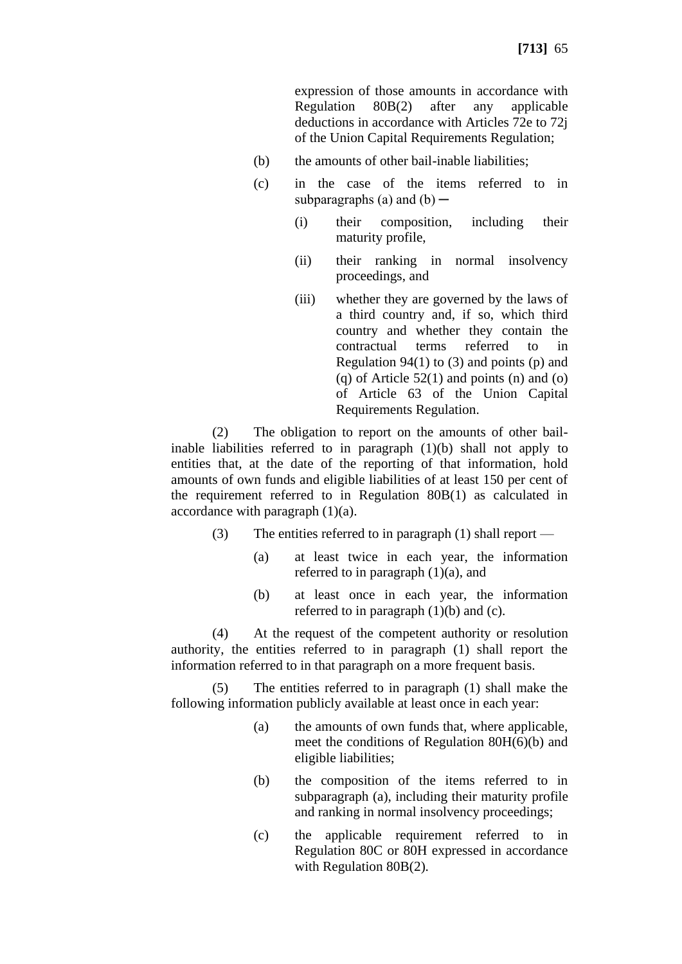expression of those amounts in accordance with Regulation 80B(2) after any applicable deductions in accordance with Articles 72e to 72j of the Union Capital Requirements Regulation;

- (b) the amounts of other bail-inable liabilities;
- (c) in the case of the items referred to in subparagraphs (a) and  $(b)$  —
	- (i) their composition, including their maturity profile,
	- (ii) their ranking in normal insolvency proceedings, and
	- (iii) whether they are governed by the laws of a third country and, if so, which third country and whether they contain the contractual terms referred to in Regulation  $94(1)$  to (3) and points (p) and  $(q)$  of Article 52(1) and points  $(n)$  and  $(o)$ of Article 63 of the Union Capital Requirements Regulation.

(2) The obligation to report on the amounts of other bailinable liabilities referred to in paragraph (1)(b) shall not apply to entities that, at the date of the reporting of that information, hold amounts of own funds and eligible liabilities of at least 150 per cent of the requirement referred to in Regulation 80B(1) as calculated in accordance with paragraph (1)(a).

- (3) The entities referred to in paragraph (1) shall report
	- (a) at least twice in each year, the information referred to in paragraph  $(1)(a)$ , and
	- (b) at least once in each year, the information referred to in paragraph  $(1)(b)$  and  $(c)$ .

(4) At the request of the competent authority or resolution authority, the entities referred to in paragraph (1) shall report the information referred to in that paragraph on a more frequent basis.

The entities referred to in paragraph  $(1)$  shall make the following information publicly available at least once in each year:

- (a) the amounts of own funds that, where applicable, meet the conditions of Regulation 80H(6)(b) and eligible liabilities;
- (b) the composition of the items referred to in subparagraph (a), including their maturity profile and ranking in normal insolvency proceedings;
- (c) the applicable requirement referred to in Regulation 80C or 80H expressed in accordance with Regulation 80B(2).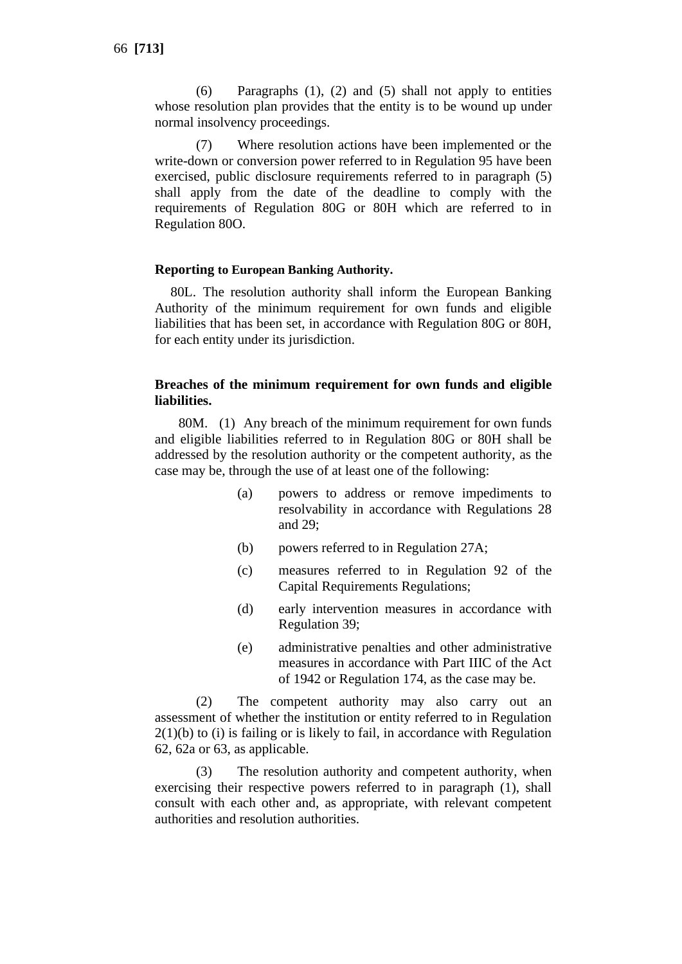(6) Paragraphs (1), (2) and (5) shall not apply to entities whose resolution plan provides that the entity is to be wound up under normal insolvency proceedings.

(7) Where resolution actions have been implemented or the write-down or conversion power referred to in Regulation 95 have been exercised, public disclosure requirements referred to in paragraph (5) shall apply from the date of the deadline to comply with the requirements of Regulation 80G or 80H which are referred to in Regulation 80O.

#### **Reporting to European Banking Authority.**

80L. The resolution authority shall inform the European Banking Authority of the minimum requirement for own funds and eligible liabilities that has been set, in accordance with Regulation 80G or 80H, for each entity under its jurisdiction.

#### **Breaches of the minimum requirement for own funds and eligible liabilities.**

80M. (1) Any breach of the minimum requirement for own funds and eligible liabilities referred to in Regulation 80G or 80H shall be addressed by the resolution authority or the competent authority, as the case may be, through the use of at least one of the following:

- (a) powers to address or remove impediments to resolvability in accordance with Regulations 28 and 29;
- (b) powers referred to in Regulation 27A;
- (c) measures referred to in Regulation 92 of the Capital Requirements Regulations;
- (d) early intervention measures in accordance with Regulation 39;
- (e) administrative penalties and other administrative measures in accordance with Part IIIC of the Act of 1942 or Regulation 174, as the case may be.

(2) The competent authority may also carry out an assessment of whether the institution or entity referred to in Regulation 2(1)(b) to (i) is failing or is likely to fail, in accordance with Regulation 62, 62a or 63, as applicable.

(3) The resolution authority and competent authority, when exercising their respective powers referred to in paragraph (1), shall consult with each other and, as appropriate, with relevant competent authorities and resolution authorities.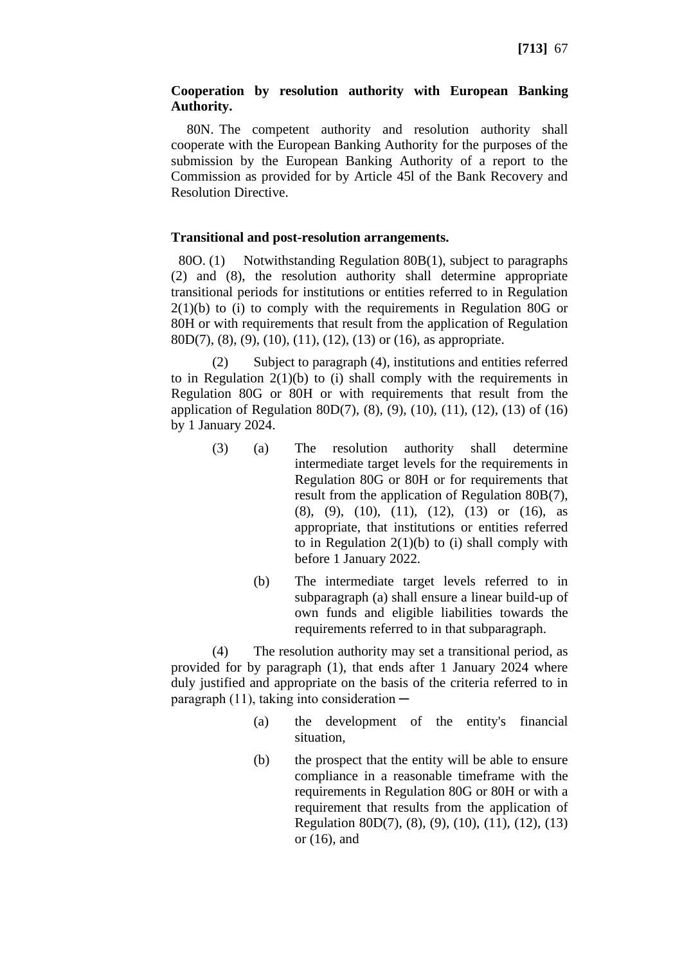# **Cooperation by resolution authority with European Banking Authority.**

80N. The competent authority and resolution authority shall cooperate with the European Banking Authority for the purposes of the submission by the European Banking Authority of a report to the Commission as provided for by Article 45l of the Bank Recovery and Resolution Directive.

# **Transitional and post-resolution arrangements.**

80O. (1) Notwithstanding Regulation 80B(1), subject to paragraphs (2) and (8), the resolution authority shall determine appropriate transitional periods for institutions or entities referred to in Regulation 2(1)(b) to (i) to comply with the requirements in Regulation 80G or 80H or with requirements that result from the application of Regulation 80D(7), (8), (9), (10), (11), (12), (13) or (16), as appropriate.

(2) Subject to paragraph (4), institutions and entities referred to in Regulation  $2(1)(b)$  to (i) shall comply with the requirements in Regulation 80G or 80H or with requirements that result from the application of Regulation 80D(7), (8), (9), (10), (11), (12), (13) of (16) by 1 January 2024.

- (3) (a) The resolution authority shall determine intermediate target levels for the requirements in Regulation 80G or 80H or for requirements that result from the application of Regulation 80B(7), (8), (9), (10), (11), (12), (13) or (16), as appropriate, that institutions or entities referred to in Regulation  $2(1)(b)$  to (i) shall comply with before 1 January 2022.
	- (b) The intermediate target levels referred to in subparagraph (a) shall ensure a linear build-up of own funds and eligible liabilities towards the requirements referred to in that subparagraph.

(4) The resolution authority may set a transitional period, as provided for by paragraph (1), that ends after 1 January 2024 where duly justified and appropriate on the basis of the criteria referred to in paragraph (11), taking into consideration  $-$ 

- (a) the development of the entity's financial situation,
- (b) the prospect that the entity will be able to ensure compliance in a reasonable timeframe with the requirements in Regulation 80G or 80H or with a requirement that results from the application of Regulation 80D(7), (8), (9), (10), (11), (12), (13) or (16), and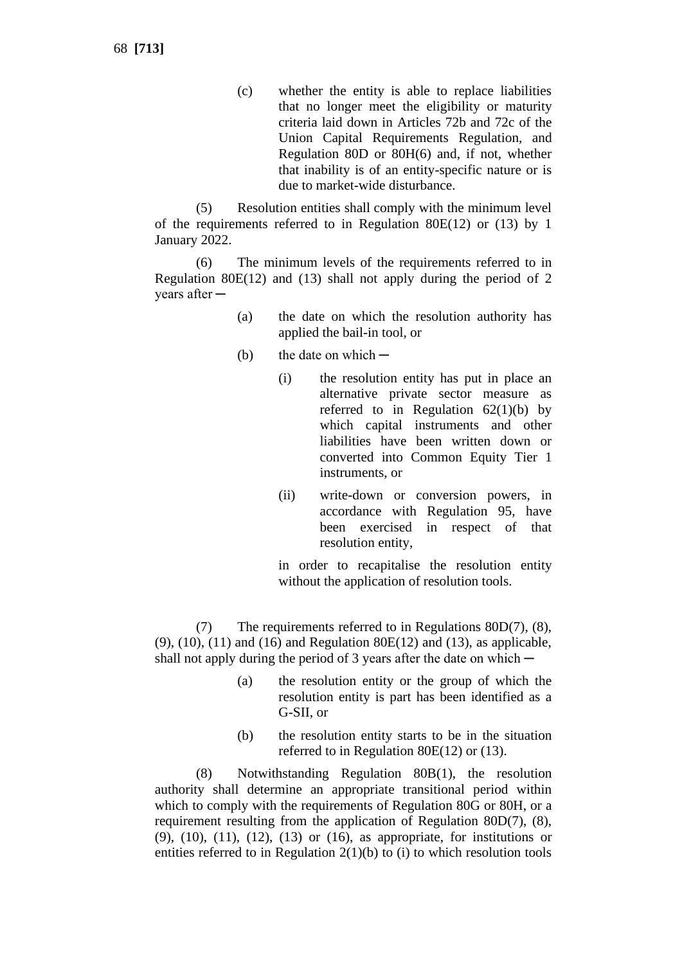(c) whether the entity is able to replace liabilities that no longer meet the eligibility or maturity criteria laid down in Articles 72b and 72c of the Union Capital Requirements Regulation, and Regulation 80D or 80H(6) and, if not, whether that inability is of an entity-specific nature or is due to market-wide disturbance.

(5) Resolution entities shall comply with the minimum level of the requirements referred to in Regulation 80E(12) or (13) by 1 January 2022.

(6) The minimum levels of the requirements referred to in Regulation 80E(12) and (13) shall not apply during the period of 2 years after ─

- (a) the date on which the resolution authority has applied the bail-in tool, or
- (b) the date on which  $-$ 
	- (i) the resolution entity has put in place an alternative private sector measure as referred to in Regulation  $62(1)(b)$  by which capital instruments and other liabilities have been written down or converted into Common Equity Tier 1 instruments, or
	- (ii) write-down or conversion powers, in accordance with Regulation 95, have been exercised in respect of that resolution entity,

in order to recapitalise the resolution entity without the application of resolution tools.

(7) The requirements referred to in Regulations 80D(7), (8), (9), (10), (11) and (16) and Regulation 80E(12) and (13), as applicable, shall not apply during the period of 3 years after the date on which  $-$ 

- (a) the resolution entity or the group of which the resolution entity is part has been identified as a G-SII, or
- (b) the resolution entity starts to be in the situation referred to in Regulation 80E(12) or (13).

(8) Notwithstanding Regulation 80B(1), the resolution authority shall determine an appropriate transitional period within which to comply with the requirements of Regulation 80G or 80H, or a requirement resulting from the application of Regulation 80D(7), (8), (9), (10), (11), (12), (13) or (16), as appropriate, for institutions or entities referred to in Regulation  $2(1)(b)$  to  $(i)$  to which resolution tools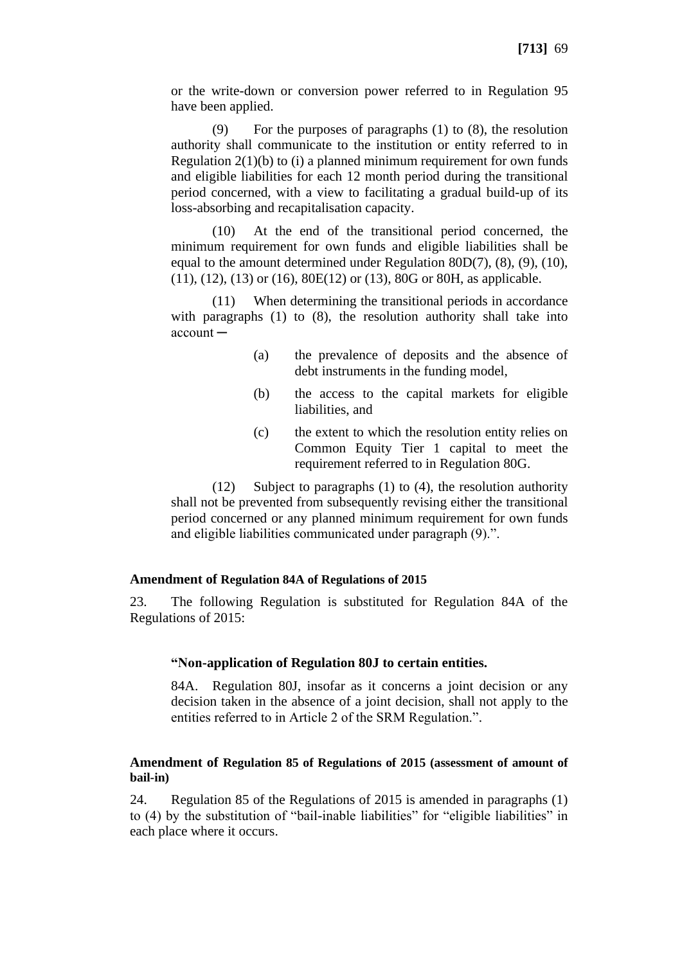or the write-down or conversion power referred to in Regulation 95 have been applied.

(9) For the purposes of paragraphs (1) to (8), the resolution authority shall communicate to the institution or entity referred to in Regulation  $2(1)(b)$  to (i) a planned minimum requirement for own funds and eligible liabilities for each 12 month period during the transitional period concerned, with a view to facilitating a gradual build-up of its loss-absorbing and recapitalisation capacity.

(10) At the end of the transitional period concerned, the minimum requirement for own funds and eligible liabilities shall be equal to the amount determined under Regulation 80D(7), (8), (9), (10), (11), (12), (13) or (16), 80E(12) or (13), 80G or 80H, as applicable.

(11) When determining the transitional periods in accordance with paragraphs (1) to (8), the resolution authority shall take into account ─

- (a) the prevalence of deposits and the absence of debt instruments in the funding model,
- (b) the access to the capital markets for eligible liabilities, and
- (c) the extent to which the resolution entity relies on Common Equity Tier 1 capital to meet the requirement referred to in Regulation 80G.

(12) Subject to paragraphs (1) to (4), the resolution authority shall not be prevented from subsequently revising either the transitional period concerned or any planned minimum requirement for own funds and eligible liabilities communicated under paragraph (9).".

#### **Amendment of Regulation 84A of Regulations of 2015**

23. The following Regulation is substituted for Regulation 84A of the Regulations of 2015:

# **"Non-application of Regulation 80J to certain entities.**

84A. Regulation 80J, insofar as it concerns a joint decision or any decision taken in the absence of a joint decision, shall not apply to the entities referred to in Article 2 of the SRM Regulation.".

#### **Amendment of Regulation 85 of Regulations of 2015 (assessment of amount of bail-in)**

24. Regulation 85 of the Regulations of 2015 is amended in paragraphs (1) to (4) by the substitution of "bail-inable liabilities" for "eligible liabilities" in each place where it occurs.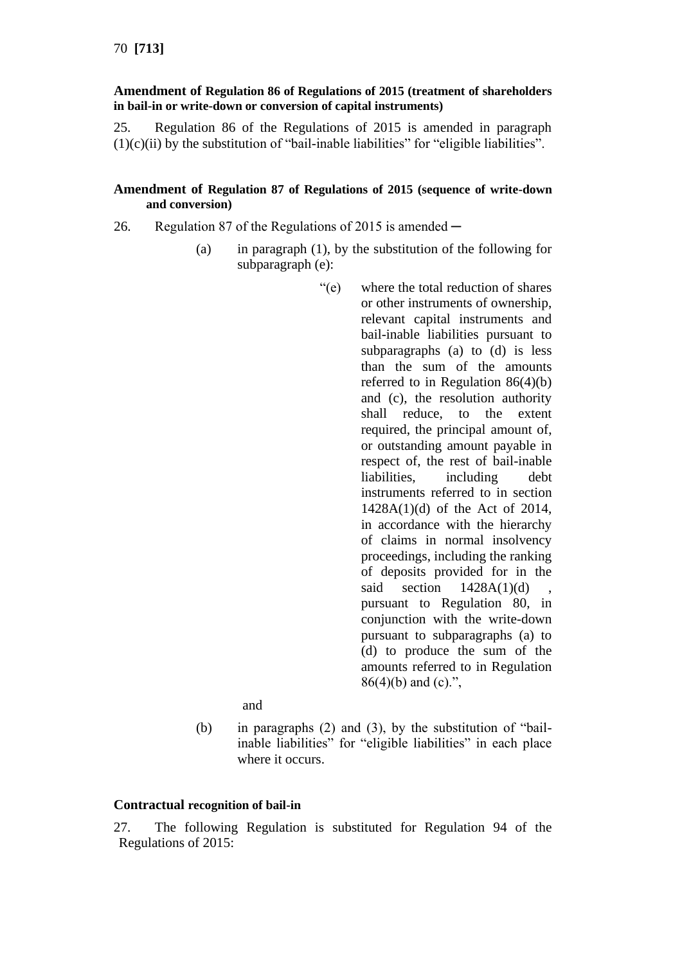## **Amendment of Regulation 86 of Regulations of 2015 (treatment of shareholders in bail-in or write-down or conversion of capital instruments)**

25. Regulation 86 of the Regulations of 2015 is amended in paragraph  $(1)(c)(ii)$  by the substitution of "bail-inable liabilities" for "eligible liabilities".

## **Amendment of Regulation 87 of Regulations of 2015 (sequence of write-down and conversion)**

- 26. Regulation 87 of the Regulations of 2015 is amended
	- (a) in paragraph (1), by the substitution of the following for subparagraph (e):
		- "(e) where the total reduction of shares or other instruments of ownership, relevant capital instruments and bail-inable liabilities pursuant to subparagraphs (a) to (d) is less than the sum of the amounts referred to in Regulation 86(4)(b) and (c), the resolution authority shall reduce, to the extent required, the principal amount of, or outstanding amount payable in respect of, the rest of bail-inable liabilities, including debt instruments referred to in section 1428A(1)(d) of the Act of 2014, in accordance with the hierarchy of claims in normal insolvency proceedings, including the ranking of deposits provided for in the said section  $1428A(1)(d)$ pursuant to Regulation 80, in conjunction with the write-down pursuant to subparagraphs (a) to (d) to produce the sum of the amounts referred to in Regulation  $86(4)(b)$  and (c).",

and

(b) in paragraphs (2) and (3), by the substitution of "bailinable liabilities" for "eligible liabilities" in each place where it occurs.

# **Contractual recognition of bail-in**

27. The following Regulation is substituted for Regulation 94 of the Regulations of 2015: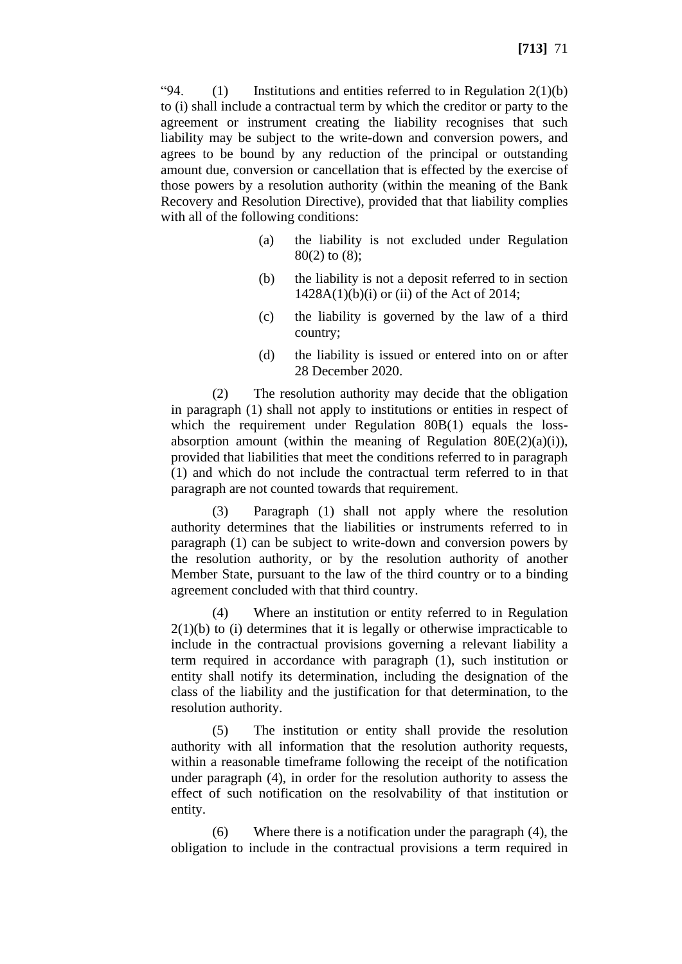"94.  $(1)$  Institutions and entities referred to in Regulation 2(1)(b) to (i) shall include a contractual term by which the creditor or party to the agreement or instrument creating the liability recognises that such liability may be subject to the write-down and conversion powers, and agrees to be bound by any reduction of the principal or outstanding amount due, conversion or cancellation that is effected by the exercise of those powers by a resolution authority (within the meaning of the Bank Recovery and Resolution Directive), provided that that liability complies with all of the following conditions:

- (a) the liability is not excluded under Regulation 80(2) to (8);
- (b) the liability is not a deposit referred to in section  $1428A(1)(b)(i)$  or (ii) of the Act of 2014;
- (c) the liability is governed by the law of a third country;
- (d) the liability is issued or entered into on or after 28 December 2020.

(2) The resolution authority may decide that the obligation in paragraph (1) shall not apply to institutions or entities in respect of which the requirement under Regulation 80B(1) equals the lossabsorption amount (within the meaning of Regulation  $80E(2)(a)(i)$ ), provided that liabilities that meet the conditions referred to in paragraph (1) and which do not include the contractual term referred to in that paragraph are not counted towards that requirement.

(3) Paragraph (1) shall not apply where the resolution authority determines that the liabilities or instruments referred to in paragraph (1) can be subject to write-down and conversion powers by the resolution authority, or by the resolution authority of another Member State, pursuant to the law of the third country or to a binding agreement concluded with that third country.

(4) Where an institution or entity referred to in Regulation  $2(1)(b)$  to (i) determines that it is legally or otherwise impracticable to include in the contractual provisions governing a relevant liability a term required in accordance with paragraph (1), such institution or entity shall notify its determination, including the designation of the class of the liability and the justification for that determination, to the resolution authority.

(5) The institution or entity shall provide the resolution authority with all information that the resolution authority requests, within a reasonable timeframe following the receipt of the notification under paragraph (4), in order for the resolution authority to assess the effect of such notification on the resolvability of that institution or entity.

(6) Where there is a notification under the paragraph (4), the obligation to include in the contractual provisions a term required in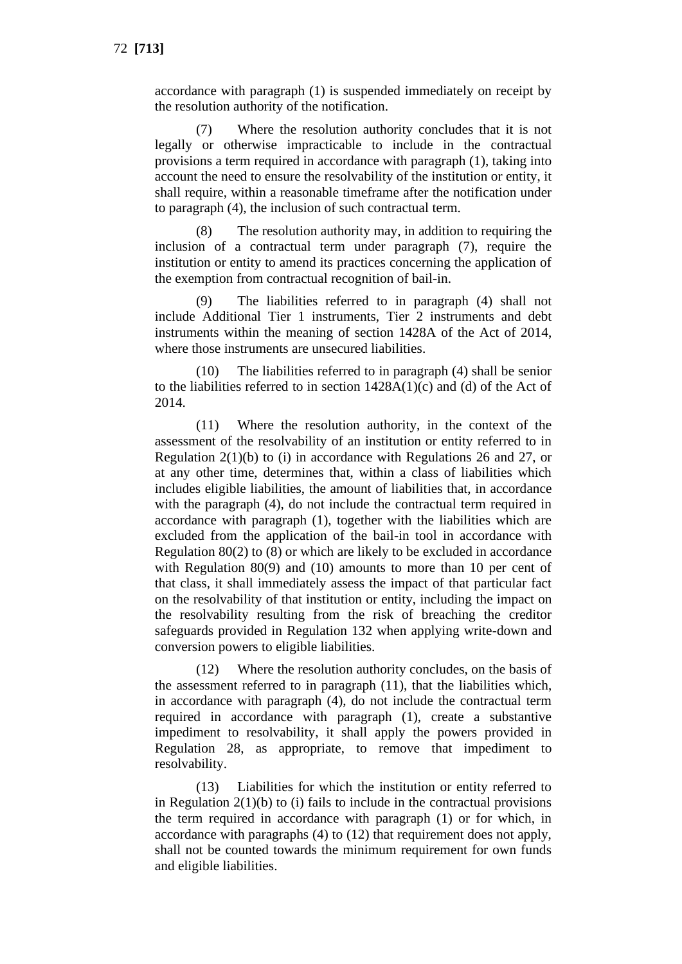accordance with paragraph (1) is suspended immediately on receipt by the resolution authority of the notification.

(7) Where the resolution authority concludes that it is not legally or otherwise impracticable to include in the contractual provisions a term required in accordance with paragraph (1), taking into account the need to ensure the resolvability of the institution or entity, it shall require, within a reasonable timeframe after the notification under to paragraph (4), the inclusion of such contractual term.

(8) The resolution authority may, in addition to requiring the inclusion of a contractual term under paragraph (7), require the institution or entity to amend its practices concerning the application of the exemption from contractual recognition of bail-in.

(9) The liabilities referred to in paragraph (4) shall not include Additional Tier 1 instruments, Tier 2 instruments and debt instruments within the meaning of section 1428A of the Act of 2014, where those instruments are unsecured liabilities.

(10) The liabilities referred to in paragraph (4) shall be senior to the liabilities referred to in section  $1428A(1)(c)$  and (d) of the Act of 2014.

(11) Where the resolution authority, in the context of the assessment of the resolvability of an institution or entity referred to in Regulation 2(1)(b) to (i) in accordance with Regulations 26 and 27, or at any other time, determines that, within a class of liabilities which includes eligible liabilities, the amount of liabilities that, in accordance with the paragraph (4), do not include the contractual term required in accordance with paragraph (1), together with the liabilities which are excluded from the application of the bail-in tool in accordance with Regulation 80(2) to (8) or which are likely to be excluded in accordance with Regulation 80(9) and (10) amounts to more than 10 per cent of that class, it shall immediately assess the impact of that particular fact on the resolvability of that institution or entity, including the impact on the resolvability resulting from the risk of breaching the creditor safeguards provided in Regulation 132 when applying write-down and conversion powers to eligible liabilities.

(12) Where the resolution authority concludes, on the basis of the assessment referred to in paragraph (11), that the liabilities which, in accordance with paragraph (4), do not include the contractual term required in accordance with paragraph (1), create a substantive impediment to resolvability, it shall apply the powers provided in Regulation 28, as appropriate, to remove that impediment to resolvability.

(13) Liabilities for which the institution or entity referred to in Regulation  $2(1)(b)$  to (i) fails to include in the contractual provisions the term required in accordance with paragraph (1) or for which, in accordance with paragraphs (4) to (12) that requirement does not apply, shall not be counted towards the minimum requirement for own funds and eligible liabilities.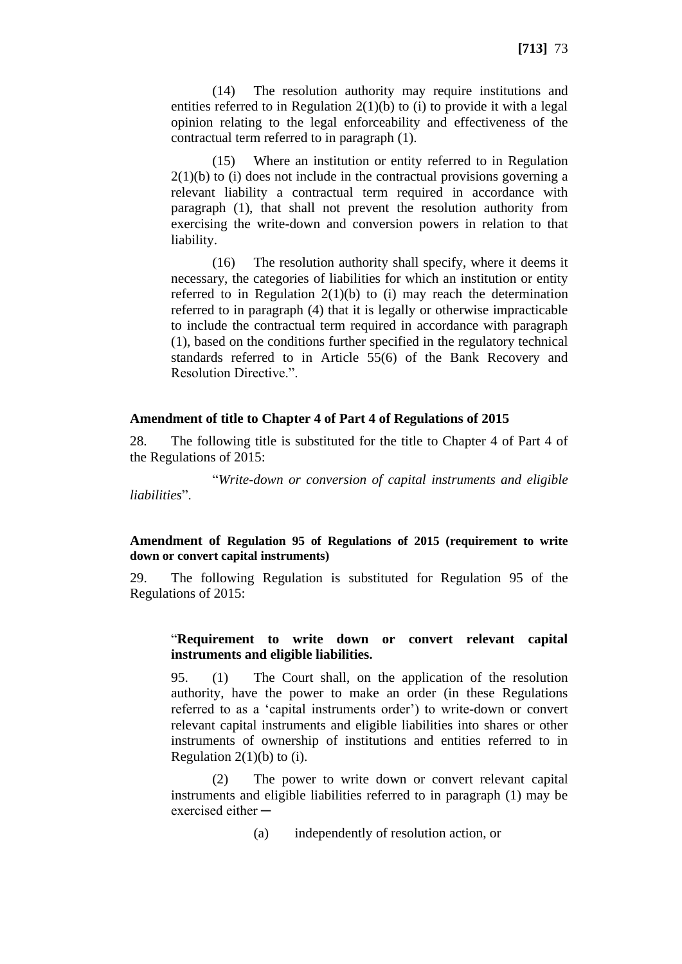(14) The resolution authority may require institutions and entities referred to in Regulation  $2(1)(b)$  to (i) to provide it with a legal opinion relating to the legal enforceability and effectiveness of the contractual term referred to in paragraph (1).

(15) Where an institution or entity referred to in Regulation  $2(1)(b)$  to (i) does not include in the contractual provisions governing a relevant liability a contractual term required in accordance with paragraph (1), that shall not prevent the resolution authority from exercising the write-down and conversion powers in relation to that liability.

(16) The resolution authority shall specify, where it deems it necessary, the categories of liabilities for which an institution or entity referred to in Regulation  $2(1)(b)$  to (i) may reach the determination referred to in paragraph (4) that it is legally or otherwise impracticable to include the contractual term required in accordance with paragraph (1), based on the conditions further specified in the regulatory technical standards referred to in Article 55(6) of the Bank Recovery and Resolution Directive.".

#### **Amendment of title to Chapter 4 of Part 4 of Regulations of 2015**

28. The following title is substituted for the title to Chapter 4 of Part 4 of the Regulations of 2015:

"*Write-down or conversion of capital instruments and eligible liabilities*".

### **Amendment of Regulation 95 of Regulations of 2015 (requirement to write down or convert capital instruments)**

29. The following Regulation is substituted for Regulation 95 of the Regulations of 2015:

### "**Requirement to write down or convert relevant capital instruments and eligible liabilities.**

95. (1) The Court shall, on the application of the resolution authority, have the power to make an order (in these Regulations referred to as a 'capital instruments order') to write-down or convert relevant capital instruments and eligible liabilities into shares or other instruments of ownership of institutions and entities referred to in Regulation  $2(1)(b)$  to (i).

(2) The power to write down or convert relevant capital instruments and eligible liabilities referred to in paragraph (1) may be exercised either  $-$ 

(a) independently of resolution action, or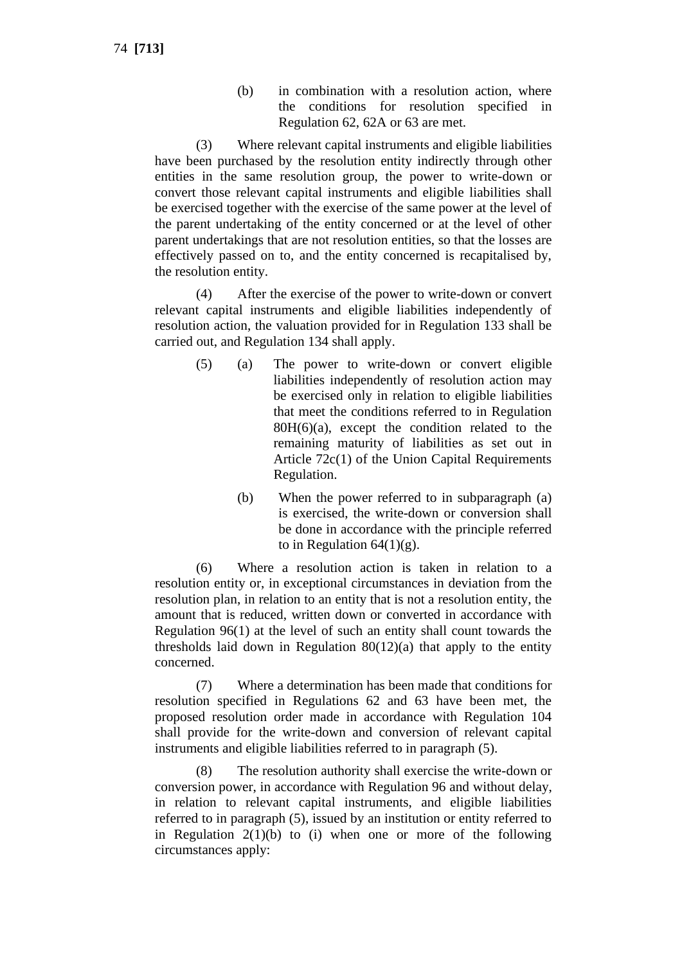(b) in combination with a resolution action, where the conditions for resolution specified in Regulation 62, 62A or 63 are met.

(3) Where relevant capital instruments and eligible liabilities have been purchased by the resolution entity indirectly through other entities in the same resolution group, the power to write-down or convert those relevant capital instruments and eligible liabilities shall be exercised together with the exercise of the same power at the level of the parent undertaking of the entity concerned or at the level of other parent undertakings that are not resolution entities, so that the losses are effectively passed on to, and the entity concerned is recapitalised by, the resolution entity.

(4) After the exercise of the power to write-down or convert relevant capital instruments and eligible liabilities independently of resolution action, the valuation provided for in Regulation 133 shall be carried out, and Regulation 134 shall apply.

- (5) (a) The power to write-down or convert eligible liabilities independently of resolution action may be exercised only in relation to eligible liabilities that meet the conditions referred to in Regulation  $80H(6)(a)$ , except the condition related to the remaining maturity of liabilities as set out in Article 72c(1) of the Union Capital Requirements Regulation.
	- (b) When the power referred to in subparagraph (a) is exercised, the write-down or conversion shall be done in accordance with the principle referred to in Regulation  $64(1)(g)$ .

(6) Where a resolution action is taken in relation to a resolution entity or, in exceptional circumstances in deviation from the resolution plan, in relation to an entity that is not a resolution entity, the amount that is reduced, written down or converted in accordance with Regulation 96(1) at the level of such an entity shall count towards the thresholds laid down in Regulation  $80(12)(a)$  that apply to the entity concerned.

(7) Where a determination has been made that conditions for resolution specified in Regulations 62 and 63 have been met, the proposed resolution order made in accordance with Regulation 104 shall provide for the write-down and conversion of relevant capital instruments and eligible liabilities referred to in paragraph (5).

(8) The resolution authority shall exercise the write-down or conversion power, in accordance with Regulation 96 and without delay, in relation to relevant capital instruments, and eligible liabilities referred to in paragraph (5), issued by an institution or entity referred to in Regulation  $2(1)(b)$  to (i) when one or more of the following circumstances apply: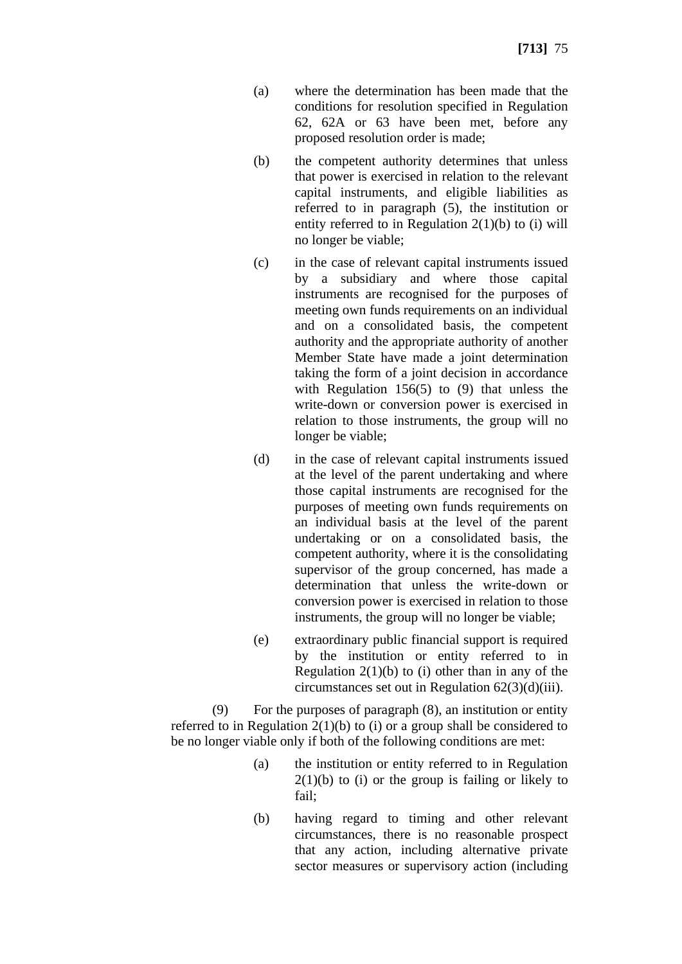- (a) where the determination has been made that the conditions for resolution specified in Regulation 62, 62A or 63 have been met, before any proposed resolution order is made;
- (b) the competent authority determines that unless that power is exercised in relation to the relevant capital instruments, and eligible liabilities as referred to in paragraph (5), the institution or entity referred to in Regulation 2(1)(b) to (i) will no longer be viable;
- (c) in the case of relevant capital instruments issued by a subsidiary and where those capital instruments are recognised for the purposes of meeting own funds requirements on an individual and on a consolidated basis, the competent authority and the appropriate authority of another Member State have made a joint determination taking the form of a joint decision in accordance with Regulation 156(5) to (9) that unless the write-down or conversion power is exercised in relation to those instruments, the group will no longer be viable;
- (d) in the case of relevant capital instruments issued at the level of the parent undertaking and where those capital instruments are recognised for the purposes of meeting own funds requirements on an individual basis at the level of the parent undertaking or on a consolidated basis, the competent authority, where it is the consolidating supervisor of the group concerned, has made a determination that unless the write-down or conversion power is exercised in relation to those instruments, the group will no longer be viable;
- (e) extraordinary public financial support is required by the institution or entity referred to in Regulation  $2(1)(b)$  to (i) other than in any of the circumstances set out in Regulation  $62(3)(d)(iii)$ .

(9) For the purposes of paragraph (8), an institution or entity referred to in Regulation  $2(1)(b)$  to (i) or a group shall be considered to be no longer viable only if both of the following conditions are met:

- (a) the institution or entity referred to in Regulation  $2(1)(b)$  to (i) or the group is failing or likely to fail;
- (b) having regard to timing and other relevant circumstances, there is no reasonable prospect that any action, including alternative private sector measures or supervisory action (including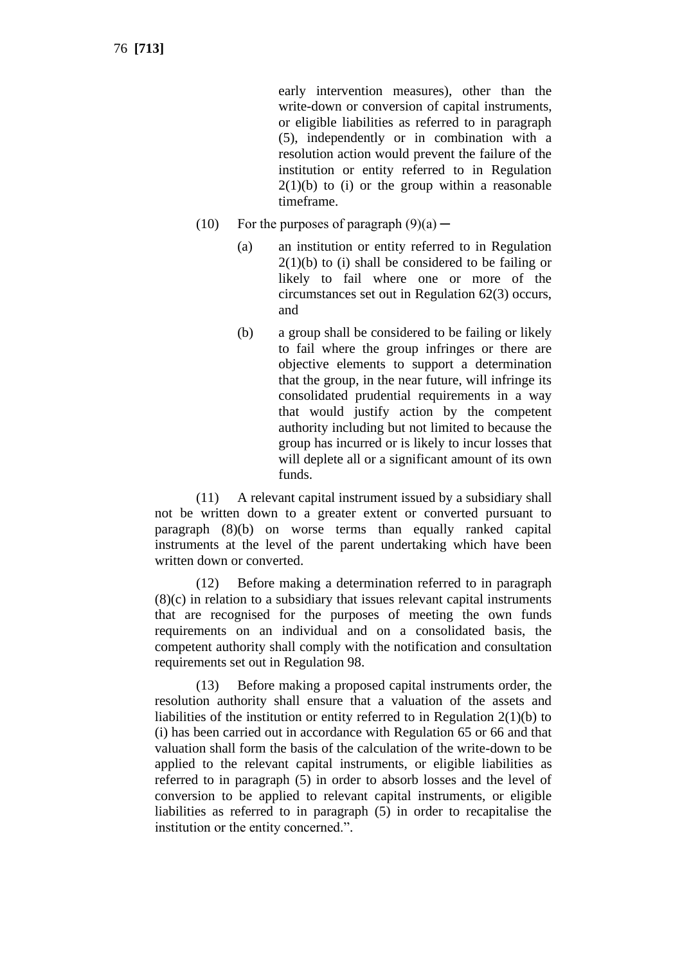early intervention measures), other than the write-down or conversion of capital instruments, or eligible liabilities as referred to in paragraph (5), independently or in combination with a resolution action would prevent the failure of the institution or entity referred to in Regulation  $2(1)(b)$  to (i) or the group within a reasonable timeframe.

- (10) For the purposes of paragraph  $(9)(a)$ 
	- (a) an institution or entity referred to in Regulation  $2(1)(b)$  to (i) shall be considered to be failing or likely to fail where one or more of the circumstances set out in Regulation 62(3) occurs, and
	- (b) a group shall be considered to be failing or likely to fail where the group infringes or there are objective elements to support a determination that the group, in the near future, will infringe its consolidated prudential requirements in a way that would justify action by the competent authority including but not limited to because the group has incurred or is likely to incur losses that will deplete all or a significant amount of its own funds.

(11) A relevant capital instrument issued by a subsidiary shall not be written down to a greater extent or converted pursuant to paragraph (8)(b) on worse terms than equally ranked capital instruments at the level of the parent undertaking which have been written down or converted.

(12) Before making a determination referred to in paragraph (8)(c) in relation to a subsidiary that issues relevant capital instruments that are recognised for the purposes of meeting the own funds requirements on an individual and on a consolidated basis, the competent authority shall comply with the notification and consultation requirements set out in Regulation 98.

(13) Before making a proposed capital instruments order, the resolution authority shall ensure that a valuation of the assets and liabilities of the institution or entity referred to in Regulation 2(1)(b) to (i) has been carried out in accordance with Regulation 65 or 66 and that valuation shall form the basis of the calculation of the write-down to be applied to the relevant capital instruments, or eligible liabilities as referred to in paragraph (5) in order to absorb losses and the level of conversion to be applied to relevant capital instruments, or eligible liabilities as referred to in paragraph (5) in order to recapitalise the institution or the entity concerned.".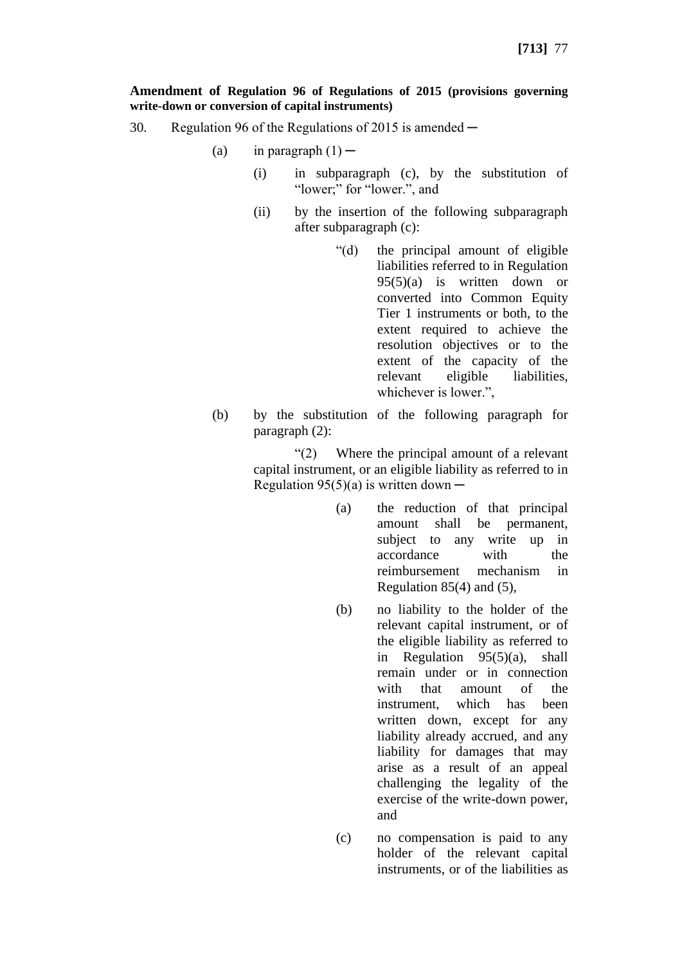#### **Amendment of Regulation 96 of Regulations of 2015 (provisions governing write-down or conversion of capital instruments)**

- 30. Regulation 96 of the Regulations of 2015 is amended
	- (a) in paragraph  $(1)$ 
		- (i) in subparagraph (c), by the substitution of "lower;" for "lower.", and
		- (ii) by the insertion of the following subparagraph after subparagraph (c):
			- "(d) the principal amount of eligible liabilities referred to in Regulation 95(5)(a) is written down or converted into Common Equity Tier 1 instruments or both, to the extent required to achieve the resolution objectives or to the extent of the capacity of the relevant eligible liabilities, whichever is lower.",
	- (b) by the substitution of the following paragraph for paragraph (2):

"(2) Where the principal amount of a relevant capital instrument, or an eligible liability as referred to in Regulation  $95(5)(a)$  is written down —

- (a) the reduction of that principal amount shall be permanent, subject to any write up in accordance with the reimbursement mechanism in Regulation 85(4) and (5),
- (b) no liability to the holder of the relevant capital instrument, or of the eligible liability as referred to in Regulation 95(5)(a), shall remain under or in connection with that amount of the instrument, which has been written down, except for any liability already accrued, and any liability for damages that may arise as a result of an appeal challenging the legality of the exercise of the write-down power, and
- (c) no compensation is paid to any holder of the relevant capital instruments, or of the liabilities as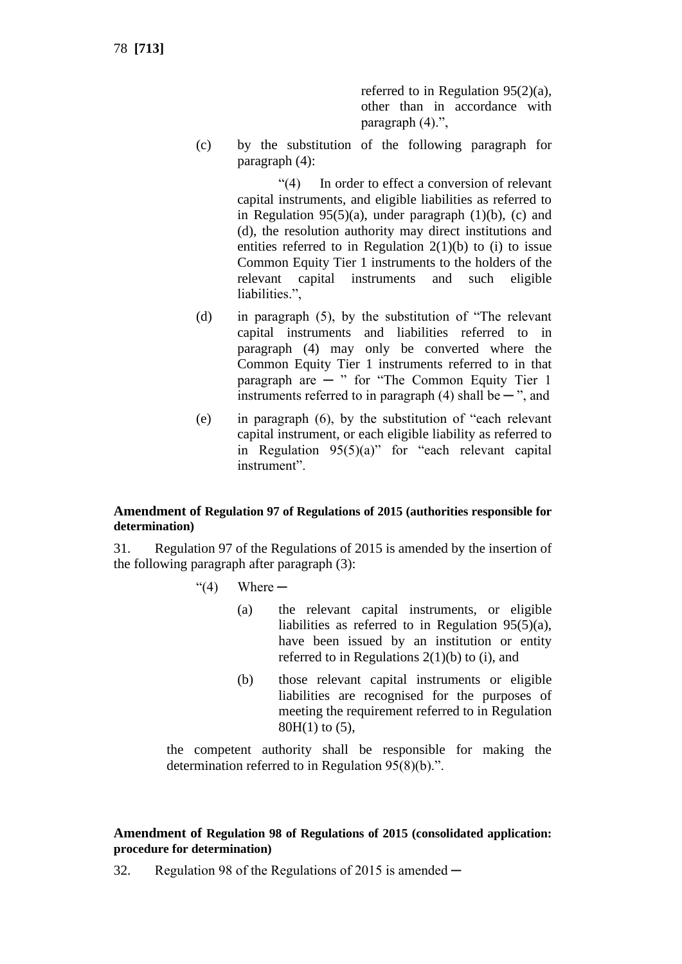78 **[713]**

referred to in Regulation 95(2)(a), other than in accordance with paragraph (4).",

(c) by the substitution of the following paragraph for paragraph (4):

> "(4) In order to effect a conversion of relevant capital instruments, and eligible liabilities as referred to in Regulation 95(5)(a), under paragraph  $(1)(b)$ , (c) and (d), the resolution authority may direct institutions and entities referred to in Regulation  $2(1)(b)$  to (i) to issue Common Equity Tier 1 instruments to the holders of the relevant capital instruments and such eligible liabilities.",

- (d) in paragraph (5), by the substitution of "The relevant capital instruments and liabilities referred to in paragraph (4) may only be converted where the Common Equity Tier 1 instruments referred to in that paragraph are  $-$  " for "The Common Equity Tier 1 instruments referred to in paragraph  $(4)$  shall be  $-$  ", and
- (e) in paragraph (6), by the substitution of "each relevant capital instrument, or each eligible liability as referred to in Regulation 95(5)(a)" for "each relevant capital instrument".

## **Amendment of Regulation 97 of Regulations of 2015 (authorities responsible for determination)**

31. Regulation 97 of the Regulations of 2015 is amended by the insertion of the following paragraph after paragraph (3):

- $\degree$ (4) Where  $-$ 
	- (a) the relevant capital instruments, or eligible liabilities as referred to in Regulation 95(5)(a), have been issued by an institution or entity referred to in Regulations  $2(1)(b)$  to (i), and
	- (b) those relevant capital instruments or eligible liabilities are recognised for the purposes of meeting the requirement referred to in Regulation 80H(1) to (5),

the competent authority shall be responsible for making the determination referred to in Regulation 95(8)(b).".

# **Amendment of Regulation 98 of Regulations of 2015 (consolidated application: procedure for determination)**

32. Regulation 98 of the Regulations of 2015 is amended —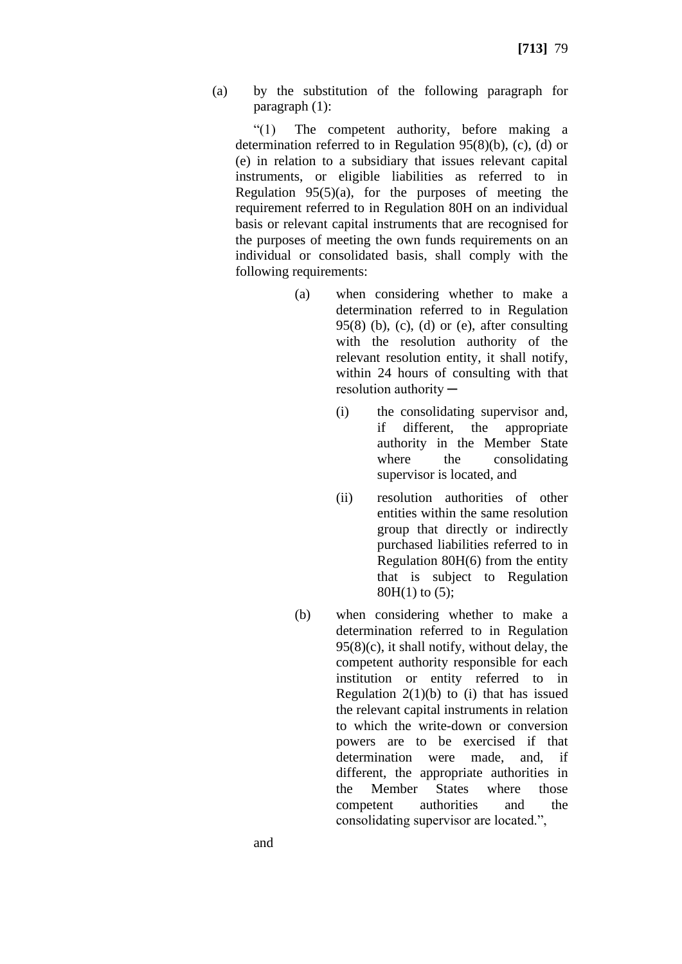(a) by the substitution of the following paragraph for paragraph (1):

"(1) The competent authority, before making a determination referred to in Regulation 95(8)(b), (c), (d) or (e) in relation to a subsidiary that issues relevant capital instruments, or eligible liabilities as referred to in Regulation  $95(5)(a)$ , for the purposes of meeting the requirement referred to in Regulation 80H on an individual basis or relevant capital instruments that are recognised for the purposes of meeting the own funds requirements on an individual or consolidated basis, shall comply with the following requirements:

- (a) when considering whether to make a determination referred to in Regulation  $95(8)$  (b), (c), (d) or (e), after consulting with the resolution authority of the relevant resolution entity, it shall notify, within 24 hours of consulting with that  $resolution$  authority  $-$ 
	- (i) the consolidating supervisor and, if different, the appropriate authority in the Member State where the consolidating supervisor is located, and
	- (ii) resolution authorities of other entities within the same resolution group that directly or indirectly purchased liabilities referred to in Regulation 80H(6) from the entity that is subject to Regulation 80H(1) to (5);
- (b) when considering whether to make a determination referred to in Regulation  $95(8)(c)$ , it shall notify, without delay, the competent authority responsible for each institution or entity referred to in Regulation  $2(1)(b)$  to (i) that has issued the relevant capital instruments in relation to which the write-down or conversion powers are to be exercised if that determination were made, and, if different, the appropriate authorities in the Member States where those competent authorities and the consolidating supervisor are located.",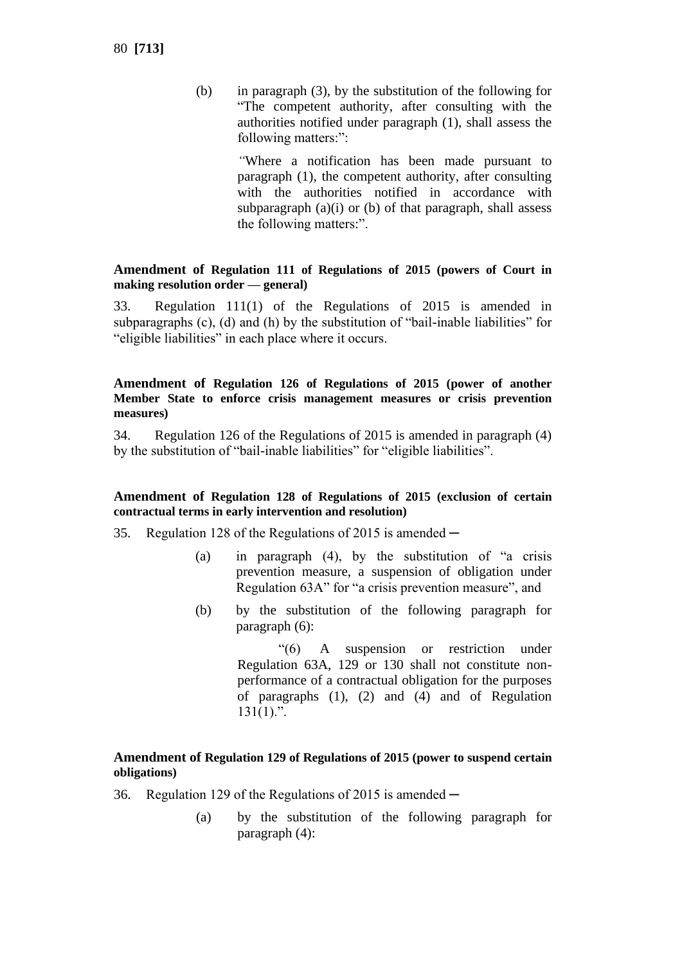(b) in paragraph (3), by the substitution of the following for "The competent authority, after consulting with the authorities notified under paragraph (1), shall assess the following matters:":

> *"*Where a notification has been made pursuant to paragraph (1), the competent authority, after consulting with the authorities notified in accordance with subparagraph  $(a)(i)$  or  $(b)$  of that paragraph, shall assess the following matters:".

### **Amendment of Regulation 111 of Regulations of 2015 (powers of Court in making resolution order — general)**

33. Regulation 111(1) of the Regulations of 2015 is amended in subparagraphs (c), (d) and (h) by the substitution of "bail-inable liabilities" for "eligible liabilities" in each place where it occurs.

### **Amendment of Regulation 126 of Regulations of 2015 (power of another Member State to enforce crisis management measures or crisis prevention measures)**

34. Regulation 126 of the Regulations of 2015 is amended in paragraph (4) by the substitution of "bail-inable liabilities" for "eligible liabilities".

## **Amendment of Regulation 128 of Regulations of 2015 (exclusion of certain contractual terms in early intervention and resolution)**

- 35. Regulation 128 of the Regulations of 2015 is amended  $-$ 
	- (a) in paragraph (4), by the substitution of "a crisis prevention measure, a suspension of obligation under Regulation 63A" for "a crisis prevention measure", and
	- (b) by the substitution of the following paragraph for paragraph (6):

"(6) A suspension or restriction under Regulation 63A, 129 or 130 shall not constitute nonperformance of a contractual obligation for the purposes of paragraphs (1), (2) and (4) and of Regulation  $131(1)$ .".

## **Amendment of Regulation 129 of Regulations of 2015 (power to suspend certain obligations)**

- 36. Regulation 129 of the Regulations of 2015 is amended  $-$ 
	- (a) by the substitution of the following paragraph for paragraph (4):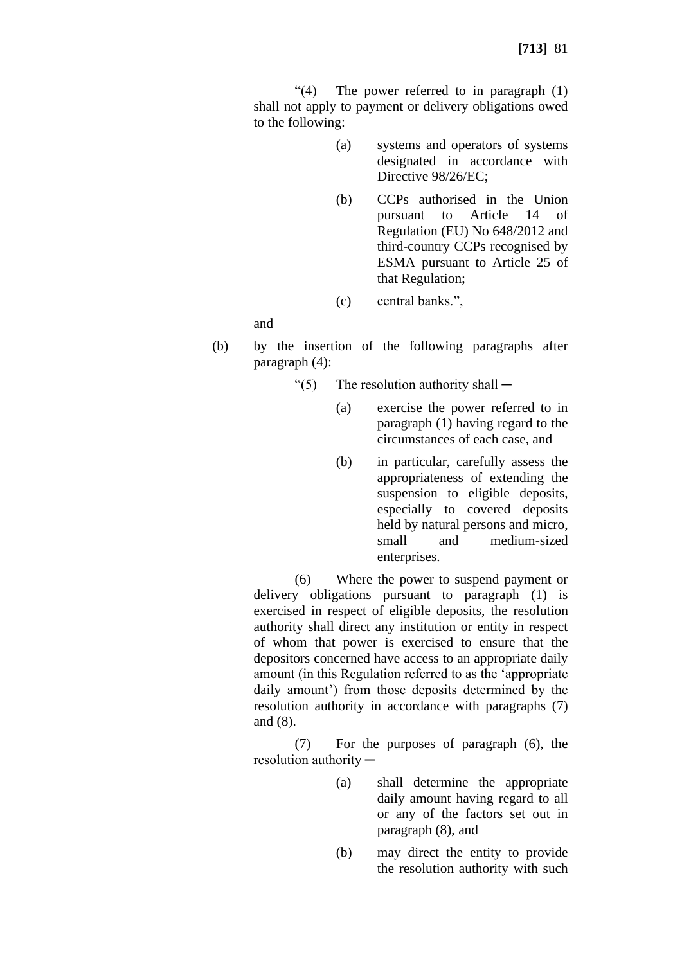"(4) The power referred to in paragraph (1) shall not apply to payment or delivery obligations owed to the following:

- (a) systems and operators of systems designated in accordance with Directive 98/26/EC;
- (b) CCPs authorised in the Union pursuant to Article 14 of Regulation (EU) No 648/2012 and third-country CCPs recognised by ESMA pursuant to Article 25 of that Regulation;

(c) central banks.",

and

- (b) by the insertion of the following paragraphs after paragraph (4):
	- "(5) The resolution authority shall  $-$ 
		- (a) exercise the power referred to in paragraph (1) having regard to the circumstances of each case, and
		- (b) in particular, carefully assess the appropriateness of extending the suspension to eligible deposits, especially to covered deposits held by natural persons and micro, small and medium-sized enterprises.

(6) Where the power to suspend payment or delivery obligations pursuant to paragraph (1) is exercised in respect of eligible deposits, the resolution authority shall direct any institution or entity in respect of whom that power is exercised to ensure that the depositors concerned have access to an appropriate daily amount (in this Regulation referred to as the 'appropriate daily amount') from those deposits determined by the resolution authority in accordance with paragraphs (7) and (8).

(7) For the purposes of paragraph (6), the resolution authority ─

- (a) shall determine the appropriate daily amount having regard to all or any of the factors set out in paragraph (8), and
- (b) may direct the entity to provide the resolution authority with such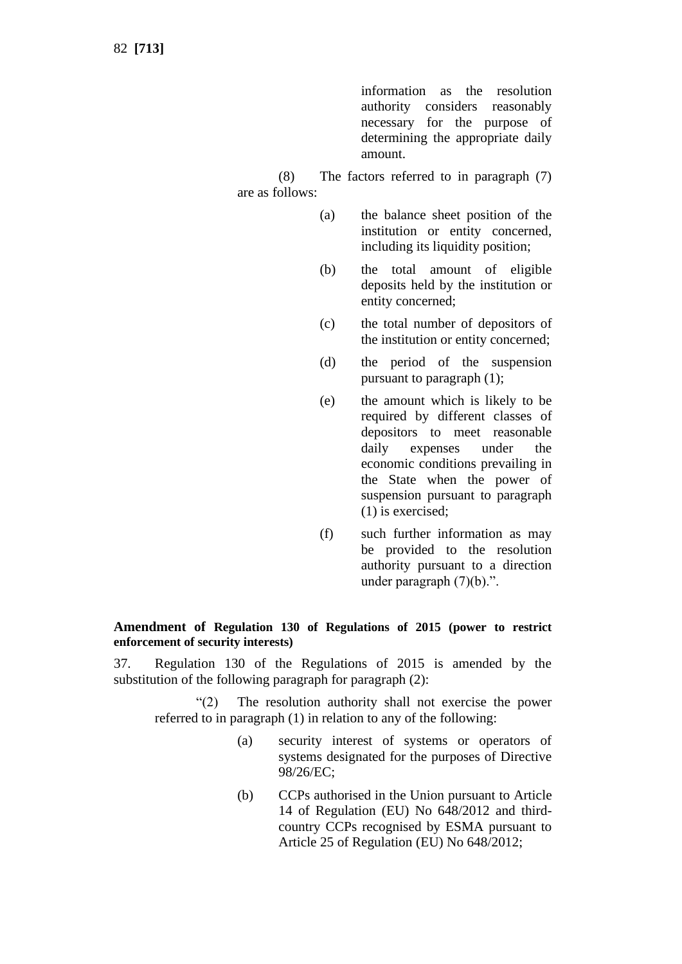information as the resolution authority considers reasonably necessary for the purpose of determining the appropriate daily amount.

(8) The factors referred to in paragraph (7) are as follows:

- (a) the balance sheet position of the institution or entity concerned, including its liquidity position;
- (b) the total amount of eligible deposits held by the institution or entity concerned;
- (c) the total number of depositors of the institution or entity concerned;
- (d) the period of the suspension pursuant to paragraph (1);
- (e) the amount which is likely to be required by different classes of depositors to meet reasonable daily expenses under the economic conditions prevailing in the State when the power of suspension pursuant to paragraph (1) is exercised;
- (f) such further information as may be provided to the resolution authority pursuant to a direction under paragraph (7)(b).".

## **Amendment of Regulation 130 of Regulations of 2015 (power to restrict enforcement of security interests)**

37. Regulation 130 of the Regulations of 2015 is amended by the substitution of the following paragraph for paragraph (2):

"(2) The resolution authority shall not exercise the power referred to in paragraph (1) in relation to any of the following:

- (a) security interest of systems or operators of systems designated for the purposes of Directive 98/26/EC;
- (b) CCPs authorised in the Union pursuant to Article 14 of Regulation (EU) No 648/2012 and thirdcountry CCPs recognised by ESMA pursuant to Article 25 of Regulation (EU) No 648/2012;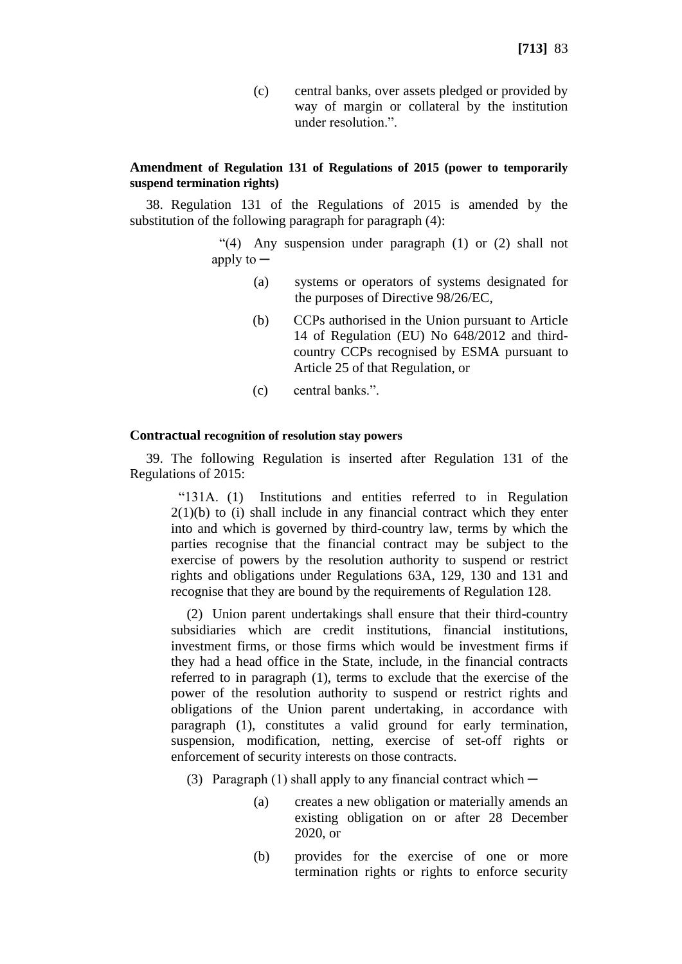(c) central banks, over assets pledged or provided by way of margin or collateral by the institution under resolution.".

#### **Amendment of Regulation 131 of Regulations of 2015 (power to temporarily suspend termination rights)**

38. Regulation 131 of the Regulations of 2015 is amended by the substitution of the following paragraph for paragraph (4):

> "(4) Any suspension under paragraph (1) or (2) shall not apply to  $-$

- (a) systems or operators of systems designated for the purposes of Directive 98/26/EC,
- (b) CCPs authorised in the Union pursuant to Article 14 of Regulation (EU) No 648/2012 and thirdcountry CCPs recognised by ESMA pursuant to Article 25 of that Regulation, or
- (c) central banks.".

#### **Contractual recognition of resolution stay powers**

39. The following Regulation is inserted after Regulation 131 of the Regulations of 2015:

"131A. (1) Institutions and entities referred to in Regulation  $2(1)(b)$  to (i) shall include in any financial contract which they enter into and which is governed by third-country law, terms by which the parties recognise that the financial contract may be subject to the exercise of powers by the resolution authority to suspend or restrict rights and obligations under Regulations 63A, 129, 130 and 131 and recognise that they are bound by the requirements of Regulation 128.

(2) Union parent undertakings shall ensure that their third-country subsidiaries which are credit institutions, financial institutions, investment firms, or those firms which would be investment firms if they had a head office in the State, include, in the financial contracts referred to in paragraph (1), terms to exclude that the exercise of the power of the resolution authority to suspend or restrict rights and obligations of the Union parent undertaking, in accordance with paragraph (1), constitutes a valid ground for early termination, suspension, modification, netting, exercise of set-off rights or enforcement of security interests on those contracts.

- (3) Paragraph (1) shall apply to any financial contract which  $-$ 
	- (a) creates a new obligation or materially amends an existing obligation on or after 28 December 2020, or
	- (b) provides for the exercise of one or more termination rights or rights to enforce security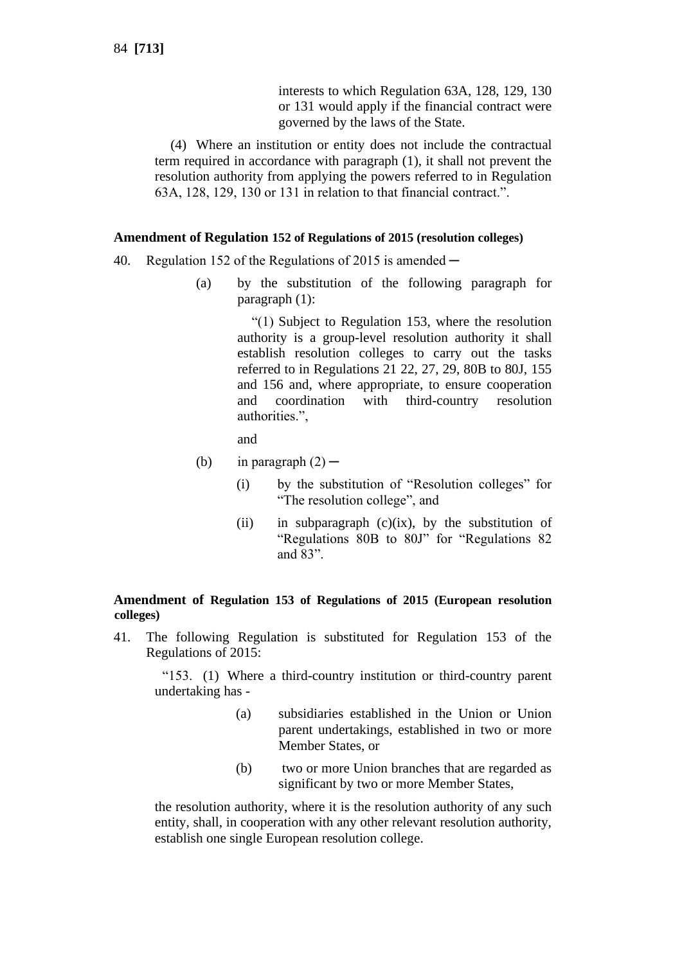interests to which Regulation 63A, 128, 129, 130 or 131 would apply if the financial contract were governed by the laws of the State.

(4) Where an institution or entity does not include the contractual term required in accordance with paragraph (1), it shall not prevent the resolution authority from applying the powers referred to in Regulation 63A, 128, 129, 130 or 131 in relation to that financial contract.".

### **Amendment of Regulation 152 of Regulations of 2015 (resolution colleges)**

- 40. Regulation 152 of the Regulations of 2015 is amended  $-$ 
	- (a) by the substitution of the following paragraph for paragraph (1):

"(1) Subject to Regulation 153, where the resolution authority is a group-level resolution authority it shall establish resolution colleges to carry out the tasks referred to in Regulations 21 22, 27, 29, 80B to 80J, 155 and 156 and, where appropriate, to ensure cooperation and coordination with third-country resolution authorities.",

and

- (b) in paragraph  $(2)$ 
	- (i) by the substitution of "Resolution colleges" for "The resolution college", and
	- (ii) in subparagraph  $(c)(ix)$ , by the substitution of "Regulations 80B to 80J" for "Regulations 82 and 83".

## **Amendment of Regulation 153 of Regulations of 2015 (European resolution colleges)**

41. The following Regulation is substituted for Regulation 153 of the Regulations of 2015:

"153. (1) Where a third-country institution or third-country parent undertaking has -

- (a) subsidiaries established in the Union or Union parent undertakings, established in two or more Member States, or
- (b) two or more Union branches that are regarded as significant by two or more Member States,

the resolution authority, where it is the resolution authority of any such entity, shall, in cooperation with any other relevant resolution authority, establish one single European resolution college.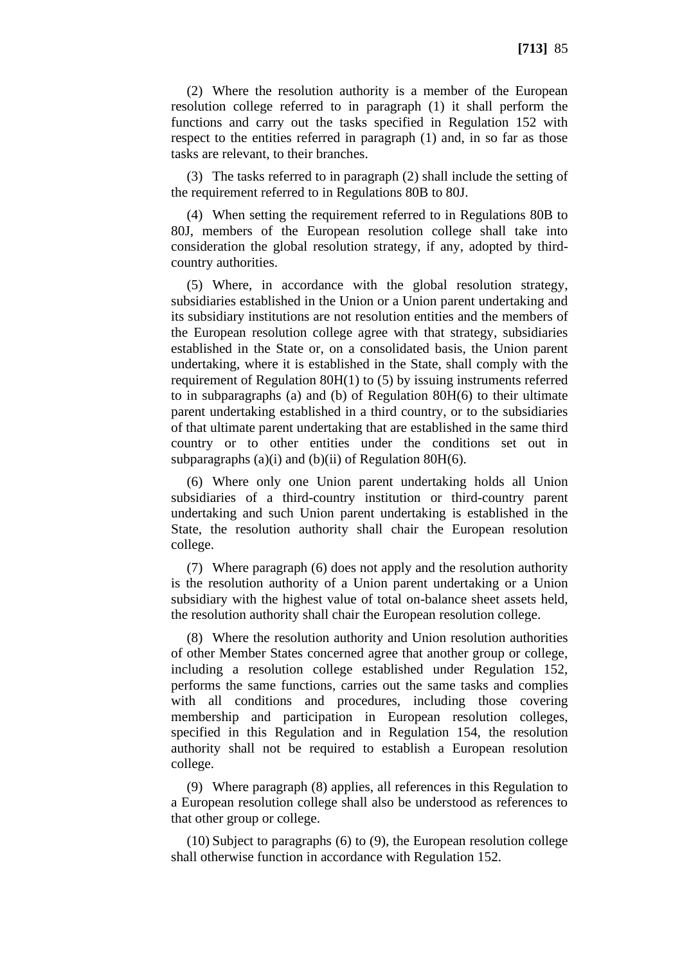(2) Where the resolution authority is a member of the European resolution college referred to in paragraph (1) it shall perform the functions and carry out the tasks specified in Regulation 152 with respect to the entities referred in paragraph (1) and, in so far as those tasks are relevant, to their branches.

(3) The tasks referred to in paragraph (2) shall include the setting of the requirement referred to in Regulations 80B to 80J.

(4) When setting the requirement referred to in Regulations 80B to 80J, members of the European resolution college shall take into consideration the global resolution strategy, if any, adopted by thirdcountry authorities.

(5) Where, in accordance with the global resolution strategy, subsidiaries established in the Union or a Union parent undertaking and its subsidiary institutions are not resolution entities and the members of the European resolution college agree with that strategy, subsidiaries established in the State or, on a consolidated basis, the Union parent undertaking, where it is established in the State, shall comply with the requirement of Regulation 80H(1) to (5) by issuing instruments referred to in subparagraphs (a) and (b) of Regulation 80H(6) to their ultimate parent undertaking established in a third country, or to the subsidiaries of that ultimate parent undertaking that are established in the same third country or to other entities under the conditions set out in subparagraphs (a)(i) and (b)(ii) of Regulation 80H(6).

(6) Where only one Union parent undertaking holds all Union subsidiaries of a third-country institution or third-country parent undertaking and such Union parent undertaking is established in the State, the resolution authority shall chair the European resolution college.

(7) Where paragraph (6) does not apply and the resolution authority is the resolution authority of a Union parent undertaking or a Union subsidiary with the highest value of total on-balance sheet assets held, the resolution authority shall chair the European resolution college.

(8) Where the resolution authority and Union resolution authorities of other Member States concerned agree that another group or college, including a resolution college established under Regulation 152, performs the same functions, carries out the same tasks and complies with all conditions and procedures, including those covering membership and participation in European resolution colleges, specified in this Regulation and in Regulation 154, the resolution authority shall not be required to establish a European resolution college.

(9) Where paragraph (8) applies, all references in this Regulation to a European resolution college shall also be understood as references to that other group or college.

(10) Subject to paragraphs (6) to (9), the European resolution college shall otherwise function in accordance with Regulation 152.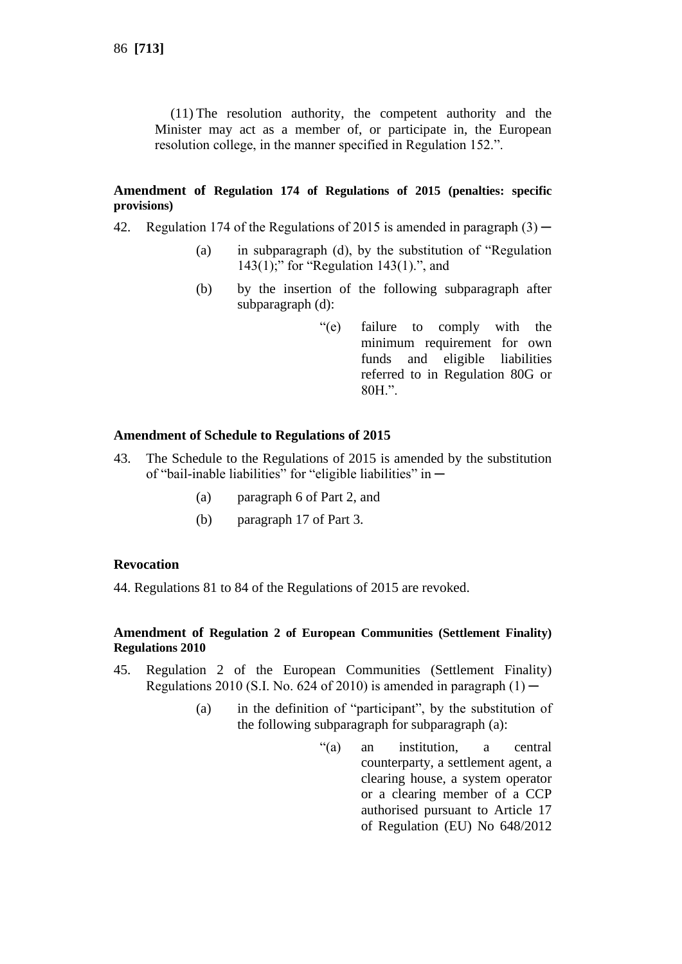(11) The resolution authority, the competent authority and the Minister may act as a member of, or participate in, the European resolution college, in the manner specified in Regulation 152.".

### **Amendment of Regulation 174 of Regulations of 2015 (penalties: specific provisions)**

- 42. Regulation 174 of the Regulations of 2015 is amended in paragraph  $(3)$ 
	- (a) in subparagraph (d), by the substitution of "Regulation 143(1);" for "Regulation 143(1).", and
	- (b) by the insertion of the following subparagraph after subparagraph (d):
		- "(e) failure to comply with the minimum requirement for own funds and eligible liabilities referred to in Regulation 80G or 80H.".

### **Amendment of Schedule to Regulations of 2015**

- 43. The Schedule to the Regulations of 2015 is amended by the substitution of "bail-inable liabilities" for "eligible liabilities" in ─
	- (a) paragraph 6 of Part 2, and
	- (b) paragraph 17 of Part 3.

## **Revocation**

44. Regulations 81 to 84 of the Regulations of 2015 are revoked.

## **Amendment of Regulation 2 of European Communities (Settlement Finality) Regulations 2010**

- 45. Regulation 2 of the European Communities (Settlement Finality) Regulations 2010 (S.I. No. 624 of 2010) is amended in paragraph  $(1)$  —
	- (a) in the definition of "participant", by the substitution of the following subparagraph for subparagraph (a):
		- "(a) an institution, a central counterparty, a settlement agent, a clearing house, a system operator or a clearing member of a CCP authorised pursuant to Article 17 of Regulation (EU) No 648/2012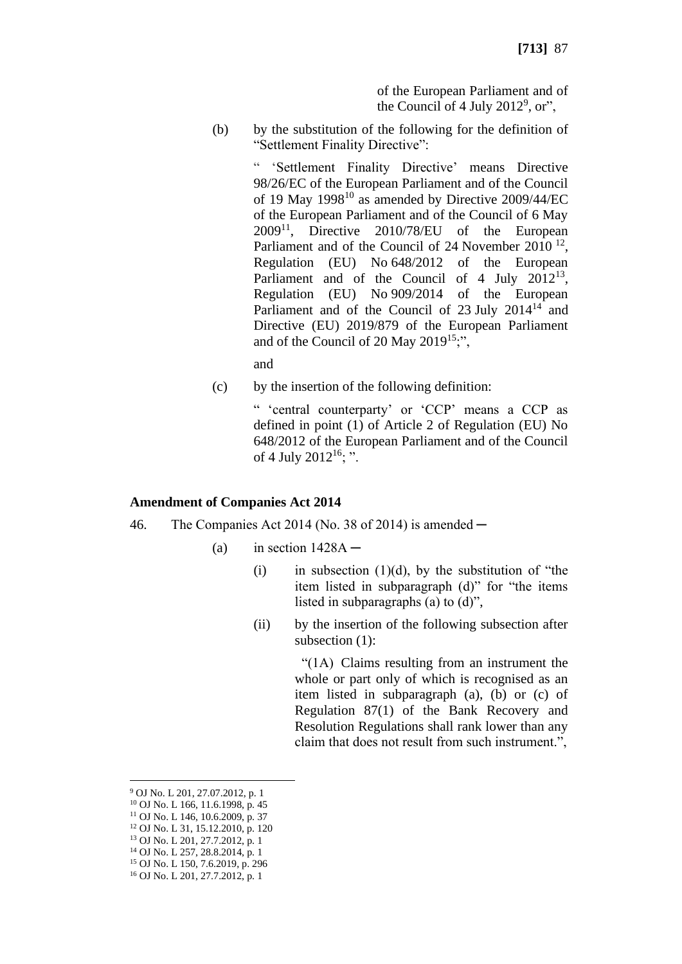of the European Parliament and of the Council of 4 July  $2012^9$ , or",

(b) by the substitution of the following for the definition of "Settlement Finality Directive":

> " 'Settlement Finality Directive' means Directive 98/26/EC of the European Parliament and of the Council of 19 May  $1998^{10}$  as amended by Directive 2009/44/EC of the European Parliament and of the Council of 6 May  $2009<sup>11</sup>$ , Directive  $2010/78/EU$  of the European Parliament and of the Council of 24 November 2010<sup>12</sup>, Regulation (EU) No 648/2012 of the European Parliament and of the Council of 4 July  $2012^{13}$ , Regulation (EU) No 909/2014 of the European Parliament and of the Council of  $23$  July  $2014<sup>14</sup>$  and Directive (EU) 2019/879 of the European Parliament and of the Council of 20 May 2019<sup>15</sup>;",

and

(c) by the insertion of the following definition:

" 'central counterparty' or 'CCP' means a CCP as defined in point (1) of Article 2 of Regulation (EU) No 648/2012 of the European Parliament and of the Council of 4 July 2012<sup>16</sup>; ".

## **Amendment of Companies Act 2014**

- 46. The Companies Act 2014 (No. 38 of 2014) is amended  $-$ 
	- (a) in section  $1428A -$ 
		- (i) in subsection  $(1)(d)$ , by the substitution of "the item listed in subparagraph (d)" for "the items listed in subparagraphs (a) to (d)",
		- (ii) by the insertion of the following subsection after subsection (1):

 "(1A) Claims resulting from an instrument the whole or part only of which is recognised as an item listed in subparagraph (a), (b) or (c) of Regulation 87(1) of the Bank Recovery and Resolution Regulations shall rank lower than any claim that does not result from such instrument.",

<sup>9</sup> OJ No. L 201, 27.07.2012, p. 1

<sup>10</sup> OJ No. L 166, 11.6.1998, p. 45

<sup>11</sup> OJ No. L 146, 10.6.2009, p. 37

<sup>12</sup> OJ No. L 31, 15.12.2010, p. 120

<sup>13</sup> OJ No. L 201, 27.7.2012, p. 1

<sup>14</sup> OJ No. L 257, 28.8.2014, p. 1 <sup>15</sup> OJ No. L 150, 7.6.2019, p. 296

<sup>16</sup> OJ No. L 201, 27.7.2012, p. 1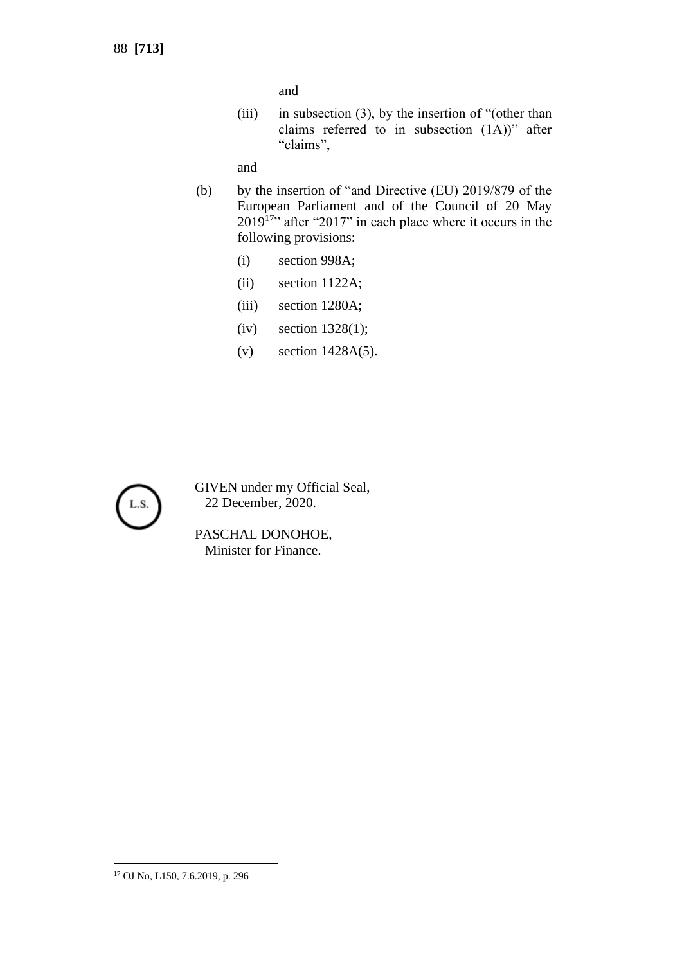and

(iii) in subsection (3), by the insertion of "(other than claims referred to in subsection  $(1A)$ )" after "claims",

and

- (b) by the insertion of "and Directive (EU) 2019/879 of the European Parliament and of the Council of 20 May  $2019<sup>17</sup>$  after "2017" in each place where it occurs in the following provisions:
	- (i) section 998A;
	- (ii) section 1122A;
	- (iii) section 1280A;
	- (iv) section 1328(1);
	- (v) section 1428A(5).



GIVEN under my Official Seal, 22 December, 2020.

PASCHAL DONOHOE, Minister for Finance.

<sup>17</sup> OJ No, L150, 7.6.2019, p. 296